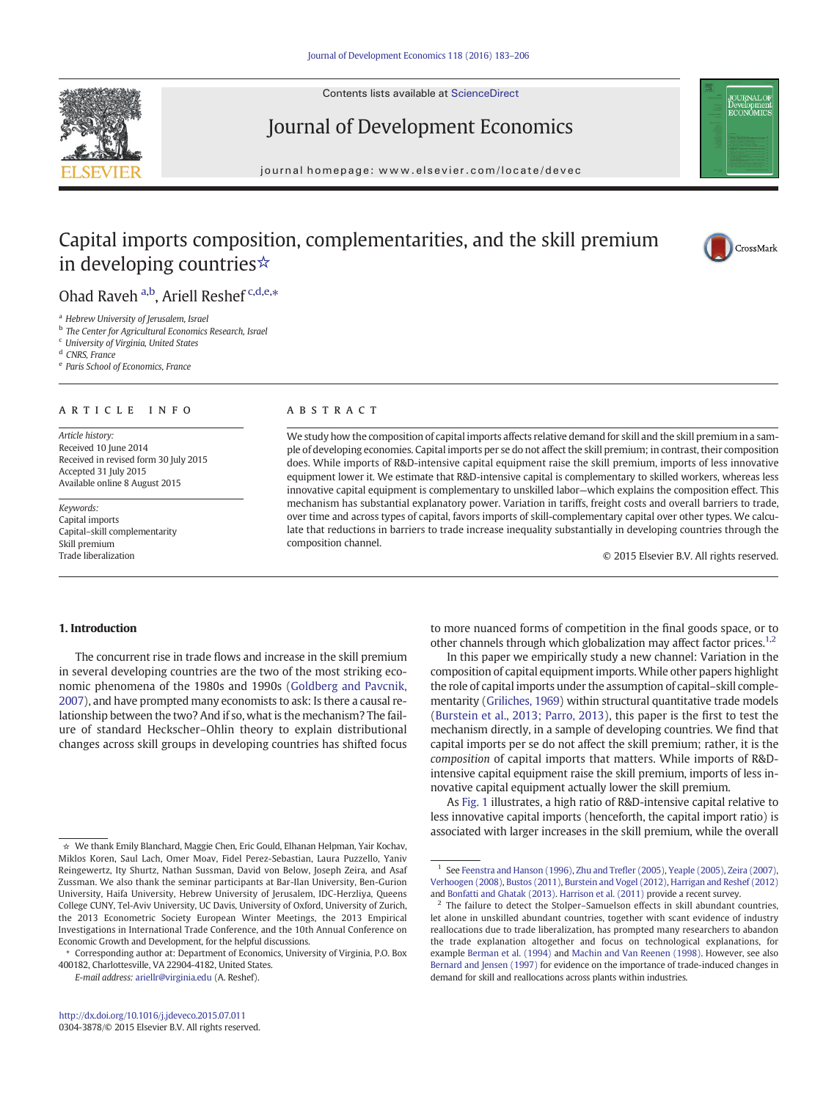Contents lists available at [ScienceDirect](http://www.sciencedirect.com/science/journal/03043878)



# Journal of Development Economics

journal homepage: www.elsevier.com/locate/devec



# Capital imports composition, complementarities, and the skill premium in developing countries☆



# Ohad Raveh a,b, Ariell Reshef c,d,e,\*

<sup>a</sup> Hebrew University of Jerusalem, Israel

<sup>b</sup> The Center for Agricultural Economics Research, Israel

<sup>c</sup> University of Virginia, United States

<sup>d</sup> CNRS, France

<sup>e</sup> Paris School of Economics, France

#### article info abstract

Article history: Received 10 June 2014 Received in revised form 30 July 2015 Accepted 31 July 2015 Available online 8 August 2015

Keywords: Capital imports Capital–skill complementarity Skill premium Trade liberalization

We study how the composition of capital imports affects relative demand for skill and the skill premium in a sample of developing economies. Capital imports per se do not affect the skill premium; in contrast, their composition does. While imports of R&D-intensive capital equipment raise the skill premium, imports of less innovative equipment lower it. We estimate that R&D-intensive capital is complementary to skilled workers, whereas less innovative capital equipment is complementary to unskilled labor—which explains the composition effect. This mechanism has substantial explanatory power. Variation in tariffs, freight costs and overall barriers to trade, over time and across types of capital, favors imports of skill-complementary capital over other types. We calculate that reductions in barriers to trade increase inequality substantially in developing countries through the composition channel.

© 2015 Elsevier B.V. All rights reserved.

# 1. Introduction

The concurrent rise in trade flows and increase in the skill premium in several developing countries are the two of the most striking economic phenomena of the 1980s and 1990s ([Goldberg and Pavcnik,](#page-23-0) [2007](#page-23-0)), and have prompted many economists to ask: Is there a causal relationship between the two? And if so, what is the mechanism? The failure of standard Heckscher–Ohlin theory to explain distributional changes across skill groups in developing countries has shifted focus

E-mail address: [ariellr@virginia.edu](mailto:ariellr@virginia.edu) (A. Reshef).

to more nuanced forms of competition in the final goods space, or to other channels through which globalization may affect factor prices.<sup>1,2</sup>

In this paper we empirically study a new channel: Variation in the composition of capital equipment imports.While other papers highlight the role of capital imports under the assumption of capital–skill complementarity [\(Griliches, 1969](#page-23-0)) within structural quantitative trade models [\(Burstein et al., 2013; Parro, 2013\)](#page-23-0), this paper is the first to test the mechanism directly, in a sample of developing countries. We find that capital imports per se do not affect the skill premium; rather, it is the composition of capital imports that matters. While imports of R&Dintensive capital equipment raise the skill premium, imports of less innovative capital equipment actually lower the skill premium.

As [Fig. 1](#page-1-0) illustrates, a high ratio of R&D-intensive capital relative to less innovative capital imports (henceforth, the capital import ratio) is associated with larger increases in the skill premium, while the overall

<sup>☆</sup> We thank Emily Blanchard, Maggie Chen, Eric Gould, Elhanan Helpman, Yair Kochav, Miklos Koren, Saul Lach, Omer Moav, Fidel Perez-Sebastian, Laura Puzzello, Yaniv Reingewertz, Ity Shurtz, Nathan Sussman, David von Below, Joseph Zeira, and Asaf Zussman. We also thank the seminar participants at Bar-Ilan University, Ben-Gurion University, Haifa University, Hebrew University of Jerusalem, IDC-Herzliya, Queens College CUNY, Tel-Aviv University, UC Davis, University of Oxford, University of Zurich, the 2013 Econometric Society European Winter Meetings, the 2013 Empirical Investigations in International Trade Conference, and the 10th Annual Conference on Economic Growth and Development, for the helpful discussions.

<sup>⁎</sup> Corresponding author at: Department of Economics, University of Virginia, P.O. Box 400182, Charlottesville, VA 22904-4182, United States.

<sup>&</sup>lt;sup>1</sup> See [Feenstra and Hanson \(1996\),](#page-23-0) [Zhu and Tre](#page-23-0)fler (2005), [Yeaple \(2005\)](#page-23-0), [Zeira \(2007\)](#page-23-0), [Verhoogen \(2008\)](#page-23-0), [Bustos \(2011\),](#page-23-0) [Burstein and Vogel \(2012\)](#page-23-0), [Harrigan and Reshef \(2012\)](#page-23-0) and [Bonfatti and Ghatak \(2013\).](#page-23-0) [Harrison et al. \(2011\)](#page-23-0) provide a recent survey.

The failure to detect the Stolper-Samuelson effects in skill abundant countries, let alone in unskilled abundant countries, together with scant evidence of industry reallocations due to trade liberalization, has prompted many researchers to abandon the trade explanation altogether and focus on technological explanations, for example [Berman et al. \(1994\)](#page-23-0) and [Machin and Van Reenen \(1998\).](#page-23-0) However, see also [Bernard and Jensen \(1997\)](#page-23-0) for evidence on the importance of trade-induced changes in demand for skill and reallocations across plants within industries.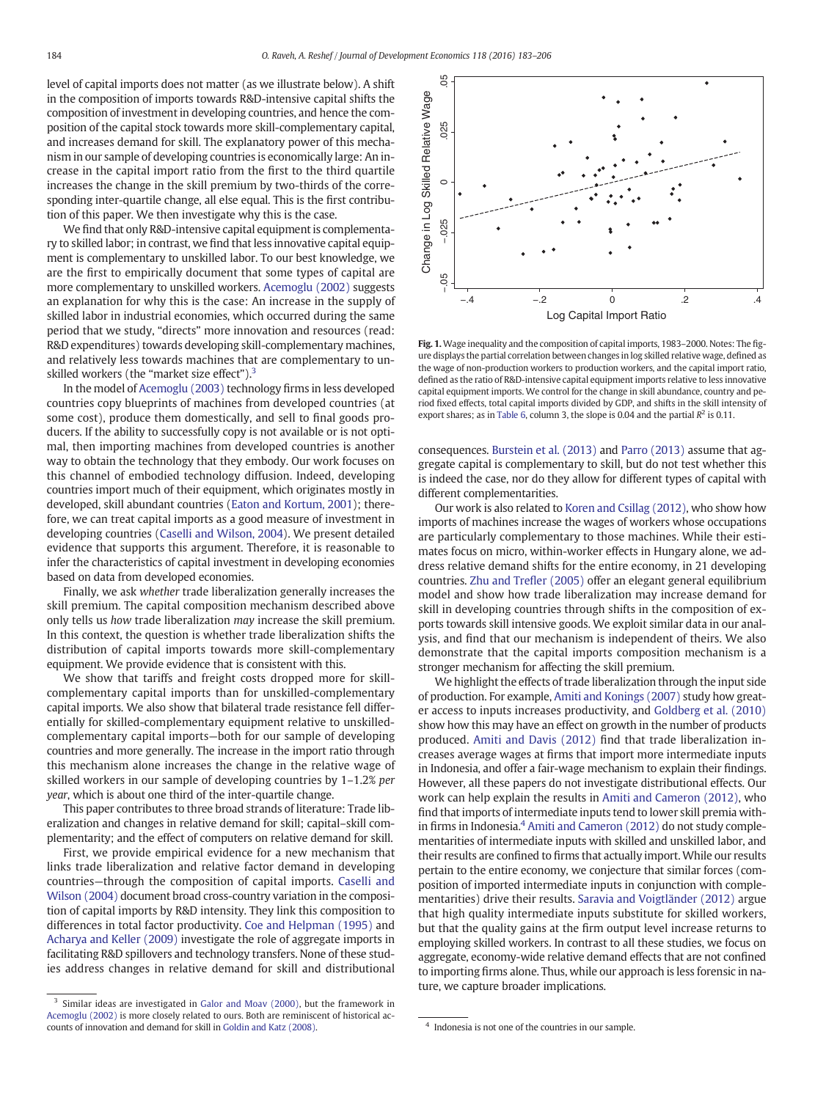<span id="page-1-0"></span>level of capital imports does not matter (as we illustrate below). A shift in the composition of imports towards R&D-intensive capital shifts the composition of investment in developing countries, and hence the composition of the capital stock towards more skill-complementary capital, and increases demand for skill. The explanatory power of this mechanism in our sample of developing countries is economically large: An increase in the capital import ratio from the first to the third quartile increases the change in the skill premium by two-thirds of the corresponding inter-quartile change, all else equal. This is the first contribution of this paper. We then investigate why this is the case.

We find that only R&D-intensive capital equipment is complementary to skilled labor; in contrast, we find that less innovative capital equipment is complementary to unskilled labor. To our best knowledge, we are the first to empirically document that some types of capital are more complementary to unskilled workers. [Acemoglu \(2002\)](#page-23-0) suggests an explanation for why this is the case: An increase in the supply of skilled labor in industrial economies, which occurred during the same period that we study, "directs" more innovation and resources (read: R&D expenditures) towards developing skill-complementary machines, and relatively less towards machines that are complementary to unskilled workers (the "market size effect").<sup>3</sup>

In the model of [Acemoglu \(2003\)](#page-23-0) technology firms in less developed countries copy blueprints of machines from developed countries (at some cost), produce them domestically, and sell to final goods producers. If the ability to successfully copy is not available or is not optimal, then importing machines from developed countries is another way to obtain the technology that they embody. Our work focuses on this channel of embodied technology diffusion. Indeed, developing countries import much of their equipment, which originates mostly in developed, skill abundant countries ([Eaton and Kortum, 2001](#page-23-0)); therefore, we can treat capital imports as a good measure of investment in developing countries [\(Caselli and Wilson, 2004](#page-23-0)). We present detailed evidence that supports this argument. Therefore, it is reasonable to infer the characteristics of capital investment in developing economies based on data from developed economies.

Finally, we ask whether trade liberalization generally increases the skill premium. The capital composition mechanism described above only tells us how trade liberalization may increase the skill premium. In this context, the question is whether trade liberalization shifts the distribution of capital imports towards more skill-complementary equipment. We provide evidence that is consistent with this.

We show that tariffs and freight costs dropped more for skillcomplementary capital imports than for unskilled-complementary capital imports. We also show that bilateral trade resistance fell differentially for skilled-complementary equipment relative to unskilledcomplementary capital imports—both for our sample of developing countries and more generally. The increase in the import ratio through this mechanism alone increases the change in the relative wage of skilled workers in our sample of developing countries by 1–1.2% per year, which is about one third of the inter-quartile change.

This paper contributes to three broad strands of literature: Trade liberalization and changes in relative demand for skill; capital–skill complementarity; and the effect of computers on relative demand for skill.

First, we provide empirical evidence for a new mechanism that links trade liberalization and relative factor demand in developing countries—through the composition of capital imports. [Caselli and](#page-23-0) [Wilson \(2004\)](#page-23-0) document broad cross-country variation in the composition of capital imports by R&D intensity. They link this composition to differences in total factor productivity. [Coe and Helpman \(1995\)](#page-23-0) and [Acharya and Keller \(2009\)](#page-23-0) investigate the role of aggregate imports in facilitating R&D spillovers and technology transfers. None of these studies address changes in relative demand for skill and distributional



Fig. 1. Wage inequality and the composition of capital imports, 1983-2000. Notes: The figure displays the partial correlation between changes in log skilled relative wage, defined as the wage of non-production workers to production workers, and the capital import ratio, defined as the ratio of R&D-intensive capital equipment imports relative to less innovative capital equipment imports. We control for the change in skill abundance, country and period fixed effects, total capital imports divided by GDP, and shifts in the skill intensity of export shares; as in [Table 6](#page-7-0), column 3, the slope is 0.04 and the partial  $R^2$  is 0.11.

consequences. [Burstein et al. \(2013\)](#page-23-0) and [Parro \(2013\)](#page-23-0) assume that aggregate capital is complementary to skill, but do not test whether this is indeed the case, nor do they allow for different types of capital with different complementarities.

Our work is also related to [Koren and Csillag \(2012\),](#page-23-0) who show how imports of machines increase the wages of workers whose occupations are particularly complementary to those machines. While their estimates focus on micro, within-worker effects in Hungary alone, we address relative demand shifts for the entire economy, in 21 developing countries. [Zhu and Tre](#page-23-0)fler (2005) offer an elegant general equilibrium model and show how trade liberalization may increase demand for skill in developing countries through shifts in the composition of exports towards skill intensive goods. We exploit similar data in our analysis, and find that our mechanism is independent of theirs. We also demonstrate that the capital imports composition mechanism is a stronger mechanism for affecting the skill premium.

We highlight the effects of trade liberalization through the input side of production. For example, [Amiti and Konings \(2007\)](#page-23-0) study how greater access to inputs increases productivity, and [Goldberg et al. \(2010\)](#page-23-0) show how this may have an effect on growth in the number of products produced. [Amiti and Davis \(2012\)](#page-23-0) find that trade liberalization increases average wages at firms that import more intermediate inputs in Indonesia, and offer a fair-wage mechanism to explain their findings. However, all these papers do not investigate distributional effects. Our work can help explain the results in [Amiti and Cameron \(2012\),](#page-23-0) who find that imports of intermediate inputs tend to lower skill premia with-in firms in Indonesia.<sup>4</sup> [Amiti and Cameron \(2012\)](#page-23-0) do not study complementarities of intermediate inputs with skilled and unskilled labor, and their results are confined to firms that actually import. While our results pertain to the entire economy, we conjecture that similar forces (composition of imported intermediate inputs in conjunction with complementarities) drive their results. [Saravia and Voigtländer \(2012\)](#page-23-0) argue that high quality intermediate inputs substitute for skilled workers, but that the quality gains at the firm output level increase returns to employing skilled workers. In contrast to all these studies, we focus on aggregate, economy-wide relative demand effects that are not confined to importing firms alone. Thus, while our approach is less forensic in na-Best and the control of the capture broader in the capture broader in the capture of the capture of the capture of the capture of the capture of the capture of the capture of the capture of the capture of the capture of

 $3$  Similar ideas are investigated in [Galor and Moav \(2000\),](#page-23-0) but the framework in [Acemoglu \(2002\)](#page-23-0) is more closely related to ours. Both are reminiscent of historical accounts of innovation and demand for skill in [Goldin and Katz \(2008\).](#page-23-0) <sup>4</sup> Indonesia is not one of the countries in our sample.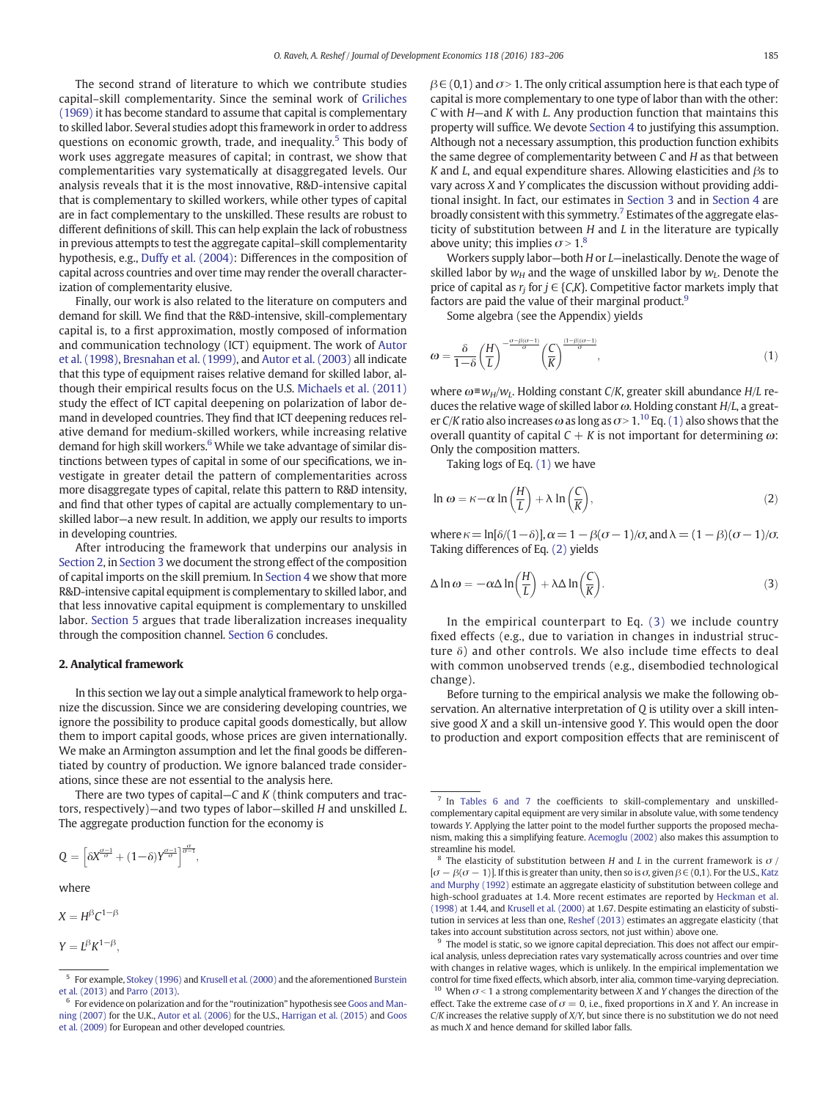<span id="page-2-0"></span>The second strand of literature to which we contribute studies capital–skill complementarity. Since the seminal work of [Griliches](#page-23-0) [\(1969\)](#page-23-0) it has become standard to assume that capital is complementary to skilled labor. Several studies adopt this framework in order to address questions on economic growth, trade, and inequality.<sup>5</sup> This body of work uses aggregate measures of capital; in contrast, we show that complementarities vary systematically at disaggregated levels. Our analysis reveals that it is the most innovative, R&D-intensive capital that is complementary to skilled workers, while other types of capital are in fact complementary to the unskilled. These results are robust to different definitions of skill. This can help explain the lack of robustness in previous attempts to test the aggregate capital–skill complementarity hypothesis, e.g., [Duffy et al. \(2004\)](#page-23-0): Differences in the composition of capital across countries and over time may render the overall characterization of complementarity elusive.

Finally, our work is also related to the literature on computers and demand for skill. We find that the R&D-intensive, skill-complementary capital is, to a first approximation, mostly composed of information and communication technology (ICT) equipment. The work of [Autor](#page-23-0) [et al. \(1998\)](#page-23-0), [Bresnahan et al. \(1999\)](#page-23-0), and [Autor et al. \(2003\)](#page-23-0) all indicate that this type of equipment raises relative demand for skilled labor, although their empirical results focus on the U.S. [Michaels et al. \(2011\)](#page-23-0) study the effect of ICT capital deepening on polarization of labor demand in developed countries. They find that ICT deepening reduces relative demand for medium-skilled workers, while increasing relative demand for high skill workers. $6$  While we take advantage of similar distinctions between types of capital in some of our specifications, we investigate in greater detail the pattern of complementarities across more disaggregate types of capital, relate this pattern to R&D intensity, and find that other types of capital are actually complementary to unskilled labor—a new result. In addition, we apply our results to imports in developing countries.

After introducing the framework that underpins our analysis in Section 2, in [Section 3](#page-3-0) we document the strong effect of the composition of capital imports on the skill premium. In [Section 4](#page-11-0) we show that more R&D-intensive capital equipment is complementary to skilled labor, and that less innovative capital equipment is complementary to unskilled labor. [Section 5](#page-13-0) argues that trade liberalization increases inequality through the composition channel. [Section 6](#page-15-0) concludes.

#### 2. Analytical framework

In this section we lay out a simple analytical framework to help organize the discussion. Since we are considering developing countries, we ignore the possibility to produce capital goods domestically, but allow them to import capital goods, whose prices are given internationally. We make an Armington assumption and let the final goods be differentiated by country of production. We ignore balanced trade considerations, since these are not essential to the analysis here.

There are two types of capital– $C$  and  $K$  (think computers and tractors, respectively)—and two types of labor—skilled H and unskilled L. The aggregate production function for the economy is

$$
Q=\left[\delta X^{\frac{\sigma-1}{\sigma}}+(1\!-\!\delta)Y^{\frac{\sigma-1}{\sigma}}\right]^{\frac{\sigma}{\sigma-1}},
$$

where

$$
X=H^{\beta}C^{1-\beta}
$$

$$
Y=L^{\beta}K^{1-\beta},
$$

 $\beta \in (0,1)$  and  $\sigma > 1$ . The only critical assumption here is that each type of capital is more complementary to one type of labor than with the other: C with H—and K with L. Any production function that maintains this property will suffice. We devote [Section 4](#page-11-0) to justifying this assumption. Although not a necessary assumption, this production function exhibits the same degree of complementarity between C and H as that between K and L, and equal expenditure shares. Allowing elasticities and  $\beta$ s to vary across X and Y complicates the discussion without providing additional insight. In fact, our estimates in [Section 3](#page-3-0) and in [Section 4](#page-11-0) are broadly consistent with this symmetry.<sup>7</sup> Estimates of the aggregate elasticity of substitution between H and L in the literature are typically above unity; this implies  $\sigma > 1$ .<sup>8</sup>

Workers supply labor—both H or L—inelastically. Denote the wage of skilled labor by  $w_H$  and the wage of unskilled labor by  $w_L$ . Denote the price of capital as  $r_i$  for  $j \in \{C,K\}$ . Competitive factor markets imply that factors are paid the value of their marginal product.<sup>9</sup>

Some algebra (see the Appendix) yields

$$
\omega = \frac{\delta}{1-\delta} \left(\frac{H}{L}\right)^{-\frac{\sigma-\beta(\sigma-1)}{\sigma}} \left(\frac{C}{K}\right)^{\frac{(1-\beta)(\sigma-1)}{\sigma}},\tag{1}
$$

where  $\omega \equiv w_H/w_L$ . Holding constant C/K, greater skill abundance H/L reduces the relative wage of skilled labor  $\omega$ . Holding constant  $H/L$ , a greater C/K ratio also increases  $\omega$  as long as  $\sigma > 1$ .<sup>10</sup> Eq. (1) also shows that the overall quantity of capital  $C + K$  is not important for determining  $\omega$ : Only the composition matters.

Taking logs of Eq. (1) we have

$$
\ln \omega = \kappa - \alpha \ln \left( \frac{H}{L} \right) + \lambda \ln \left( \frac{C}{K} \right),\tag{2}
$$

where  $\kappa = \ln[\delta/(1-\delta)], \alpha = 1 - \beta(\sigma - 1)/\sigma$ , and  $\lambda = (1 - \beta)(\sigma - 1)/\sigma$ . Taking differences of Eq. (2) yields

$$
\Delta \ln \omega = -\alpha \Delta \ln \left(\frac{H}{L}\right) + \lambda \Delta \ln \left(\frac{C}{K}\right). \tag{3}
$$

In the empirical counterpart to Eq. (3) we include country fixed effects (e.g., due to variation in changes in industrial structure  $\delta$ ) and other controls. We also include time effects to deal with common unobserved trends (e.g., disembodied technological change).

Before turning to the empirical analysis we make the following observation. An alternative interpretation of Q is utility over a skill intensive good X and a skill un-intensive good Y. This would open the door to production and export composition effects that are reminiscent of

<sup>&</sup>lt;sup>5</sup> For example, [Stokey \(1996\)](#page-23-0) and [Krusell et al. \(2000\)](#page-23-0) and the aforementioned [Burstein](#page-23-0) [et al. \(2013\)](#page-23-0) and [Parro \(2013\).](#page-23-0)

<sup>&</sup>lt;sup>6</sup> For evidence on polarization and for the "routinization" hypothesis see [Goos and Man](#page-23-0)[ning \(2007\)](#page-23-0) for the U.K., [Autor et al. \(2006\)](#page-23-0) for the U.S., [Harrigan et al. \(2015\)](#page-23-0) and [Goos](#page-23-0) [et al. \(2009\)](#page-23-0) for European and other developed countries.

<sup>7</sup> In [Tables 6 and 7](#page-7-0) the coefficients to skill-complementary and unskilledcomplementary capital equipment are very similar in absolute value, with some tendency towards Y. Applying the latter point to the model further supports the proposed mechanism, making this a simplifying feature. [Acemoglu \(2002\)](#page-23-0) also makes this assumption to streamline his model.

<sup>&</sup>lt;sup>8</sup> The elasticity of substitution between H and L in the current framework is  $\sigma$  /  $[\sigma - \beta(\sigma - 1)]$ . If this is greater than unity, then so is  $\sigma$ , given  $\beta \in (0,1)$ . For the U.S., [Katz](#page-23-0) [and Murphy \(1992\)](#page-23-0) estimate an aggregate elasticity of substitution between college and high-school graduates at 1.4. More recent estimates are reported by [Heckman et al.](#page-23-0) [\(1998\)](#page-23-0) at 1.44, and [Krusell et al. \(2000\)](#page-23-0) at 1.67. Despite estimating an elasticity of substitution in services at less than one, [Reshef \(2013\)](#page-23-0) estimates an aggregate elasticity (that takes into account substitution across sectors, not just within) above one.

The model is static, so we ignore capital depreciation. This does not affect our empirical analysis, unless depreciation rates vary systematically across countries and over time with changes in relative wages, which is unlikely. In the empirical implementation we control for time fixed effects, which absorb, inter alia, common time-varying depreciation. <sup>10</sup> When  $\sigma$  < 1 a strong complementarity between X and Y changes the direction of the effect. Take the extreme case of  $\sigma = 0$ , i.e., fixed proportions in X and Y. An increase in  $C/K$  increases the relative supply of  $X/Y$ , but since there is no substitution we do not need as much X and hence demand for skilled labor falls.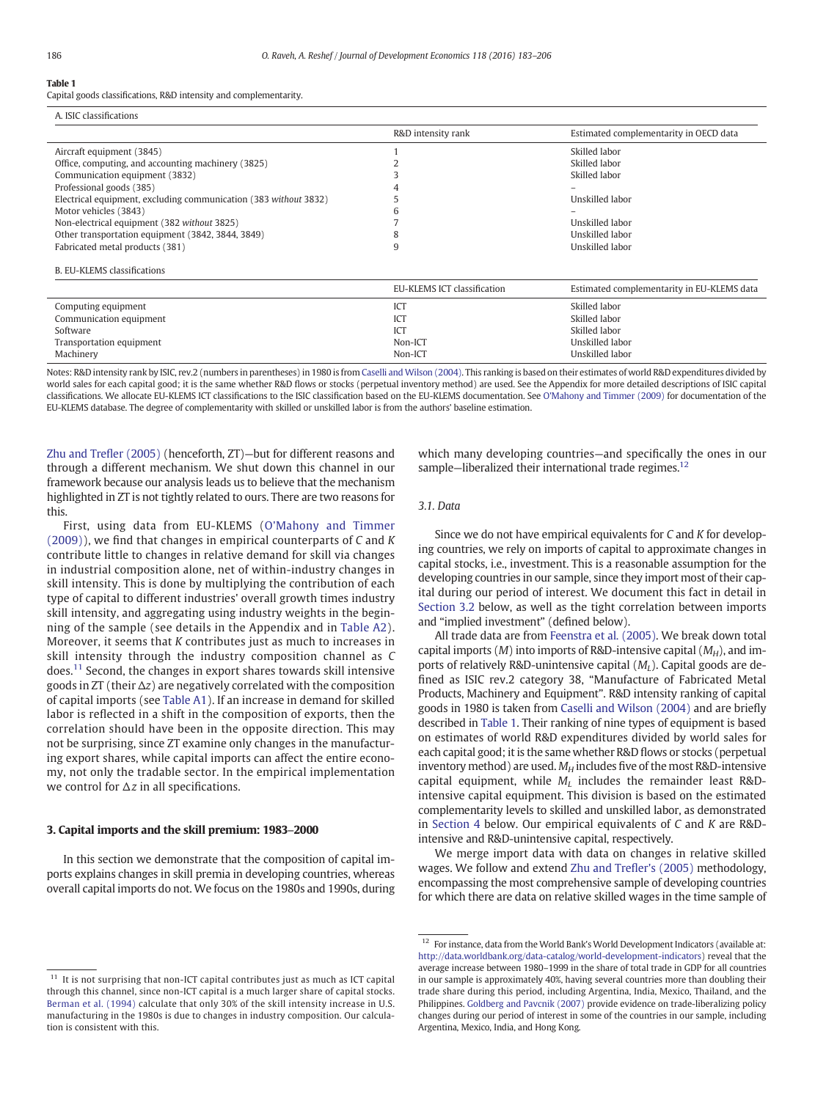<span id="page-3-0"></span>Capital goods classifications, R&D intensity and complementarity.

| A. ISIC classifications                                          |                             |                                            |
|------------------------------------------------------------------|-----------------------------|--------------------------------------------|
|                                                                  | R&D intensity rank          | Estimated complementarity in OECD data     |
| Aircraft equipment (3845)                                        |                             | Skilled labor                              |
| Office, computing, and accounting machinery (3825)               |                             | Skilled labor                              |
| Communication equipment (3832)                                   |                             | Skilled labor                              |
| Professional goods (385)                                         |                             |                                            |
| Electrical equipment, excluding communication (383 without 3832) |                             | Unskilled labor                            |
| Motor vehicles (3843)                                            |                             |                                            |
| Non-electrical equipment (382 without 3825)                      |                             | Unskilled labor                            |
| Other transportation equipment (3842, 3844, 3849)                | δ                           | Unskilled labor                            |
| Fabricated metal products (381)                                  |                             | Unskilled labor                            |
| <b>B. EU-KLEMS classifications</b>                               |                             |                                            |
|                                                                  | EU-KLEMS ICT classification | Estimated complementarity in EU-KLEMS data |

| ------------------------------ |                 |
|--------------------------------|-----------------|
| ICT                            | Skilled labor   |
| ICT                            | Skilled labor   |
| ICT                            | Skilled labor   |
| Non-ICT                        | Unskilled labor |
| Non-ICT                        | Unskilled labor |
|                                |                 |

Notes: R&D intensity rank by ISIC, rev.2 (numbers in parentheses) in 1980 is from [Caselli and Wilson \(2004\)](#page-23-0). This ranking is based on their estimates of world R&D expenditures divided by world sales for each capital good; it is the same whether R&D flows or stocks (perpetual inventory method) are used. See the Appendix for more detailed descriptions of ISIC capital classifications. We allocate EU-KLEMS ICT classifications to the ISIC classification based on the EU-KLEMS documentation. See [O'Mahony and Timmer \(2009\)](#page-23-0) for documentation of the EU-KLEMS database. The degree of complementarity with skilled or unskilled labor is from the authors' baseline estimation.

[Zhu and Tre](#page-23-0)fler (2005) (henceforth, ZT)—but for different reasons and through a different mechanism. We shut down this channel in our framework because our analysis leads us to believe that the mechanism highlighted in ZT is not tightly related to ours. There are two reasons for this.

First, using data from EU-KLEMS ([O'Mahony and Timmer](#page-23-0) [\(2009\)\)](#page-23-0), we find that changes in empirical counterparts of C and K contribute little to changes in relative demand for skill via changes in industrial composition alone, net of within-industry changes in skill intensity. This is done by multiplying the contribution of each type of capital to different industries' overall growth times industry skill intensity, and aggregating using industry weights in the beginning of the sample (see details in the Appendix and in [Table A2](#page-17-0)). Moreover, it seems that K contributes just as much to increases in skill intensity through the industry composition channel as C does.<sup>11</sup> Second, the changes in export shares towards skill intensive goods in ZT (their  $\Delta z$ ) are negatively correlated with the composition of capital imports (see [Table A1](#page-16-0)). If an increase in demand for skilled labor is reflected in a shift in the composition of exports, then the correlation should have been in the opposite direction. This may not be surprising, since ZT examine only changes in the manufacturing export shares, while capital imports can affect the entire economy, not only the tradable sector. In the empirical implementation we control for  $\Delta z$  in all specifications.

#### 3. Capital imports and the skill premium: 1983–2000

In this section we demonstrate that the composition of capital imports explains changes in skill premia in developing countries, whereas overall capital imports do not. We focus on the 1980s and 1990s, during which many developing countries—and specifically the ones in our sample–liberalized their international trade regimes.<sup>12</sup>

# 3.1. Data

Since we do not have empirical equivalents for C and K for developing countries, we rely on imports of capital to approximate changes in capital stocks, i.e., investment. This is a reasonable assumption for the developing countries in our sample, since they import most of their capital during our period of interest. We document this fact in detail in [Section 3.2](#page-4-0) below, as well as the tight correlation between imports and "implied investment" (defined below).

All trade data are from [Feenstra et al. \(2005\)](#page-23-0). We break down total capital imports  $(M)$  into imports of R&D-intensive capital  $(M_H)$ , and imports of relatively R&D-unintensive capital  $(M_L)$ . Capital goods are defined as ISIC rev.2 category 38, "Manufacture of Fabricated Metal Products, Machinery and Equipment". R&D intensity ranking of capital goods in 1980 is taken from [Caselli and Wilson \(2004\)](#page-23-0) and are briefly described in Table 1. Their ranking of nine types of equipment is based on estimates of world R&D expenditures divided by world sales for each capital good; it is the same whether R&D flows or stocks (perpetual inventory method) are used.  $M_H$  includes five of the most R&D-intensive capital equipment, while  $M_L$  includes the remainder least R&Dintensive capital equipment. This division is based on the estimated complementarity levels to skilled and unskilled labor, as demonstrated in [Section 4](#page-11-0) below. Our empirical equivalents of C and K are R&Dintensive and R&D-unintensive capital, respectively.

We merge import data with data on changes in relative skilled wages. We follow and extend [Zhu and Tre](#page-23-0)fler's (2005) methodology, encompassing the most comprehensive sample of developing countries for which there are data on relative skilled wages in the time sample of

 $11$  It is not surprising that non-ICT capital contributes just as much as ICT capital through this channel, since non-ICT capital is a much larger share of capital stocks. [Berman et al. \(1994\)](#page-23-0) calculate that only 30% of the skill intensity increase in U.S. manufacturing in the 1980s is due to changes in industry composition. Our calculation is consistent with this.

 $12$  For instance, data from the World Bank's World Development Indicators (available at: [http://data.worldbank.org/data-catalog/world-development-indicators\)](http://data.worldbank.org/data-catalog/world-development-indicators) reveal that the average increase between 1980–1999 in the share of total trade in GDP for all countries in our sample is approximately 40%, having several countries more than doubling their trade share during this period, including Argentina, India, Mexico, Thailand, and the Philippines. [Goldberg and Pavcnik \(2007\)](#page-23-0) provide evidence on trade-liberalizing policy changes during our period of interest in some of the countries in our sample, including Argentina, Mexico, India, and Hong Kong.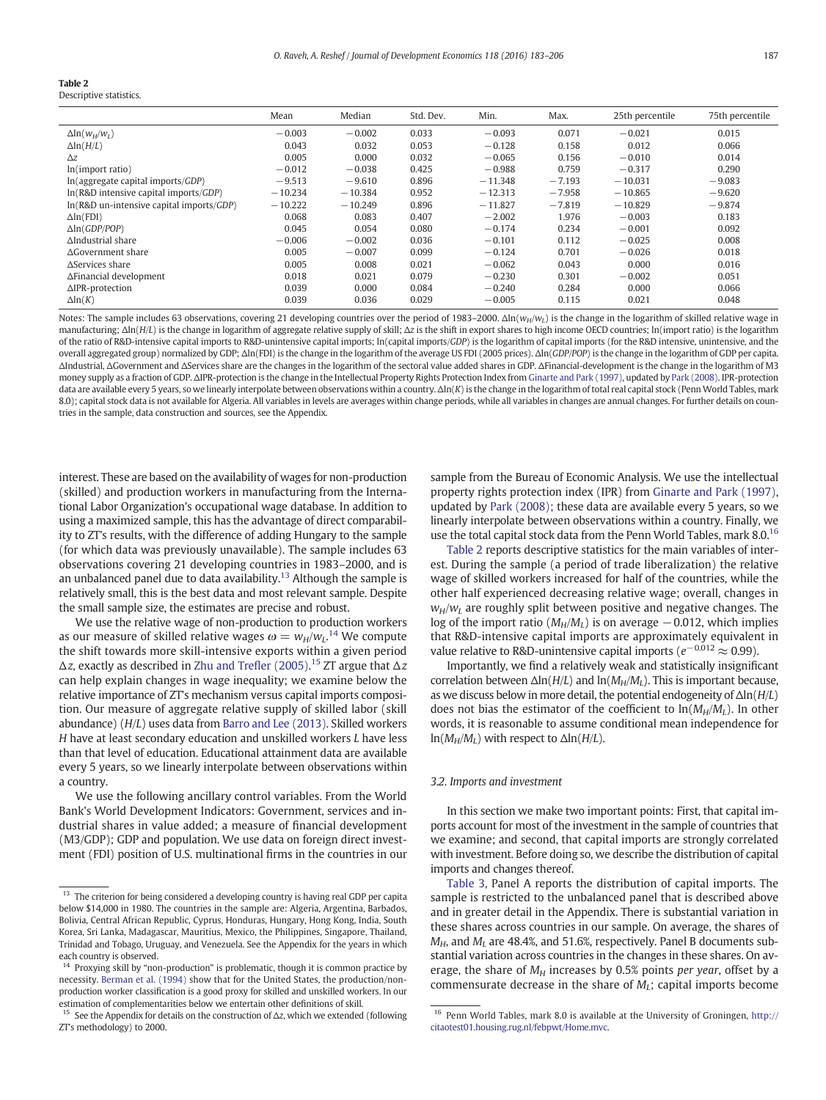<span id="page-4-0"></span>Descriptive statistics.

|                                              | Mean      | Median    | Std. Dev. | Min.      | Max.     | 25th percentile | 75th percentile |
|----------------------------------------------|-----------|-----------|-----------|-----------|----------|-----------------|-----------------|
| $\Delta \ln(w_H/w_L)$                        | $-0.003$  | $-0.002$  | 0.033     | $-0.093$  | 0.071    | $-0.021$        | 0.015           |
| $\Delta$ ln( $H/L$ )                         | 0.043     | 0.032     | 0.053     | $-0.128$  | 0.158    | 0.012           | 0.066           |
| $\Delta z$                                   | 0.005     | 0.000     | 0.032     | $-0.065$  | 0.156    | $-0.010$        | 0.014           |
| ln(import ratio)                             | $-0.012$  | $-0.038$  | 0.425     | $-0.988$  | 0.759    | $-0.317$        | 0.290           |
| $ln($ aggregate capital imports/ $GDP$ )     | $-9.513$  | $-9.610$  | 0.896     | $-11.348$ | $-7.193$ | $-10.031$       | $-9.083$        |
| $ln(R&D)$ intensive capital imports/ $GDP$ ) | $-10.234$ | $-10.384$ | 0.952     | $-12.313$ | $-7.958$ | $-10.865$       | $-9.620$        |
| ln(R&D un-intensive capital imports/GDP)     | $-10.222$ | $-10.249$ | 0.896     | $-11.827$ | $-7.819$ | $-10.829$       | $-9.874$        |
| $\Delta$ ln(FDI)                             | 0.068     | 0.083     | 0.407     | $-2.002$  | 1.976    | $-0.003$        | 0.183           |
| $\Delta$ ln(GDP/POP)                         | 0.045     | 0.054     | 0.080     | $-0.174$  | 0.234    | $-0.001$        | 0.092           |
| AIndustrial share                            | $-0.006$  | $-0.002$  | 0.036     | $-0.101$  | 0.112    | $-0.025$        | 0.008           |
| $\Delta$ Government share                    | 0.005     | $-0.007$  | 0.099     | $-0.124$  | 0.701    | $-0.026$        | 0.018           |
| $\Delta$ Services share                      | 0.005     | 0.008     | 0.021     | $-0.062$  | 0.043    | 0.000           | 0.016           |
| ∆Financial development                       | 0.018     | 0.021     | 0.079     | $-0.230$  | 0.301    | $-0.002$        | 0.051           |
| $\triangle$ IPR-protection                   | 0.039     | 0.000     | 0.084     | $-0.240$  | 0.284    | 0.000           | 0.066           |
| $\Delta$ ln $(K)$                            | 0.039     | 0.036     | 0.029     | $-0.005$  | 0.115    | 0.021           | 0.048           |

Notes: The sample includes 63 observations, covering 21 developing countries over the period of 1983-2000. Δln(w<sub>H</sub>/w<sub>L</sub>) is the change in the logarithm of skilled relative wage in manufacturing; Δln(H/L) is the change in logarithm of aggregate relative supply of skill; Δz is the shift in export shares to high income OECD countries; ln(import ratio) is the logarithm of the ratio of R&D-intensive capital imports to R&D-unintensive capital imports; ln(capital imports/GDP) is the logarithm of capital imports (for the R&D intensive, unintensive, and the overall aggregated group) normalized by GDP; Δln(FDI) is the change in the logarithm of the average US FDI (2005 prices). Δln(GDP/POP) is the change in the logarithm of GDP per capita. ΔIndustrial, ΔGovernment and ΔServices share are the changes in the logarithm of the sectoral value added shares in GDP. ΔFinancial-development is the change in the logarithm of M3 money supply as a fraction of GDP. ΔIPR-protection is the change in the Intellectual Property Rights Protection Index from [Ginarte and Park \(1997\),](#page-23-0) updated by [Park \(2008\).](#page-23-0) IPR-protection data are available every 5 years, so we linearly interpolate between observations within a country. Δln(K) is the change in the logarithm of total real capital stock (Penn World Tables, mark 8.0); capital stock data is not available for Algeria. All variables in levels are averages within change periods, while all variables in changes are annual changes. For further details on countries in the sample, data construction and sources, see the Appendix.

interest. These are based on the availability of wages for non-production (skilled) and production workers in manufacturing from the International Labor Organization's occupational wage database. In addition to using a maximized sample, this has the advantage of direct comparability to ZT's results, with the difference of adding Hungary to the sample (for which data was previously unavailable). The sample includes 63 observations covering 21 developing countries in 1983–2000, and is an unbalanced panel due to data availability.<sup>13</sup> Although the sample is relatively small, this is the best data and most relevant sample. Despite the small sample size, the estimates are precise and robust.

We use the relative wage of non-production to production workers as our measure of skilled relative wages  $\omega=w_{\rm H}/w_{\rm L}$ .<sup>14</sup> We compute the shift towards more skill-intensive exports within a given period  $\Delta z$ , exactly as described in [Zhu and Tre](#page-23-0)fler (2005).<sup>15</sup> ZT argue that  $\Delta z$ can help explain changes in wage inequality; we examine below the relative importance of ZT's mechanism versus capital imports composition. Our measure of aggregate relative supply of skilled labor (skill abundance) (H/L) uses data from [Barro and Lee \(2013\)](#page-23-0). Skilled workers H have at least secondary education and unskilled workers L have less than that level of education. Educational attainment data are available every 5 years, so we linearly interpolate between observations within a country.

We use the following ancillary control variables. From the World Bank's World Development Indicators: Government, services and industrial shares in value added; a measure of financial development (M3/GDP); GDP and population. We use data on foreign direct investment (FDI) position of U.S. multinational firms in the countries in our

sample from the Bureau of Economic Analysis. We use the intellectual property rights protection index (IPR) from [Ginarte and Park \(1997\),](#page-23-0) updated by [Park \(2008\);](#page-23-0) these data are available every 5 years, so we linearly interpolate between observations within a country. Finally, we use the total capital stock data from the Penn World Tables, mark 8.0.16

Table 2 reports descriptive statistics for the main variables of interest. During the sample (a period of trade liberalization) the relative wage of skilled workers increased for half of the countries, while the other half experienced decreasing relative wage; overall, changes in  $w_H/w_L$  are roughly split between positive and negative changes. The log of the import ratio ( $M_H/M_L$ ) is on average  $-0.012$ , which implies that R&D-intensive capital imports are approximately equivalent in value relative to R&D-unintensive capital imports ( $e^{-0.012} \approx 0.99$ ).

Importantly, we find a relatively weak and statistically insignificant correlation between  $\Delta \ln(H/L)$  and  $\ln(M_H/M_I)$ . This is important because, as we discuss below in more detail, the potential endogeneity of  $\Delta \ln(H/L)$ does not bias the estimator of the coefficient to  $\ln(M_H/M_L)$ . In other words, it is reasonable to assume conditional mean independence for  $ln(M_H/M_L)$  with respect to  $\Delta ln(H/L)$ .

#### 3.2. Imports and investment

In this section we make two important points: First, that capital imports account for most of the investment in the sample of countries that we examine; and second, that capital imports are strongly correlated with investment. Before doing so, we describe the distribution of capital imports and changes thereof.

[Table 3,](#page-5-0) Panel A reports the distribution of capital imports. The sample is restricted to the unbalanced panel that is described above and in greater detail in the Appendix. There is substantial variation in these shares across countries in our sample. On average, the shares of  $M_{H}$ , and  $M_{L}$  are 48.4%, and 51.6%, respectively. Panel B documents substantial variation across countries in the changes in these shares. On average, the share of  $M_H$  increases by 0.5% points per year, offset by a commensurate decrease in the share of  $M_l$ ; capital imports become

<sup>&</sup>lt;sup>13</sup> The criterion for being considered a developing country is having real GDP per capita below \$14,000 in 1980. The countries in the sample are: Algeria, Argentina, Barbados, Bolivia, Central African Republic, Cyprus, Honduras, Hungary, Hong Kong, India, South Korea, Sri Lanka, Madagascar, Mauritius, Mexico, the Philippines, Singapore, Thailand, Trinidad and Tobago, Uruguay, and Venezuela. See the Appendix for the years in which each country is observed.

Proxying skill by "non-production" is problematic, though it is common practice by necessity. [Berman et al. \(1994\)](#page-23-0) show that for the United States, the production/nonproduction worker classification is a good proxy for skilled and unskilled workers. In our estimation of complementarities below we entertain other definitions of skill.

<sup>&</sup>lt;sup>15</sup> See the Appendix for details on the construction of  $\Delta z$ , which we extended (following ZT's methodology) to 2000.

<sup>16</sup> Penn World Tables, mark 8.0 is available at the University of Groningen, [http://](http://citaotest01.housing.rug.nl/febpwt/Home.mvc) [citaotest01.housing.rug.nl/febpwt/Home.mvc](http://citaotest01.housing.rug.nl/febpwt/Home.mvc).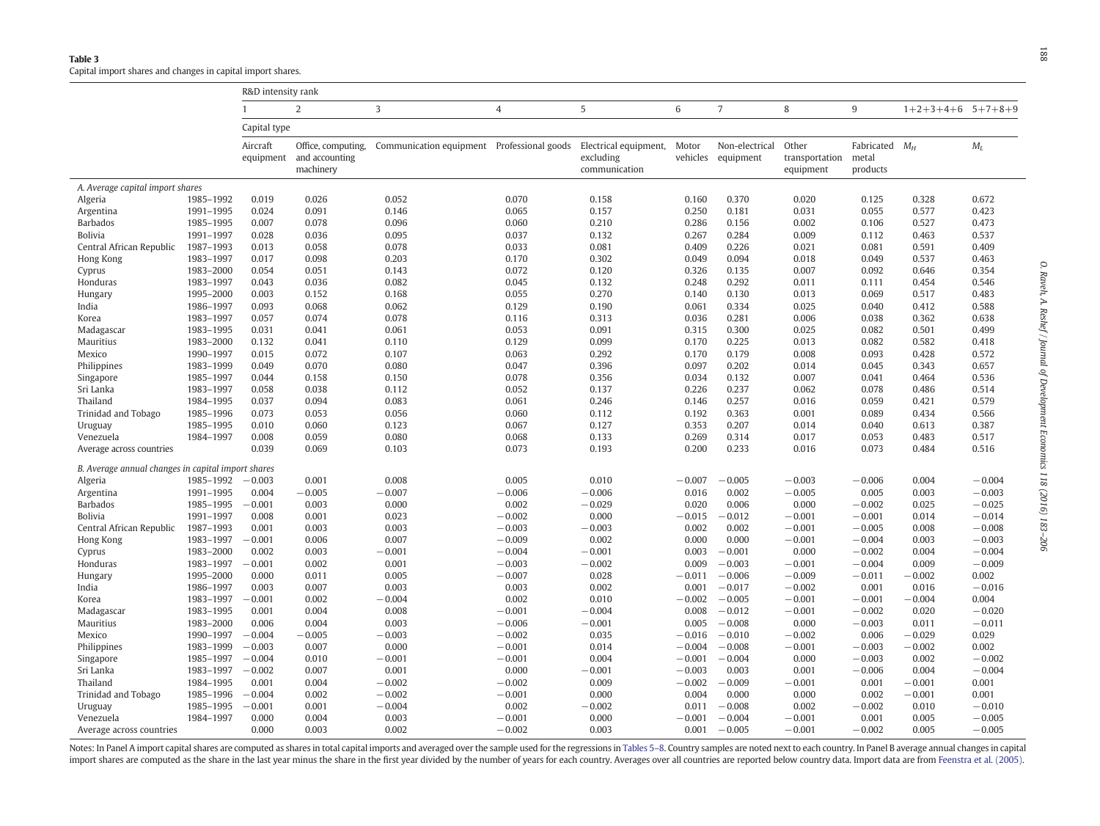<span id="page-5-0"></span>

|                                                    |                        | R&D intensity rank    |                                                   |                         |                    |                                                     |                   |                             |                                      |                                       |                       |                      |
|----------------------------------------------------|------------------------|-----------------------|---------------------------------------------------|-------------------------|--------------------|-----------------------------------------------------|-------------------|-----------------------------|--------------------------------------|---------------------------------------|-----------------------|----------------------|
|                                                    |                        |                       | 2                                                 | 3                       | 4                  | 5                                                   | 6                 | $\overline{7}$              | 8                                    | 9                                     | $1+2+3+4+6$ $5+7+8+9$ |                      |
|                                                    |                        | Capital type          |                                                   |                         |                    |                                                     |                   |                             |                                      |                                       |                       |                      |
|                                                    |                        | Aircraft<br>equipment | Office, computing,<br>and accounting<br>machinery | Communication equipment | Professional goods | Electrical equipment,<br>excluding<br>communication | Motor<br>vehicles | Non-electrical<br>equipment | Other<br>transportation<br>equipment | Fabricated $M_H$<br>metal<br>products |                       | $M_L$                |
| A. Average capital import shares                   |                        |                       |                                                   |                         |                    |                                                     |                   |                             |                                      |                                       |                       |                      |
| Algeria                                            | 1985-1992              | 0.019                 | 0.026                                             | 0.052                   | 0.070              | 0.158                                               | 0.160             | 0.370                       | 0.020                                | 0.125                                 | 0.328                 | 0.672                |
| Argentina                                          | 1991-1995              | 0.024                 | 0.091                                             | 0.146                   | 0.065              | 0.157                                               | 0.250             | 0.181                       | 0.031                                | 0.055                                 | 0.577                 | 0.423                |
| <b>Barbados</b>                                    | 1985-1995              | 0.007                 | 0.078                                             | 0.096                   | 0.060              | 0.210                                               | 0.286             | 0.156                       | 0.002                                | 0.106                                 | 0.527                 | 0.473                |
| Bolivia                                            | 1991-1997              | 0.028                 | 0.036                                             | 0.095                   | 0.037              | 0.132                                               | 0.267             | 0.284                       | 0.009                                | 0.112                                 | 0.463                 | 0.537                |
| Central African Republic                           | 1987-1993              | 0.013                 | 0.058                                             | 0.078                   | 0.033              | 0.081                                               | 0.409             | 0.226                       | 0.021                                | 0.081                                 | 0.591                 | 0.409                |
| Hong Kong                                          | 1983-1997              | 0.017                 | 0.098                                             | 0.203                   | 0.170              | 0.302                                               | 0.049             | 0.094                       | 0.018                                | 0.049                                 | 0.537                 | 0.463                |
| Cyprus                                             | 1983-2000              | 0.054                 | 0.051                                             | 0.143                   | 0.072              | 0.120                                               | 0.326             | 0.135                       | 0.007                                | 0.092                                 | 0.646                 | 0.354                |
| Honduras                                           | 1983-1997              | 0.043                 | 0.036                                             | 0.082                   | 0.045              | 0.132                                               | 0.248             | 0.292                       | 0.011                                | 0.111                                 | 0.454                 | 0.546                |
| Hungary                                            | 1995-2000              | 0.003                 | 0.152                                             | 0.168                   | 0.055              | 0.270                                               | 0.140             | 0.130                       | 0.013                                | 0.069                                 | 0.517                 | 0.483                |
| India                                              | 1986-1997              | 0.093                 | 0.068                                             | 0.062                   | 0.129              | 0.190                                               | 0.061             | 0.334                       | 0.025                                | 0.040                                 | 0.412                 | 0.588                |
| Korea                                              | 1983-1997              | 0.057                 | 0.074                                             | 0.078                   | 0.116              | 0.313                                               | 0.036             | 0.281                       | 0.006                                | 0.038                                 | 0.362                 | 0.638                |
| Madagascar                                         | 1983-1995              | 0.031                 | 0.041                                             | 0.061                   | 0.053              | 0.091                                               | 0.315             | 0.300                       | 0.025                                | 0.082                                 | 0.501                 | 0.499                |
| Mauritius                                          | 1983-2000              | 0.132                 | 0.041                                             | 0.110                   | 0.129              | 0.099                                               | 0.170             | 0.225                       | 0.013                                | 0.082                                 | 0.582                 | 0.418                |
| Mexico                                             | 1990-1997              | 0.015                 | 0.072                                             | 0.107                   | 0.063              | 0.292                                               | 0.170             | 0.179                       | 0.008                                | 0.093                                 | 0.428                 | 0.572                |
| Philippines                                        | 1983-1999              | 0.049                 | 0.070                                             | 0.080                   | 0.047              | 0.396                                               | 0.097             | 0.202                       | 0.014                                | 0.045                                 | 0.343                 | 0.657                |
| Singapore                                          | 1985-1997              | 0.044                 | 0.158                                             | 0.150                   | 0.078              | 0.356                                               | 0.034             | 0.132                       | 0.007                                | 0.041                                 | 0.464                 | 0.536                |
| Sri Lanka                                          | 1983-1997              | 0.058                 | 0.038                                             | 0.112                   | 0.052              | 0.137                                               | 0.226             | 0.237                       | 0.062                                | 0.078                                 | 0.486                 | 0.514                |
| Thailand                                           | 1984-1995              | 0.037                 | 0.094                                             | 0.083                   | 0.061              | 0.246                                               | 0.146             | 0.257                       | 0.016                                | 0.059                                 | 0.421                 | 0.579                |
| Trinidad and Tobago                                | 1985-1996              | 0.073                 | 0.053                                             | 0.056                   | 0.060              | 0.112                                               | 0.192             | 0.363                       | 0.001                                | 0.089                                 | 0.434                 | 0.566                |
| Uruguay                                            | 1985-1995              | 0.010                 | 0.060                                             | 0.123                   | 0.067              | 0.127                                               | 0.353             | 0.207                       | 0.014                                | 0.040                                 | 0.613                 | 0.387                |
| Venezuela                                          | 1984-1997              | 0.008                 | 0.059                                             | 0.080                   | 0.068              | 0.133                                               | 0.269             | 0.314                       | 0.017                                | 0.053                                 | 0.483                 | 0.517                |
| Average across countries                           |                        | 0.039                 | 0.069                                             | 0.103                   | 0.073              | 0.193                                               | 0.200             | 0.233                       | 0.016                                | 0.073                                 | 0.484                 | 0.516                |
| B. Average annual changes in capital import shares |                        |                       |                                                   |                         |                    |                                                     |                   |                             |                                      |                                       |                       |                      |
| Algeria                                            | 1985-1992              | $-0.003$              | 0.001                                             | 0.008                   | 0.005              | 0.010                                               | $-0.007$          | $-0.005$                    | $-0.003$                             | $-0.006$                              | 0.004                 | $-0.004$             |
| Argentina                                          | 1991-1995              | 0.004                 | $-0.005$                                          | $-0.007$                | $-0.006$           | $-0.006$                                            | 0.016             | 0.002                       | $-0.005$                             | 0.005                                 | 0.003                 | $-0.003$             |
| <b>Barbados</b>                                    | 1985-1995              | $-0.001$              | 0.003                                             | 0.000                   | 0.002              | $-0.029$                                            | 0.020             | 0.006                       | 0.000                                | $-0.002$                              | 0.025                 | $-0.025$             |
| <b>Bolivia</b>                                     | 1991-1997              | 0.008                 | 0.001                                             | 0.023                   | $-0.002$           | 0.000                                               | $-0.015$          | $-0.012$                    | $-0.001$                             | $-0.001$                              | 0.014                 | $-0.014$             |
| Central African Republic                           | 1987-1993              | 0.001                 | 0.003                                             | 0.003                   | $-0.003$           | $-0.003$                                            | 0.002             | 0.002                       | $-0.001$                             | $-0.005$                              | 0.008                 | $-0.008$             |
| Hong Kong                                          | 1983-1997              | $-0.001$              | 0.006                                             | 0.007                   | $-0.009$           | 0.002                                               | 0.000             | 0.000                       | $-0.001$                             | $-0.004$                              | 0.003                 | $-0.003$             |
| Cyprus                                             | 1983-2000              | 0.002                 | 0.003                                             | $-0.001$                | $-0.004$           | $-0.001$                                            | 0.003             | $-0.001$                    | 0.000                                | $-0.002$                              | 0.004                 | $-0.004$             |
| Honduras                                           | 1983-1997              | $-0.001$              | 0.002                                             | 0.001                   | $-0.003$           | $-0.002$                                            | 0.009             | $-0.003$                    | $-0.001$                             | $-0.004$                              | 0.009                 | $-0.009$             |
| Hungary                                            | 1995-2000              | 0.000                 | 0.011                                             | 0.005                   | $-0.007$           | 0.028                                               | $-0.011$          | $-0.006$                    | $-0.009$                             | $-0.011$                              | $-0.002$              | 0.002                |
| India                                              | 1986-1997              | 0.003                 | 0.007                                             | 0.003                   | 0.003              | 0.002                                               | 0.001             | $-0.017$                    | $-0.002$                             | 0.001                                 | 0.016                 | $-0.016$             |
| Korea                                              | 1983-1997              | $-0.001$              | 0.002                                             | $-0.004$                | 0.002              | 0.010                                               | $-0.002$          | $-0.005$                    | $-0.001$                             | $-0.001$                              | $-0.004$              | 0.004                |
| Madagascar                                         | 1983-1995              | 0.001                 | 0.004                                             | 0.008                   | $-0.001$           | $-0.004$                                            | 0.008             | $-0.012$                    | $-0.001$                             | $-0.002$                              | 0.020                 | $-0.020$             |
| Mauritius                                          | 1983-2000              | 0.006                 | 0.004                                             | 0.003                   | $-0.006$           | $-0.001$                                            | 0.005             | $-0.008$                    | 0.000                                | $-0.003$                              | 0.011                 | $-0.011$             |
| Mexico                                             | 1990-1997              | $-0.004$              | $-0.005$                                          | $-0.003$                | $-0.002$           | 0.035                                               | $-0.016$          | $-0.010$                    | $-0.002$                             | 0.006                                 | $-0.029$              | 0.029                |
| Philippines                                        | 1983-1999              | $-0.003$              | 0.007                                             | 0.000                   | $-0.001$           | 0.014                                               | $-0.004$          | $-0.008$                    | $-0.001$                             | $-0.003$                              | $-0.002$              | 0.002                |
| Singapore                                          | 1985-1997              | $-0.004$              | 0.010                                             | $-0.001$                | $-0.001$           | 0.004                                               | $-0.001$          | $-0.004$                    | 0.000                                | $-0.003$                              | 0.002                 | $-0.002$             |
| Sri Lanka                                          | 1983-1997              | $-0.002$              | 0.007                                             | 0.001                   | 0.000              | $-0.001$                                            | $-0.003$          | 0.003                       | 0.001                                | $-0.006$                              | 0.004                 | $-0.004$             |
| Thailand                                           | 1984-1995              | 0.001                 | 0.004                                             | $-0.002$                | $-0.002$           | 0.009                                               | $-0.002$          | $-0.009$                    | $-0.001$                             | 0.001                                 | $-0.001$              | 0.001                |
| <b>Trinidad and Tobago</b>                         | 1985-1996              | $-0.004$              | 0.002<br>0.001                                    | $-0.002$                | $-0.001$           | 0.000                                               | 0.004             | 0.000                       | 0.000                                | 0.002                                 | $-0.001$              | 0.001                |
| Uruguay<br>Venezuela                               | 1985-1995<br>1984-1997 | $-0.001$<br>0.000     | 0.004                                             | $-0.004$<br>0.003       | 0.002<br>$-0.001$  | $-0.002$<br>0.000                                   | 0.011<br>$-0.001$ | $-0.008$<br>$-0.004$        | 0.002<br>$-0.001$                    | $-0.002$<br>0.001                     | 0.010<br>0.005        | $-0.010$<br>$-0.005$ |
| Average across countries                           |                        | 0.000                 | 0.003                                             | 0.002                   | $-0.002$           | 0.003                                               | 0.001             | $-0.005$                    | $-0.001$                             | $-0.002$                              | 0.005                 | $-0.005$             |
|                                                    |                        |                       |                                                   |                         |                    |                                                     |                   |                             |                                      |                                       |                       |                      |

Notes: In Panel A import capital shares are computed as shares in total capital imports and averaged over the sample used for the regressions in [Tables](#page-6-0) 5-8. Country samples are noted next to each country. In Panel B averag import shares are computed as the share in the last year minus the share in the first year divided by the number of years for each country. Averages over all countries are reported below country data. Import data are from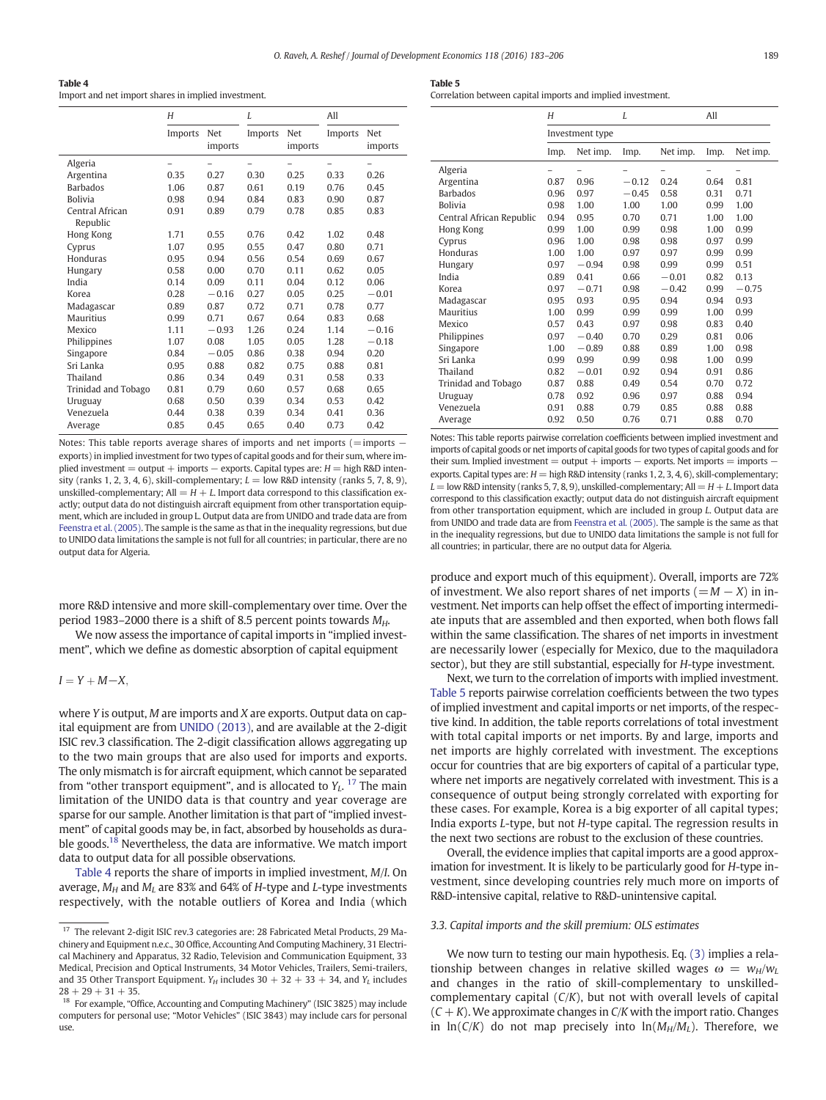<span id="page-6-0"></span>

| Table 4                                             |
|-----------------------------------------------------|
| Import and net import shares in implied investment. |

|                             | H       |                | L       |                | All     |                |  |
|-----------------------------|---------|----------------|---------|----------------|---------|----------------|--|
|                             | Imports | Net<br>imports | Imports | Net<br>imports | Imports | Net<br>imports |  |
| Algeria                     |         |                |         |                |         |                |  |
| Argentina                   | 0.35    | 0.27           | 0.30    | 0.25           | 0.33    | 0.26           |  |
| <b>Barbados</b>             | 1.06    | 0.87           | 0.61    | 0.19           | 0.76    | 0.45           |  |
| <b>Bolivia</b>              | 0.98    | 0.94           | 0.84    | 0.83           | 0.90    | 0.87           |  |
| Central African<br>Republic | 0.91    | 0.89           | 0.79    | 0.78           | 0.85    | 0.83           |  |
| Hong Kong                   | 1.71    | 0.55           | 0.76    | 0.42           | 1.02    | 0.48           |  |
| Cyprus                      | 1.07    | 0.95           | 0.55    | 0.47           | 0.80    | 0.71           |  |
| Honduras                    | 0.95    | 0.94           | 0.56    | 0.54           | 0.69    | 0.67           |  |
| Hungary                     | 0.58    | 0.00           | 0.70    | 0.11           | 0.62    | 0.05           |  |
| India                       | 0.14    | 0.09           | 0.11    | 0.04           | 0.12    | 0.06           |  |
| Korea                       | 0.28    | $-0.16$        | 0.27    | 0.05           | 0.25    | $-0.01$        |  |
| Madagascar                  | 0.89    | 0.87           | 0.72    | 0.71           | 0.78    | 0.77           |  |
| Mauritius                   | 0.99    | 0.71           | 0.67    | 0.64           | 0.83    | 0.68           |  |
| Mexico                      | 1.11    | $-0.93$        | 1.26    | 0.24           | 1.14    | $-0.16$        |  |
| Philippines                 | 1.07    | 0.08           | 1.05    | 0.05           | 1.28    | $-0.18$        |  |
| Singapore                   | 0.84    | $-0.05$        | 0.86    | 0.38           | 0.94    | 0.20           |  |
| Sri Lanka                   | 0.95    | 0.88           | 0.82    | 0.75           | 0.88    | 0.81           |  |
| Thailand                    | 0.86    | 0.34           | 0.49    | 0.31           | 0.58    | 0.33           |  |
| Trinidad and Tobago         | 0.81    | 0.79           | 0.60    | 0.57           | 0.68    | 0.65           |  |
| Uruguay                     | 0.68    | 0.50           | 0.39    | 0.34           | 0.53    | 0.42           |  |
| Venezuela                   | 0.44    | 0.38           | 0.39    | 0.34           | 0.41    | 0.36           |  |
| Average                     | 0.85    | 0.45           | 0.65    | 0.40           | 0.73    | 0.42           |  |

Notes: This table reports average shares of imports and net imports (=imports − exports) in implied investment for two types of capital goods and for their sum, where implied investment = output + imports  $-$  exports. Capital types are:  $H =$  high R&D intensity (ranks 1, 2, 3, 4, 6), skill-complementary;  $L =$  low R&D intensity (ranks 5, 7, 8, 9), unskilled-complementary; All  $=$  H  $+$  L. Import data correspond to this classification exactly; output data do not distinguish aircraft equipment from other transportation equipment, which are included in group L. Output data are from UNIDO and trade data are from [Feenstra et al. \(2005\).](#page-23-0) The sample is the same as that in the inequality regressions, but due to UNIDO data limitations the sample is not full for all countries; in particular, there are no output data for Algeria.

more R&D intensive and more skill-complementary over time. Over the period 1983–2000 there is a shift of 8.5 percent points towards  $M_{H}$ .

We now assess the importance of capital imports in "implied investment", which we define as domestic absorption of capital equipment

 $I = Y + M - X$ 

where Y is output, M are imports and X are exports. Output data on capital equipment are from [UNIDO \(2013\)](#page-23-0), and are available at the 2-digit ISIC rev.3 classification. The 2-digit classification allows aggregating up to the two main groups that are also used for imports and exports. The only mismatch is for aircraft equipment, which cannot be separated from "other transport equipment", and is allocated to  $Y_L$ . <sup>17</sup> The main limitation of the UNIDO data is that country and year coverage are sparse for our sample. Another limitation is that part of "implied investment" of capital goods may be, in fact, absorbed by households as durable goods.<sup>18</sup> Nevertheless, the data are informative. We match import data to output data for all possible observations.

Table 4 reports the share of imports in implied investment, M/I. On average,  $M_H$  and  $M_I$  are 83% and 64% of H-type and L-type investments respectively, with the notable outliers of Korea and India (which

| ۰.<br>$\sim$<br>. . |  |
|---------------------|--|
|---------------------|--|

Correlation between capital imports and implied investment.

|                          | Н    |                 | L       |          | All  |          |
|--------------------------|------|-----------------|---------|----------|------|----------|
|                          |      | Investment type |         |          |      |          |
|                          | Imp. | Net imp.        | Imp.    | Net imp. | Imp. | Net imp. |
| Algeria                  |      |                 |         |          |      |          |
| Argentina                | 0.87 | 0.96            | $-0.12$ | 0.24     | 0.64 | 0.81     |
| <b>Barbados</b>          | 0.96 | 0.97            | $-0.45$ | 0.58     | 0.31 | 0.71     |
| <b>Bolivia</b>           | 0.98 | 1.00            | 1.00    | 1.00     | 0.99 | 1.00     |
| Central African Republic | 0.94 | 0.95            | 0.70    | 0.71     | 1.00 | 1.00     |
| Hong Kong                | 0.99 | 1.00            | 0.99    | 0.98     | 1.00 | 0.99     |
| Cyprus                   | 0.96 | 1.00            | 0.98    | 0.98     | 0.97 | 0.99     |
| Honduras                 | 1.00 | 1.00            | 0.97    | 0.97     | 0.99 | 0.99     |
| Hungary                  | 0.97 | $-0.94$         | 0.98    | 0.99     | 0.99 | 0.51     |
| India                    | 0.89 | 0.41            | 0.66    | $-0.01$  | 0.82 | 0.13     |
| Korea                    | 0.97 | $-0.71$         | 0.98    | $-0.42$  | 0.99 | $-0.75$  |
| Madagascar               | 0.95 | 0.93            | 0.95    | 0.94     | 0.94 | 0.93     |
| <b>Mauritius</b>         | 1.00 | 0.99            | 0.99    | 0.99     | 1.00 | 0.99     |
| Mexico                   | 0.57 | 0.43            | 0.97    | 0.98     | 0.83 | 0.40     |
| Philippines              | 0.97 | $-0.40$         | 0.70    | 0.29     | 0.81 | 0.06     |
| Singapore                | 1.00 | $-0.89$         | 0.88    | 0.89     | 1.00 | 0.98     |
| Sri Lanka                | 0.99 | 0.99            | 0.99    | 0.98     | 1.00 | 0.99     |
| Thailand                 | 0.82 | $-0.01$         | 0.92    | 0.94     | 0.91 | 0.86     |
| Trinidad and Tobago      | 0.87 | 0.88            | 0.49    | 0.54     | 0.70 | 0.72     |
| Uruguay                  | 0.78 | 0.92            | 0.96    | 0.97     | 0.88 | 0.94     |
| Venezuela                | 0.91 | 0.88            | 0.79    | 0.85     | 0.88 | 0.88     |
| Average                  | 0.92 | 0.50            | 0.76    | 0.71     | 0.88 | 0.70     |

Notes: This table reports pairwise correlation coefficients between implied investment and imports of capital goods or net imports of capital goods for two types of capital goods and for their sum. Implied investment = output + imports − exports. Net imports = imports − exports. Capital types are:  $H =$  high R&D intensity (ranks 1, 2, 3, 4, 6), skill-complementary;  $L =$  low R&D intensity (ranks 5, 7, 8, 9), unskilled-complementary; All  $=$   $H + L$ . Import data correspond to this classification exactly; output data do not distinguish aircraft equipment from other transportation equipment, which are included in group L. Output data are from UNIDO and trade data are from [Feenstra et al. \(2005\)](#page-23-0). The sample is the same as that in the inequality regressions, but due to UNIDO data limitations the sample is not full for all countries; in particular, there are no output data for Algeria.

produce and export much of this equipment). Overall, imports are 72% of investment. We also report shares of net imports  $(=M - X)$  in investment. Net imports can help offset the effect of importing intermediate inputs that are assembled and then exported, when both flows fall within the same classification. The shares of net imports in investment are necessarily lower (especially for Mexico, due to the maquiladora sector), but they are still substantial, especially for H-type investment.

Next, we turn to the correlation of imports with implied investment. Table 5 reports pairwise correlation coefficients between the two types of implied investment and capital imports or net imports, of the respective kind. In addition, the table reports correlations of total investment with total capital imports or net imports. By and large, imports and net imports are highly correlated with investment. The exceptions occur for countries that are big exporters of capital of a particular type, where net imports are negatively correlated with investment. This is a consequence of output being strongly correlated with exporting for these cases. For example, Korea is a big exporter of all capital types; India exports L-type, but not H-type capital. The regression results in the next two sections are robust to the exclusion of these countries.

Overall, the evidence implies that capital imports are a good approximation for investment. It is likely to be particularly good for H-type investment, since developing countries rely much more on imports of R&D-intensive capital, relative to R&D-unintensive capital.

#### 3.3. Capital imports and the skill premium: OLS estimates

We now turn to testing our main hypothesis. Eq. [\(3\)](#page-2-0) implies a relationship between changes in relative skilled wages  $\omega = w_H/w_U$ and changes in the ratio of skill-complementary to unskilledcomplementary capital  $(C/K)$ , but not with overall levels of capital  $(C + K)$ . We approximate changes in  $C/K$  with the import ratio. Changes in  $ln(C/K)$  do not map precisely into  $ln(M_H/M_I)$ . Therefore, we

<sup>&</sup>lt;sup>17</sup> The relevant 2-digit ISIC rev.3 categories are: 28 Fabricated Metal Products, 29 Machinery and Equipment n.e.c., 30 Office, Accounting And Computing Machinery, 31 Electrical Machinery and Apparatus, 32 Radio, Television and Communication Equipment, 33 Medical, Precision and Optical Instruments, 34 Motor Vehicles, Trailers, Semi-trailers, and 35 Other Transport Equipment.  $Y_H$  includes 30 + 32 + 33 + 34, and  $Y_L$  includes  $28 + 29 + 31 + 35$ .

<sup>&</sup>lt;sup>18</sup> For example, "Office, Accounting and Computing Machinery" (ISIC 3825) may include computers for personal use; "Motor Vehicles" (ISIC 3843) may include cars for personal use.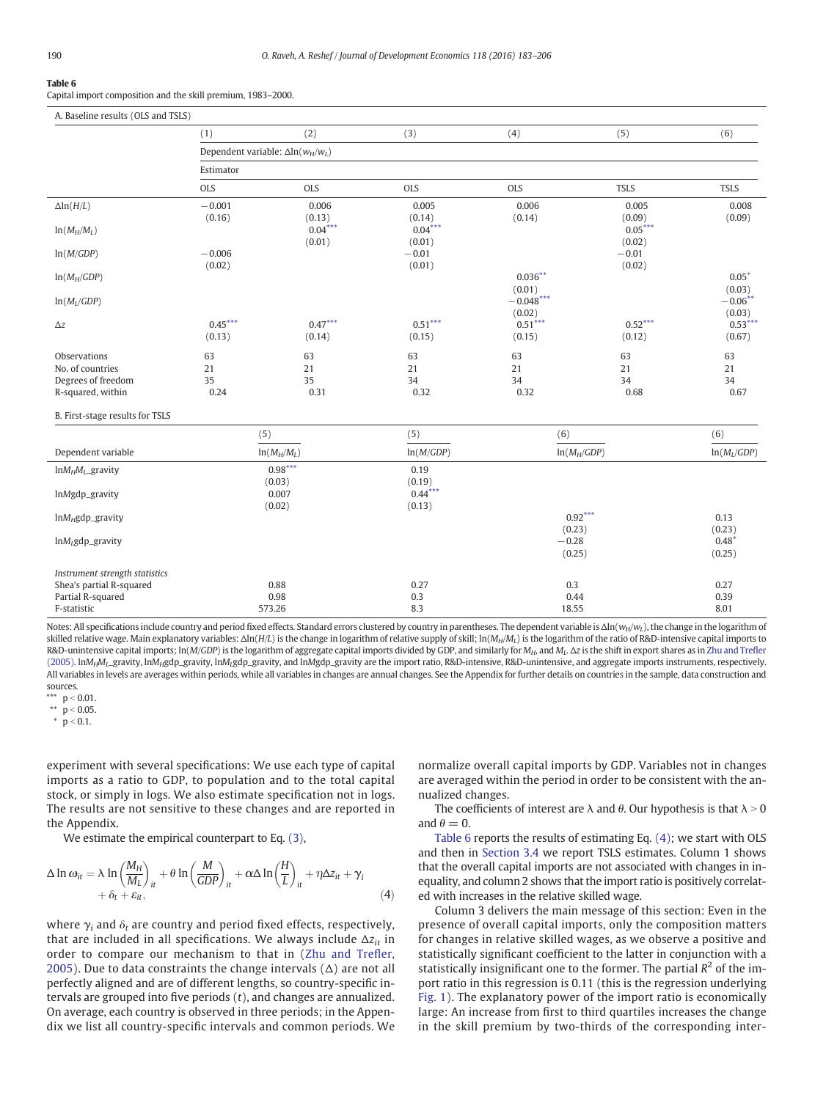<span id="page-7-0"></span>Capital import composition and the skill premium, 1983–2000.

| A. Baseline results (OLS and TSLS) |                                           |                     |                     |                       |                     |                      |
|------------------------------------|-------------------------------------------|---------------------|---------------------|-----------------------|---------------------|----------------------|
|                                    | (1)                                       | (2)                 | (3)                 | (4)                   | (5)                 | (6)                  |
|                                    | Dependent variable: $\Delta \ln(w_H/w_L)$ |                     |                     |                       |                     |                      |
|                                    | Estimator                                 |                     |                     |                       |                     |                      |
|                                    | <b>OLS</b>                                | <b>OLS</b>          | <b>OLS</b>          | <b>OLS</b>            | <b>TSLS</b>         | <b>TSLS</b>          |
| $\Delta$ ln( $H/L$ )               | $-0.001$<br>(0.16)                        | 0.006<br>(0.13)     | 0.005<br>(0.14)     | 0.006<br>(0.14)       | 0.005<br>(0.09)     | 0.008<br>(0.09)      |
| $ln(M_H/M_L)$                      |                                           | $0.04***$<br>(0.01) | $0.04***$<br>(0.01) |                       | $0.05***$<br>(0.02) |                      |
| ln(M/GDP)                          | $-0.006$<br>(0.02)                        |                     | $-0.01$<br>(0.01)   |                       | $-0.01$<br>(0.02)   |                      |
| $ln(M_H/GDP)$                      |                                           |                     |                     | $0.036***$<br>(0.01)  |                     | $0.05*$<br>(0.03)    |
| $ln(M_I/GDP)$                      |                                           |                     |                     | $-0.048***$<br>(0.02) |                     | $-0.06***$<br>(0.03) |
| $\Delta z$                         | $0.45***$<br>(0.13)                       | $0.47***$<br>(0.14) | $0.51***$<br>(0.15) | $0.51***$<br>(0.15)   | $0.52***$<br>(0.12) | $0.53***$<br>(0.67)  |
| Observations                       | 63                                        | 63                  | 63                  | 63                    | 63                  | 63                   |
| No. of countries                   | 21                                        | 21                  | 21                  | 21                    | 21                  | 21                   |
| Degrees of freedom                 | 35                                        | 35                  | 34                  | 34                    | 34                  | 34                   |
| R-squared, within                  | 0.24                                      | 0.31                | 0.32                | 0.32                  | 0.68                | 0.67                 |
| B. First-stage results for TSLS    |                                           |                     |                     |                       |                     |                      |
|                                    | (5)                                       |                     | (5)                 | (6)                   |                     | (6)                  |
| Dependent variable                 |                                           | $ln(M_H/M_L)$       | ln(M/GDP)           | $ln(M_H/GDP)$         |                     | $ln(M_L/GDP)$        |
| $ln M_H M_L$ gravity               |                                           | $0.98***$           | 0.19                |                       |                     |                      |
| lnMgdp_gravity                     |                                           | (0.03)<br>0.007     | (0.19)<br>$0.44***$ |                       |                     |                      |
|                                    |                                           | (0.02)              | (0.13)              |                       |                     |                      |
| $ln M_H$ gdp_gravity               |                                           |                     |                     | $0.92***$             |                     | 0.13                 |
|                                    |                                           |                     |                     | (0.23)                |                     | (0.23)               |
| $lnM_L$ gdp_gravity                |                                           |                     |                     | $-0.28$<br>(0.25)     |                     | $0.48*$<br>(0.25)    |
| Instrument strength statistics     |                                           |                     |                     |                       |                     |                      |
| Shea's partial R-squared           |                                           | 0.88                | 0.27                | 0.3                   |                     | 0.27                 |
| Partial R-squared                  |                                           | 0.98                | 0.3                 | 0.44                  |                     | 0.39                 |
| F-statistic                        |                                           | 573.26              | 8.3                 | 18.55                 |                     | 8.01                 |

Notes: All specifications include country and period fixed effects. Standard errors clustered by country in parentheses. The dependent variable is  $\Delta \ln(w_H/w_L)$ , the change in the logarithm of skilled relative wage. Main explanatory variables: Δln(H/L) is the change in logarithm of relative supply of skill; ln(M<sub>H</sub>/M<sub>L</sub>) is the logarithm of the ratio of R&D-intensive capital imports to R&D-unintensive capital imports; ln(M/GDP) is the logarithm of aggregate capital imports divided by GDP, and similarly for M<sub>H</sub>, and M<sub>L</sub>. Δz is the shift in export shares as in [Zhu and Tre](#page-23-0)fler [\(2005\)](#page-23-0). lnM<sub>H</sub>M<sub>L</sub>\_gravity, lnM<sub>H</sub>gdp\_gravity, lnM<sub>L</sub>gdp\_gravity, and lnMgdp\_gravity are the import ratio, R&D-intensive, R&D-unintensive, and aggregate imports instruments, respectively. All variables in levels are averages within periods, while all variables in changes are annual changes. See the Appendix for further details on countries in the sample, data construction and sources.

\*\*  $p < 0.01$ .

\*\*  $p < 0.05$ .

 $\bar{p}$  > 0.1.

experiment with several specifications: We use each type of capital imports as a ratio to GDP, to population and to the total capital stock, or simply in logs. We also estimate specification not in logs. The results are not sensitive to these changes and are reported in the Appendix.

We estimate the empirical counterpart to Eq. [\(3\)](#page-2-0),

$$
\Delta \ln \omega_{it} = \lambda \ln \left( \frac{M_H}{M_L} \right)_{it} + \theta \ln \left( \frac{M}{GDP} \right)_{it} + \alpha \Delta \ln \left( \frac{H}{L} \right)_{it} + \eta \Delta z_{it} + \gamma_i
$$
  
+  $\delta_t + \varepsilon_{it}$ , (4)

where  $\gamma_i$  and  $\delta_t$  are country and period fixed effects, respectively, that are included in all specifications. We always include  $\Delta z_{it}$  in order to compare our mechanism to that in [\(Zhu and Tre](#page-23-0)fler, [2005\)](#page-23-0). Due to data constraints the change intervals  $(\Delta)$  are not all perfectly aligned and are of different lengths, so country-specific intervals are grouped into five periods  $(t)$ , and changes are annualized. On average, each country is observed in three periods; in the Appendix we list all country-specific intervals and common periods. We normalize overall capital imports by GDP. Variables not in changes are averaged within the period in order to be consistent with the annualized changes.

The coefficients of interest are  $\lambda$  and  $\theta$ . Our hypothesis is that  $\lambda > 0$ and  $\theta = 0$ .

Table 6 reports the results of estimating Eq. (4); we start with OLS and then in [Section 3.4](#page-8-0) we report TSLS estimates. Column 1 shows that the overall capital imports are not associated with changes in inequality, and column 2 shows that the import ratio is positively correlated with increases in the relative skilled wage.

Column 3 delivers the main message of this section: Even in the presence of overall capital imports, only the composition matters for changes in relative skilled wages, as we observe a positive and statistically significant coefficient to the latter in conjunction with a statistically insignificant one to the former. The partial  $R^2$  of the import ratio in this regression is 0.11 (this is the regression underlying [Fig. 1](#page-1-0)). The explanatory power of the import ratio is economically large: An increase from first to third quartiles increases the change in the skill premium by two-thirds of the corresponding inter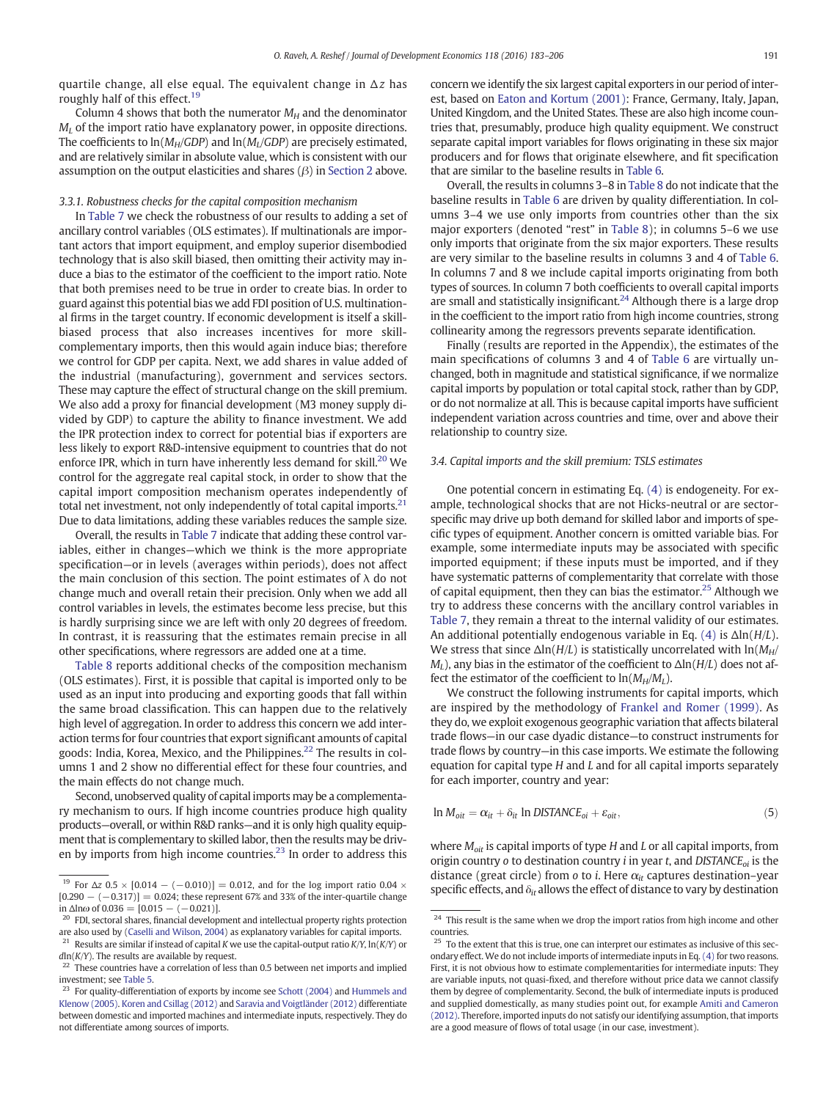<span id="page-8-0"></span>quartile change, all else equal. The equivalent change in  $\Delta z$  has roughly half of this effect.<sup>19</sup>

Column 4 shows that both the numerator  $M_H$  and the denominator  $M_l$  of the import ratio have explanatory power, in opposite directions. The coefficients to  $\ln(M_H/GDP)$  and  $\ln(M_I/GDP)$  are precisely estimated, and are relatively similar in absolute value, which is consistent with our assumption on the output elasticities and shares  $(\beta)$  in [Section 2](#page-2-0) above.

#### 3.3.1. Robustness checks for the capital composition mechanism

In [Table 7](#page-9-0) we check the robustness of our results to adding a set of ancillary control variables (OLS estimates). If multinationals are important actors that import equipment, and employ superior disembodied technology that is also skill biased, then omitting their activity may induce a bias to the estimator of the coefficient to the import ratio. Note that both premises need to be true in order to create bias. In order to guard against this potential bias we add FDI position of U.S. multinational firms in the target country. If economic development is itself a skillbiased process that also increases incentives for more skillcomplementary imports, then this would again induce bias; therefore we control for GDP per capita. Next, we add shares in value added of the industrial (manufacturing), government and services sectors. These may capture the effect of structural change on the skill premium. We also add a proxy for financial development (M3 money supply divided by GDP) to capture the ability to finance investment. We add the IPR protection index to correct for potential bias if exporters are less likely to export R&D-intensive equipment to countries that do not enforce IPR, which in turn have inherently less demand for skill. $^{20}$  We control for the aggregate real capital stock, in order to show that the capital import composition mechanism operates independently of total net investment, not only independently of total capital imports. $21$ Due to data limitations, adding these variables reduces the sample size.

Overall, the results in [Table 7](#page-9-0) indicate that adding these control variables, either in changes—which we think is the more appropriate specification—or in levels (averages within periods), does not affect the main conclusion of this section. The point estimates of  $\lambda$  do not change much and overall retain their precision. Only when we add all control variables in levels, the estimates become less precise, but this is hardly surprising since we are left with only 20 degrees of freedom. In contrast, it is reassuring that the estimates remain precise in all other specifications, where regressors are added one at a time.

[Table 8](#page-10-0) reports additional checks of the composition mechanism (OLS estimates). First, it is possible that capital is imported only to be used as an input into producing and exporting goods that fall within the same broad classification. This can happen due to the relatively high level of aggregation. In order to address this concern we add interaction terms for four countries that export significant amounts of capital goods: India, Korea, Mexico, and the Philippines.<sup>22</sup> The results in columns 1 and 2 show no differential effect for these four countries, and the main effects do not change much.

Second, unobserved quality of capital imports may be a complementary mechanism to ours. If high income countries produce high quality products—overall, or within R&D ranks—and it is only high quality equipment that is complementary to skilled labor, then the results may be driven by imports from high income countries.<sup>23</sup> In order to address this concern we identify the six largest capital exporters in our period of interest, based on [Eaton and Kortum \(2001\)](#page-23-0): France, Germany, Italy, Japan, United Kingdom, and the United States. These are also high income countries that, presumably, produce high quality equipment. We construct separate capital import variables for flows originating in these six major producers and for flows that originate elsewhere, and fit specification that are similar to the baseline results in [Table 6.](#page-7-0)

Overall, the results in columns 3–8 in [Table 8](#page-10-0) do not indicate that the baseline results in [Table 6](#page-7-0) are driven by quality differentiation. In columns 3–4 we use only imports from countries other than the six major exporters (denoted "rest" in [Table 8\)](#page-10-0); in columns 5–6 we use only imports that originate from the six major exporters. These results are very similar to the baseline results in columns 3 and 4 of [Table 6.](#page-7-0) In columns 7 and 8 we include capital imports originating from both types of sources. In column 7 both coefficients to overall capital imports are small and statistically insignificant.<sup>24</sup> Although there is a large drop in the coefficient to the import ratio from high income countries, strong collinearity among the regressors prevents separate identification.

Finally (results are reported in the Appendix), the estimates of the main specifications of columns 3 and 4 of [Table 6](#page-7-0) are virtually unchanged, both in magnitude and statistical significance, if we normalize capital imports by population or total capital stock, rather than by GDP, or do not normalize at all. This is because capital imports have sufficient independent variation across countries and time, over and above their relationship to country size.

# 3.4. Capital imports and the skill premium: TSLS estimates

One potential concern in estimating Eq. [\(4\)](#page-7-0) is endogeneity. For example, technological shocks that are not Hicks-neutral or are sectorspecific may drive up both demand for skilled labor and imports of specific types of equipment. Another concern is omitted variable bias. For example, some intermediate inputs may be associated with specific imported equipment; if these inputs must be imported, and if they have systematic patterns of complementarity that correlate with those of capital equipment, then they can bias the estimator.<sup>25</sup> Although we try to address these concerns with the ancillary control variables in [Table 7,](#page-9-0) they remain a threat to the internal validity of our estimates. An additional potentially endogenous variable in Eq. [\(4\)](#page-7-0) is  $\Delta$ ln(H/L). We stress that since  $\Delta$ ln(H/L) is statistically uncorrelated with ln(M<sub>H</sub>/  $M_l$ ), any bias in the estimator of the coefficient to  $\Delta$ ln( $H/L$ ) does not affect the estimator of the coefficient to  $\ln(M_H/M_I)$ .

We construct the following instruments for capital imports, which are inspired by the methodology of [Frankel and Romer \(1999\).](#page-23-0) As they do, we exploit exogenous geographic variation that affects bilateral trade flows—in our case dyadic distance—to construct instruments for trade flows by country—in this case imports. We estimate the following equation for capital type  $H$  and  $L$  and for all capital imports separately for each importer, country and year:

$$
\ln M_{oit} = \alpha_{it} + \delta_{it} \ln \text{DISTANCE}_{oi} + \varepsilon_{oit},\tag{5}
$$

where  $M_{\text{oit}}$  is capital imports of type H and L or all capital imports, from origin country o to destination country *i* in year *t*, and DISTANC $E_{oi}$  is the distance (great circle) from o to *i*. Here  $\alpha_{it}$  captures destination–year <sup>19</sup> For Δz 0.5 × [0.014 – (−0.010)] = 0.012, and for the log import ratio 0.04 ×<br>Specific effects, and  $\delta_{it}$  allows the effect of distance to vary by destination

 $[0.290 - (-0.317)] = 0.024$ ; these represent 67% and 33% of the inter-quartile change in  $\Delta$ lnω of 0.036 = [0.015 – (-0.021)].

<sup>&</sup>lt;sup>20</sup> FDI, sectoral shares, financial development and intellectual property rights protection are also used by [\(Caselli and Wilson, 2004\)](#page-23-0) as explanatory variables for capital imports.

<sup>&</sup>lt;sup>21</sup> Results are similar if instead of capital K we use the capital-output ratio K/Y,  $ln(K/Y)$  or  $dln(K/Y)$ . The results are available by request.

These countries have a correlation of less than 0.5 between net imports and implied investment; see [Table 5.](#page-6-0)

 $23$  For quality-differentiation of exports by income see [Schott \(2004\)](#page-23-0) and [Hummels and](#page-23-0) [Klenow \(2005\)](#page-23-0). [Koren and Csillag \(2012\)](#page-23-0) and [Saravia and Voigtländer \(2012\)](#page-23-0) differentiate between domestic and imported machines and intermediate inputs, respectively. They do not differentiate among sources of imports.

 $24$  This result is the same when we drop the import ratios from high income and other countries.

 $25$  To the extent that this is true, one can interpret our estimates as inclusive of this secondary effect. We do not include imports of intermediate inputs in Eq. [\(4\)](#page-7-0) for two reasons. First, it is not obvious how to estimate complementarities for intermediate inputs: They are variable inputs, not quasi-fixed, and therefore without price data we cannot classify them by degree of complementarity. Second, the bulk of intermediate inputs is produced and supplied domestically, as many studies point out, for example [Amiti and Cameron](#page-23-0) [\(2012\)](#page-23-0). Therefore, imported inputs do not satisfy our identifying assumption, that imports are a good measure of flows of total usage (in our case, investment).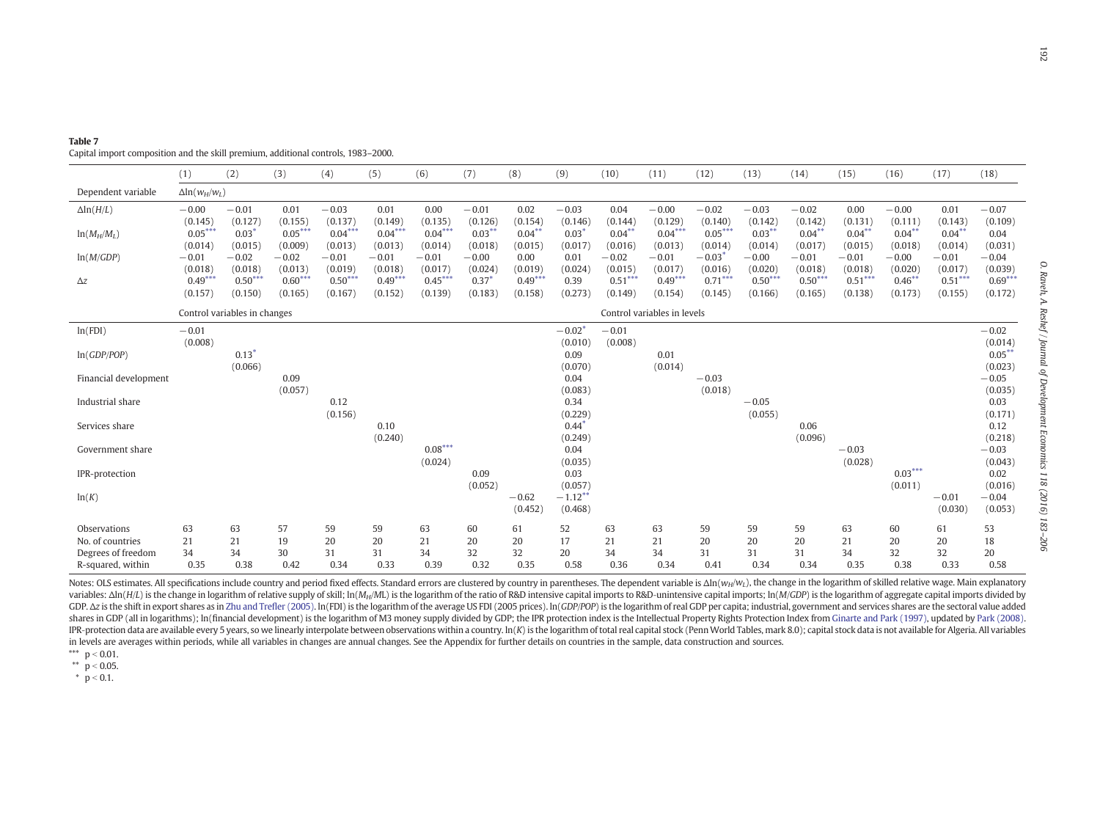| 0.00<br>0.111)<br>$0.04***$<br>0.018)<br>0.00<br>0.020)<br>$0.46^{**}$ | 0.01<br>(0.143)<br>$0.04***$<br>(0.014)<br>$-0.01$<br>(0.017)<br>$0.51***$ | $-0.07$<br>(0.109)<br>0.04<br>(0.031)<br>$-0.04$<br>(0.039)<br>$0.69***$                                                                                              |
|------------------------------------------------------------------------|----------------------------------------------------------------------------|-----------------------------------------------------------------------------------------------------------------------------------------------------------------------|
| 0.173)                                                                 | (0.155)                                                                    | (0.172)                                                                                                                                                               |
| $0.03^{***}$<br>0.011)                                                 | $-0.01$<br>(0.030)                                                         | $-0.02$<br>(0.014)<br>$0.05***$<br>(0.023)<br>$-0.05$<br>(0.035)<br>0.03<br>(0.171)<br>0.12<br>(0.218)<br>$-0.03$<br>(0.043)<br>0.02<br>(0.016)<br>$-0.04$<br>(0.053) |
| Ō                                                                      | 61                                                                         | 53                                                                                                                                                                    |

Dependent variable  $\Delta \ln(w_H/w_L)$ 

<span id="page-9-0"></span>Capital import composition and the skill premium, additional controls, 1983–2000.

| $\Delta$ ln( $H/L$ )                                                                                                                                                                                                                     | $-0.00$   | $-0.01$                      | 0.01      | $-0.03$   | 0.01      | 0.00      | $-0.01$             | 0.02      | $-0.03$                        | 0.04      | $-0.00$                     | $-0.02$   | $-0.03$   | $-0.02$   | 0.00      | $-0.00$   | 0.01      | $-0.07$            |
|------------------------------------------------------------------------------------------------------------------------------------------------------------------------------------------------------------------------------------------|-----------|------------------------------|-----------|-----------|-----------|-----------|---------------------|-----------|--------------------------------|-----------|-----------------------------|-----------|-----------|-----------|-----------|-----------|-----------|--------------------|
|                                                                                                                                                                                                                                          | (0.145)   | (0.127)                      | (0.155)   | (0.137)   | (0.149)   | (0.135)   | (0.126)             | (0.154)   | (0.146)                        | (0.144)   | (0.129)                     | (0.140)   | (0.142)   | (0.142)   | (0.131)   | (0.111)   | (0.143)   | (0.109)            |
| $ln(M_H/M_L)$                                                                                                                                                                                                                            | $0.05***$ | $0.03*$                      | $0.05***$ | $0.04***$ | $0.04***$ | $0.04***$ | $0.03***$           | $0.04***$ | $0.03$ <sup>*</sup>            | $0.04***$ | $0.04***$                   | $0.05***$ | $0.03***$ | $0.04***$ | $0.04***$ | $0.04***$ | $0.04***$ | 0.04               |
|                                                                                                                                                                                                                                          | (0.014)   | (0.015)                      | (0.009)   | (0.013)   | (0.013)   | (0.014)   | (0.018)             | (0.015)   | (0.017)                        | (0.016)   | (0.013)                     | (0.014)   | (0.014)   | (0.017)   | (0.015)   | (0.018)   | (0.014)   | (0.031)            |
| ln(M/GDP)                                                                                                                                                                                                                                | $-0.01$   | $-0.02$                      | $-0.02$   | $-0.01$   | $-0.01$   | $-0.01$   | $-0.00$             | 0.00      | 0.01                           | $-0.02$   | $-0.01$                     | $-0.03$   | $-0.00$   | $-0.01$   | $-0.01$   | $-0.00$   | $-0.01$   | $-0.04$            |
|                                                                                                                                                                                                                                          | (0.018)   | (0.018)                      | (0.013)   | (0.019)   | (0.018)   | (0.017)   | (0.024)             | (0.019)   | (0.024)                        | (0.015)   | (0.017)                     | (0.016)   | (0.020)   | (0.018)   | (0.018)   | (0.020)   | (0.017)   | (0.039)            |
| $\Delta z$                                                                                                                                                                                                                               | $0.49***$ | $0.50***$                    | $0.60***$ | $0.50***$ | $0.49***$ | $0.45***$ | $0.37$ <sup>*</sup> | $0.49***$ | 0.39                           | $0.51***$ | $0.49***$                   | $0.71***$ | $0.50***$ | $0.50***$ | $0.51***$ | $0.46***$ | $0.51***$ | $0.69***$          |
|                                                                                                                                                                                                                                          | (0.157)   | (0.150)                      | (0.165)   | (0.167)   | (0.152)   | (0.139)   | (0.183)             | (0.158)   | (0.273)                        | (0.149)   | (0.154)                     | (0.145)   | (0.166)   | (0.165)   | (0.138)   | (0.173)   | (0.155)   | (0.172)            |
|                                                                                                                                                                                                                                          |           | Control variables in changes |           |           |           |           |                     |           |                                |           | Control variables in levels |           |           |           |           |           |           |                    |
|                                                                                                                                                                                                                                          |           |                              |           |           |           |           |                     |           |                                |           |                             |           |           |           |           |           |           |                    |
| ln(FDI)                                                                                                                                                                                                                                  | $-0.01$   |                              |           |           |           |           |                     |           | $-0.02$ <sup>*</sup>           | $-0.01$   |                             |           |           |           |           |           |           | $-0.02$            |
|                                                                                                                                                                                                                                          | (0.008)   |                              |           |           |           |           |                     |           | (0.010)                        | (0.008)   |                             |           |           |           |           |           |           | (0.014)            |
| ln(GDP/POP)                                                                                                                                                                                                                              |           | 0.13                         |           |           |           |           |                     |           | 0.09                           |           | 0.01                        |           |           |           |           |           |           | $0.05***$          |
|                                                                                                                                                                                                                                          |           | (0.066)                      |           |           |           |           |                     |           | (0.070)                        |           | (0.014)                     |           |           |           |           |           |           | (0.023)            |
| Financial development                                                                                                                                                                                                                    |           |                              | 0.09      |           |           |           |                     |           | 0.04                           |           |                             | $-0.03$   |           |           |           |           |           | $-0.05$            |
|                                                                                                                                                                                                                                          |           |                              | (0.057)   |           |           |           |                     |           | (0.083)                        |           |                             | (0.018)   |           |           |           |           |           | (0.035)            |
| Industrial share                                                                                                                                                                                                                         |           |                              |           | 0.12      |           |           |                     |           | 0.34                           |           |                             |           | $-0.05$   |           |           |           |           | 0.03               |
|                                                                                                                                                                                                                                          |           |                              |           | (0.156)   | 0.10      |           |                     |           | (0.229)<br>$0.44$ <sup>*</sup> |           |                             |           | (0.055)   | 0.06      |           |           |           | (0.171)            |
| Services share                                                                                                                                                                                                                           |           |                              |           |           |           |           |                     |           |                                |           |                             |           |           |           |           |           |           | 0.12               |
| Government share                                                                                                                                                                                                                         |           |                              |           |           | (0.240)   | $0.08***$ |                     |           | (0.249)<br>0.04                |           |                             |           |           | (0.096)   | $-0.03$   |           |           | (0.218)<br>$-0.03$ |
|                                                                                                                                                                                                                                          |           |                              |           |           |           | (0.024)   |                     |           | (0.035)                        |           |                             |           |           |           | (0.028)   |           |           | (0.043)            |
| IPR-protection                                                                                                                                                                                                                           |           |                              |           |           |           |           | 0.09                |           | 0.03                           |           |                             |           |           |           |           | $0.03***$ |           | 0.02               |
|                                                                                                                                                                                                                                          |           |                              |           |           |           |           | (0.052)             |           | (0.057)                        |           |                             |           |           |           |           | (0.011)   |           | (0.016)            |
| ln(K)                                                                                                                                                                                                                                    |           |                              |           |           |           |           |                     | $-0.62$   | $-1.12$ <sup>*</sup>           |           |                             |           |           |           |           |           | $-0.01$   | $-0.04$            |
|                                                                                                                                                                                                                                          |           |                              |           |           |           |           |                     | (0.452)   | (0.468)                        |           |                             |           |           |           |           |           | (0.030)   | (0.053)            |
|                                                                                                                                                                                                                                          |           |                              |           |           |           |           |                     |           |                                |           |                             |           |           |           |           |           |           |                    |
| Observations                                                                                                                                                                                                                             | 63        | 63                           | 57        | 59        | 59        | 63        | 60                  | 61        | 52                             | 63        | 63                          | 59        | 59        | 59        | 63        | 60        | 61        | 53                 |
| No. of countries                                                                                                                                                                                                                         | 21        | 21                           | 19        | 20        | 20        | 21        | 20                  | 20        | 17                             | 21        | 21                          | 20        | 20        | 20        | 21        | 20        | 20        | 18                 |
| Degrees of freedom                                                                                                                                                                                                                       | 34        | 34                           | 30        | 31        | 31        | 34        | 32                  | 32        | 20                             | 34        | 34                          | 31        | 31        | 31        | 34        | 32        | 32        | 20                 |
| R-squared, within                                                                                                                                                                                                                        | 0.35      | 0.38                         | 0.42      | 0.34      | 0.33      | 0.39      | 0.32                | 0.35      | 0.58                           | 0.36      | 0.34                        | 0.41      | 0.34      | 0.34      | 0.35      | 0.38      | 0.33      | 0.58               |
| Notes: OLS estimates. All specifications include country and period fixed effects. Standard errors are clustered by country in parentheses. The dependent variable is $\Delta \ln(w_H/w_L)$ , the change in the logarithm of skilled rel |           |                              |           |           |           |           |                     |           |                                |           |                             |           |           |           |           |           |           |                    |

(1) (2) (3) (4) (5) (6) (7) (8) (9) (10) (11) (12) (13) (14) (15) (16) (17) (18)

variables:  $\Delta$ ln(H/L) is the change in logarithm of relative supply of skill; ln(M<sub>H</sub>/ML) is the logarithm of the ratio of R&D intensive capital imports to R&D-unintensive capital imports; ln(M(GDP) is the logarithm of ag GDP. Az is the shift in export shares as in Zhu and Trefler [\(2005\)](#page-23-0). In(FDI) is the logarithm of the average US FDI (2005 prices). In(GDP/POP) is the logarithm of real GDP per capita; industrial, government and services sha shares in GDP (all in logarithms); In(financial development) is the logarithm of M3 money supply divided by GDP; the IPR protection index is the Intellectual Property Rights Protection Index from Ginarte and Park [\(1997\)](#page-23-0), u IPR-protection data are available every 5 years, so we linearly interpolate between observations within a country. In(K) is the logarithm of total real capital stock (Penn World Tables, mark 8.0); capital stock data is not in levels are averages within periods, while all variables in changes are annual changes. See the Appendix for further details on countries in the sample, data construction and sources.

\*\*\*  $p < 0.01$ . \*\*  $p < 0.05$ .

 $p < 0.1$ .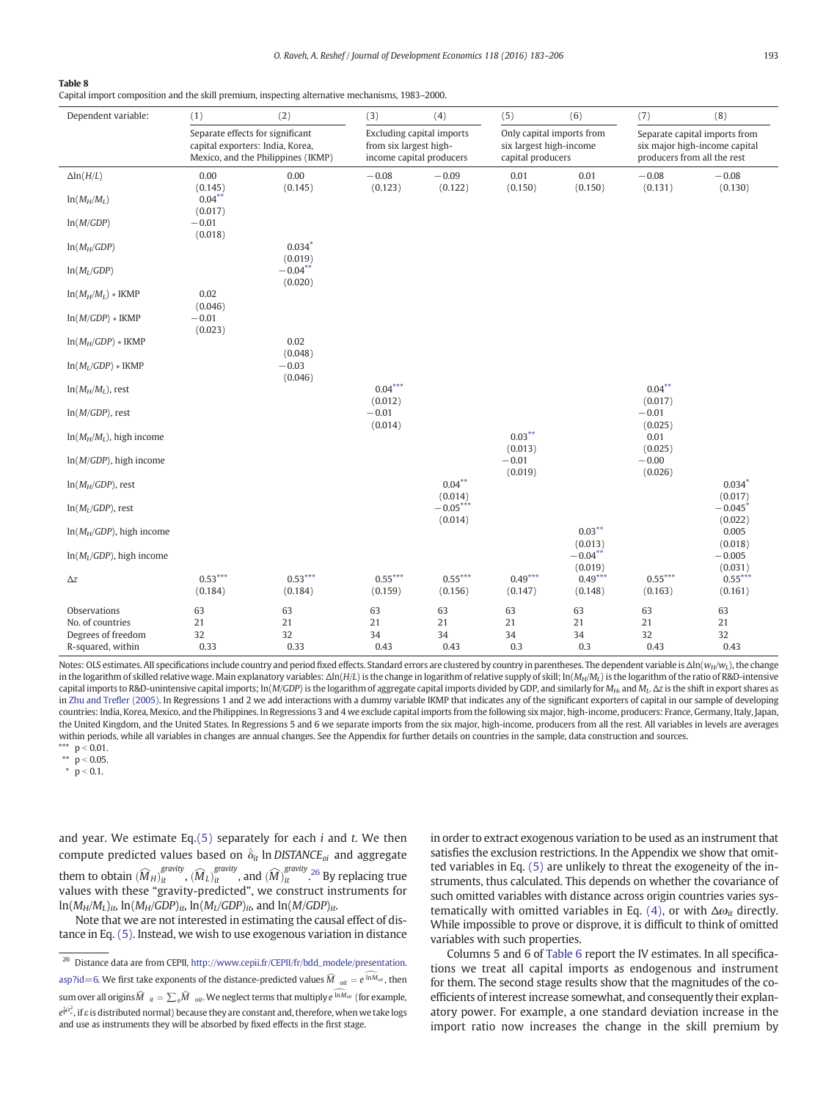O. Raveh, A. Reshef / Journal of Development Economics 118 (2016) 183–206 193

#### <span id="page-10-0"></span>Table 8

Capital import composition and the skill premium, inspecting alternative mechanisms, 1983–2000.

| Dependent variable:                     | (1)                                                                                                        | (2)                   | (3)                                                                                    | (4)                   | (5)                                          | (6)                       | (7)                                                                                           | (8)                  |  |
|-----------------------------------------|------------------------------------------------------------------------------------------------------------|-----------------------|----------------------------------------------------------------------------------------|-----------------------|----------------------------------------------|---------------------------|-----------------------------------------------------------------------------------------------|----------------------|--|
|                                         | Separate effects for significant<br>capital exporters: India, Korea,<br>Mexico, and the Philippines (IKMP) |                       | <b>Excluding capital imports</b><br>from six largest high-<br>income capital producers |                       | six largest high-income<br>capital producers | Only capital imports from | Separate capital imports from<br>six major high-income capital<br>producers from all the rest |                      |  |
| $\Delta$ ln( $H/L$ )                    | 0.00<br>(0.145)                                                                                            | 0.00<br>(0.145)       | $-0.08$<br>(0.123)                                                                     | $-0.09$<br>(0.122)    | 0.01<br>(0.150)                              | 0.01<br>(0.150)           | $-0.08$<br>(0.131)                                                                            | $-0.08$<br>(0.130)   |  |
| $ln(M_H/M_L)$                           | $0.04***$<br>(0.017)                                                                                       |                       |                                                                                        |                       |                                              |                           |                                                                                               |                      |  |
| ln(M/GDP)                               | $-0.01$<br>(0.018)                                                                                         |                       |                                                                                        |                       |                                              |                           |                                                                                               |                      |  |
| $ln(M_H/GDP)$                           |                                                                                                            | $0.034*$<br>(0.019)   |                                                                                        |                       |                                              |                           |                                                                                               |                      |  |
| $ln(M_L/GDP)$                           |                                                                                                            | $-0.04***$<br>(0.020) |                                                                                        |                       |                                              |                           |                                                                                               |                      |  |
| $ln(M_H/M_L)$ * IKMP                    | 0.02<br>(0.046)                                                                                            |                       |                                                                                        |                       |                                              |                           |                                                                                               |                      |  |
| $ln(M/GDP) * IKMP$                      | $-0.01$<br>(0.023)                                                                                         |                       |                                                                                        |                       |                                              |                           |                                                                                               |                      |  |
| $ln(M_H/GDP) * IKMP$                    |                                                                                                            | 0.02<br>(0.048)       |                                                                                        |                       |                                              |                           |                                                                                               |                      |  |
| $ln(M_L/GDP) * IKMP$                    |                                                                                                            | $-0.03$<br>(0.046)    |                                                                                        |                       |                                              |                           |                                                                                               |                      |  |
| $ln(M_H/M_L)$ , rest                    |                                                                                                            |                       | $0.04***$<br>(0.012)                                                                   |                       |                                              |                           | $0.04***$<br>(0.017)                                                                          |                      |  |
| $ln(M/GDP)$ , rest                      |                                                                                                            |                       | $-0.01$<br>(0.014)                                                                     |                       |                                              |                           | $-0.01$<br>(0.025)                                                                            |                      |  |
| $ln(M_H/M_I)$ , high income             |                                                                                                            |                       |                                                                                        |                       | $0.03***$<br>(0.013)                         |                           | 0.01<br>(0.025)                                                                               |                      |  |
| $ln(M/GDP)$ , high income               |                                                                                                            |                       |                                                                                        |                       | $-0.01$<br>(0.019)                           |                           | $-0.00$<br>(0.026)                                                                            |                      |  |
| $ln(M_H/GDP)$ , rest                    |                                                                                                            |                       |                                                                                        | $0.04***$<br>(0.014)  |                                              |                           |                                                                                               | $0.034*$<br>(0.017)  |  |
| $ln(M_I/GDP)$ , rest                    |                                                                                                            |                       |                                                                                        | $-0.05***$<br>(0.014) |                                              |                           |                                                                                               | $-0.045*$<br>(0.022) |  |
| $ln(M_H/GDP)$ , high income             |                                                                                                            |                       |                                                                                        |                       |                                              | $0.03***$<br>(0.013)      |                                                                                               | 0.005<br>(0.018)     |  |
| $ln(M_L/GDP)$ , high income             |                                                                                                            |                       |                                                                                        |                       |                                              | $-0.04***$<br>(0.019)     |                                                                                               | $-0.005$<br>(0.031)  |  |
| $\Delta z$                              | $0.53***$<br>(0.184)                                                                                       | $0.53***$<br>(0.184)  | $0.55***$<br>(0.159)                                                                   | $0.55***$<br>(0.156)  | $0.49***$<br>(0.147)                         | $0.49***$<br>(0.148)      | $0.55***$<br>(0.163)                                                                          | $0.55***$<br>(0.161) |  |
| Observations<br>No. of countries        | 63<br>21                                                                                                   | 63<br>21              | 63<br>21                                                                               | 63<br>21              | 63<br>21                                     | 63<br>21                  | 63<br>21                                                                                      | 63<br>21             |  |
| Degrees of freedom<br>R-squared, within | 32<br>0.33                                                                                                 | 32<br>0.33            | 34<br>0.43                                                                             | 34<br>0.43            | 34<br>0.3                                    | 34<br>0.3                 | 32<br>0.43                                                                                    | 32<br>0.43           |  |

Notes: OLS estimates. All specifications include country and period fixed effects. Standard errors are clustered by country in parentheses. The dependent variable is  $\Delta \ln(w_H/w_L)$ , the change in the logarithm of skilled relative wage. Main explanatory variables: Δln(H/L) is the change in logarithm of relative supply of skill; ln(M<sub>H</sub>/M<sub>L</sub>) is the logarithm of the ratio of R&D-intensive capital imports to R&D-unintensive capital imports; ln(M/GDP) is the logarithm of aggregate capital imports divided by GDP, and similarly for  $M_H$ , and  $M_L$ .  $\Delta z$  is the shift in export shares as in [Zhu and Tre](#page-23-0)fler (2005). In Regressions 1 and 2 we add interactions with a dummy variable IKMP that indicates any of the significant exporters of capital in our sample of developing countries: India, Korea, Mexico, and the Philippines. In Regressions 3 and 4 we exclude capital imports from the following six major, high-income, producers: France, Germany, Italy, Japan, the United Kingdom, and the United States. In Regressions 5 and 6 we separate imports from the six major, high-income, producers from all the rest. All variables in levels are averages within periods, while all variables in changes are annual changes. See the Appendix for further details on countries in the sample, data construction and sources. \*\*\*  $p < 0.01$ .

\*\*  $p < 0.05$ .

 $\bar{p}$  = 0.1.

and year. We estimate Eq. $(5)$  separately for each *i* and *t*. We then compute predicted values based on  $\hat{\delta}_{it}$  ln DISTANCE<sub>oi</sub> and aggregate them to obtain  $(\widehat{M})$  $H$ <sub>it</sub>  $\widehat{M}$ ,  $(\widehat{M})$  $\left( \widehat{L} \right)$ <sub>it</sub>  $\sigma$ , and  $\widehat{M}$  $\int_{it}^{gravity}$ .<sup>26</sup> By replacing true values with these "gravity-predicted", we construct instruments for  $ln(M_H/M_L)_{it}$ ,  $ln(M_H/GDP)_{it}$ ,  $ln(M_L/GDP)_{it}$ , and  $ln(M/GDP)_{it}$ .

Note that we are not interested in estimating the causal effect of distance in Eq. [\(5\).](#page-8-0) Instead, we wish to use exogenous variation in distance in order to extract exogenous variation to be used as an instrument that satisfies the exclusion restrictions. In the Appendix we show that omitted variables in Eq. [\(5\)](#page-8-0) are unlikely to threat the exogeneity of the instruments, thus calculated. This depends on whether the covariance of such omitted variables with distance across origin countries varies sys-tematically with omitted variables in Eq. [\(4\),](#page-7-0) or with  $\Delta\omega_{it}$  directly. While impossible to prove or disprove, it is difficult to think of omitted variables with such properties.

Columns 5 and 6 of [Table 6](#page-7-0) report the IV estimates. In all specifications we treat all capital imports as endogenous and instrument for them. The second stage results show that the magnitudes of the coefficients of interest increase somewhat, and consequently their explanatory power. For example, a one standard deviation increase in the import ratio now increases the change in the skill premium by

<sup>&</sup>lt;sup>26</sup> Distance data are from CEPII, [http://www.cepii.fr/CEPII/fr/bdd\\_modele/presentation.](http://www.cepii.fr/CEPII/fr/bdd_modele/presentation.asp?id=6) [asp?id=6.](http://www.cepii.fr/CEPII/fr/bdd_modele/presentation.asp?id=6) We first take exponents of the distance-predicted values  $\widehat{M}_{oit} = e^{\widehat{\ln M}_{oit}}$ , then sum over all origins  $\widehat{M}_{\quadltt}=\sum_o\widehat{M}_{\quad \textit{oit}}.$  We neglect terms that multiply  $\widehat{e^{ \ln M_{\textit{olt}}}}$  (for example,  $e^{\frac{1}{2} \hat{\sigma}_{e}^{2}}$ , if  $\varepsilon$  is distributed normal) because they are constant and, therefore, when we take logs and use as instruments they will be absorbed by fixed effects in the first stage.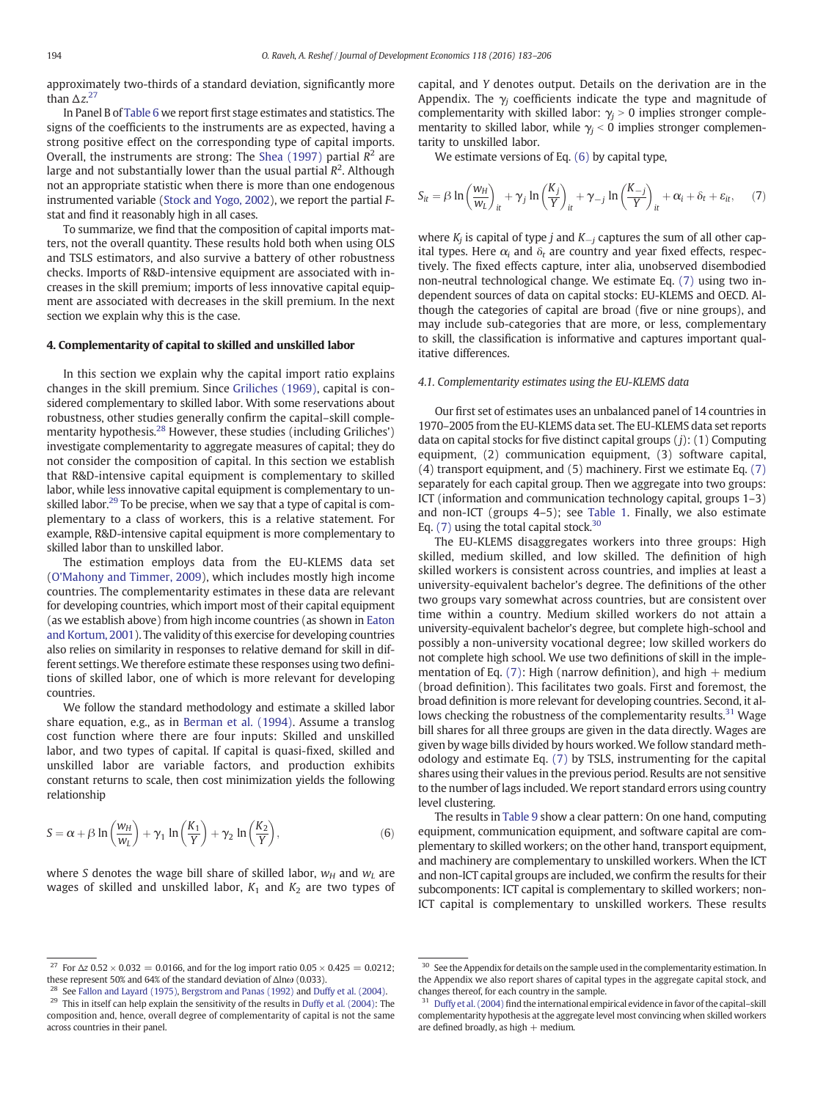<span id="page-11-0"></span>approximately two-thirds of a standard deviation, significantly more than  $\Delta z$ <sup>27</sup>

In Panel B of [Table 6](#page-7-0) we report first stage estimates and statistics. The signs of the coefficients to the instruments are as expected, having a strong positive effect on the corresponding type of capital imports. Overall, the instruments are strong: The [Shea \(1997\)](#page-23-0) partial  $R^2$  are large and not substantially lower than the usual partial  $R^2$ . Although not an appropriate statistic when there is more than one endogenous instrumented variable [\(Stock and Yogo, 2002](#page-23-0)), we report the partial Fstat and find it reasonably high in all cases.

To summarize, we find that the composition of capital imports matters, not the overall quantity. These results hold both when using OLS and TSLS estimators, and also survive a battery of other robustness checks. Imports of R&D-intensive equipment are associated with increases in the skill premium; imports of less innovative capital equipment are associated with decreases in the skill premium. In the next section we explain why this is the case.

# 4. Complementarity of capital to skilled and unskilled labor

In this section we explain why the capital import ratio explains changes in the skill premium. Since [Griliches \(1969\),](#page-23-0) capital is considered complementary to skilled labor. With some reservations about robustness, other studies generally confirm the capital–skill complementarity hypothesis.<sup>28</sup> However, these studies (including Griliches') investigate complementarity to aggregate measures of capital; they do not consider the composition of capital. In this section we establish that R&D-intensive capital equipment is complementary to skilled labor, while less innovative capital equipment is complementary to unskilled labor.<sup>29</sup> To be precise, when we say that a type of capital is complementary to a class of workers, this is a relative statement. For example, R&D-intensive capital equipment is more complementary to skilled labor than to unskilled labor.

The estimation employs data from the EU-KLEMS data set [\(O'Mahony and Timmer, 2009](#page-23-0)), which includes mostly high income countries. The complementarity estimates in these data are relevant for developing countries, which import most of their capital equipment (as we establish above) from high income countries (as shown in [Eaton](#page-23-0) [and Kortum, 2001\)](#page-23-0). The validity of this exercise for developing countries also relies on similarity in responses to relative demand for skill in different settings. We therefore estimate these responses using two definitions of skilled labor, one of which is more relevant for developing countries.

We follow the standard methodology and estimate a skilled labor share equation, e.g., as in [Berman et al. \(1994\)](#page-23-0). Assume a translog cost function where there are four inputs: Skilled and unskilled labor, and two types of capital. If capital is quasi-fixed, skilled and unskilled labor are variable factors, and production exhibits constant returns to scale, then cost minimization yields the following relationship

$$
S = \alpha + \beta \ln \left( \frac{w_H}{w_L} \right) + \gamma_1 \ln \left( \frac{K_1}{Y} \right) + \gamma_2 \ln \left( \frac{K_2}{Y} \right),\tag{6}
$$

where S denotes the wage bill share of skilled labor,  $w_H$  and  $w_L$  are wages of skilled and unskilled labor,  $K_1$  and  $K_2$  are two types of

<sup>27</sup> For  $\Delta z$  0.52 × 0.032 = 0.0166, and for the log import ratio 0.05 × 0.425 = 0.0212; these represent 50% and 64% of the standard deviation of Δlnω (0.033).

See [Fallon and Layard \(1975\),](#page-23-0) [Bergstrom and Panas \(1992\)](#page-23-0) and [Duffy et al. \(2004\)](#page-23-0).

capital, and Y denotes output. Details on the derivation are in the Appendix. The  $\gamma_i$  coefficients indicate the type and magnitude of complementarity with skilled labor:  $\gamma_i > 0$  implies stronger complementarity to skilled labor, while  $\gamma_j < 0$  implies stronger complementarity to unskilled labor.

We estimate versions of Eq. (6) by capital type,

$$
S_{it} = \beta \ln \left( \frac{w_H}{w_L} \right)_{it} + \gamma_j \ln \left( \frac{K_j}{Y} \right)_{it} + \gamma_{-j} \ln \left( \frac{K_{-j}}{Y} \right)_{it} + \alpha_i + \delta_t + \varepsilon_{it}, \tag{7}
$$

where  $K_i$  is capital of type j and  $K_{-i}$  captures the sum of all other capital types. Here  $\alpha_i$  and  $\delta_t$  are country and year fixed effects, respectively. The fixed effects capture, inter alia, unobserved disembodied non-neutral technological change. We estimate Eq. (7) using two independent sources of data on capital stocks: EU-KLEMS and OECD. Although the categories of capital are broad (five or nine groups), and may include sub-categories that are more, or less, complementary to skill, the classification is informative and captures important qualitative differences.

#### 4.1. Complementarity estimates using the EU-KLEMS data

Our first set of estimates uses an unbalanced panel of 14 countries in 1970–2005 from the EU-KLEMS data set. The EU-KLEMS data set reports data on capital stocks for five distinct capital groups  $(j)$ :  $(1)$  Computing equipment, (2) communication equipment, (3) software capital, (4) transport equipment, and (5) machinery. First we estimate Eq. (7) separately for each capital group. Then we aggregate into two groups: ICT (information and communication technology capital, groups 1–3) and non-ICT (groups 4–5); see [Table 1](#page-3-0). Finally, we also estimate Eq.  $(7)$  using the total capital stock.<sup>30</sup>

The EU-KLEMS disaggregates workers into three groups: High skilled, medium skilled, and low skilled. The definition of high skilled workers is consistent across countries, and implies at least a university-equivalent bachelor's degree. The definitions of the other two groups vary somewhat across countries, but are consistent over time within a country. Medium skilled workers do not attain a university-equivalent bachelor's degree, but complete high-school and possibly a non-university vocational degree; low skilled workers do not complete high school. We use two definitions of skill in the implementation of Eq. (7): High (narrow definition), and high  $+$  medium (broad definition). This facilitates two goals. First and foremost, the broad definition is more relevant for developing countries. Second, it allows checking the robustness of the complementarity results.<sup>31</sup> Wage bill shares for all three groups are given in the data directly. Wages are given by wage bills divided by hours worked. We follow standard methodology and estimate Eq. (7) by TSLS, instrumenting for the capital shares using their values in the previous period. Results are not sensitive to the number of lags included. We report standard errors using country level clustering.

The results in [Table 9](#page-12-0) show a clear pattern: On one hand, computing equipment, communication equipment, and software capital are complementary to skilled workers; on the other hand, transport equipment, and machinery are complementary to unskilled workers. When the ICT and non-ICT capital groups are included, we confirm the results for their subcomponents: ICT capital is complementary to skilled workers; non-ICT capital is complementary to unskilled workers. These results

<sup>&</sup>lt;sup>29</sup> This in itself can help explain the sensitivity of the results in [Duffy et al. \(2004\)](#page-23-0): The composition and, hence, overall degree of complementarity of capital is not the same across countries in their panel.

 $^{30}\,$  See the Appendix for details on the sample used in the complementarity estimation. In the Appendix we also report shares of capital types in the aggregate capital stock, and changes thereof, for each country in the sample.

<sup>&</sup>lt;sup>31</sup> [Duffy et al. \(2004\)](#page-23-0) find the international empirical evidence in favor of the capital-skill complementarity hypothesis at the aggregate level most convincing when skilled workers are defined broadly, as high  $+$  medium.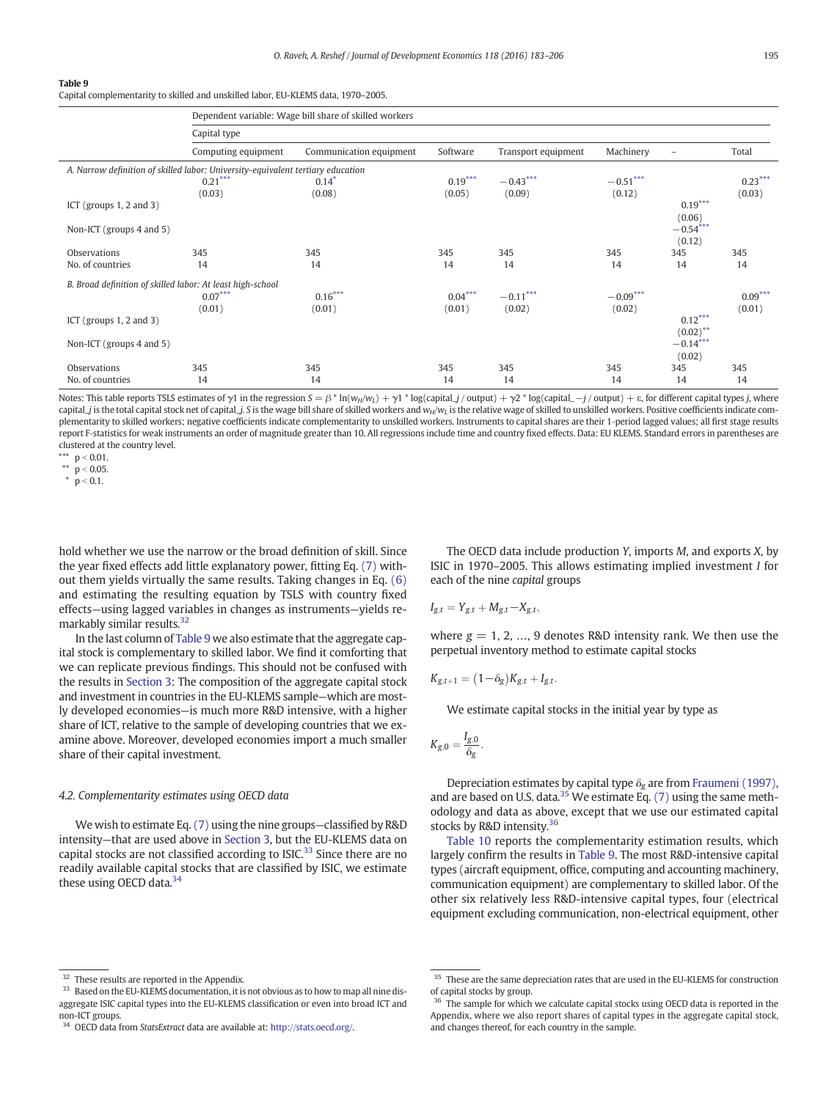<span id="page-12-0"></span>Capital complementarity to skilled and unskilled labor, EU-KLEMS data, 1970–2005.

|                                                                                 | Dependent variable: Wage bill share of skilled workers |                         |           |                     |            |                      |           |  |  |  |  |
|---------------------------------------------------------------------------------|--------------------------------------------------------|-------------------------|-----------|---------------------|------------|----------------------|-----------|--|--|--|--|
|                                                                                 | Capital type                                           |                         |           |                     |            |                      |           |  |  |  |  |
|                                                                                 | Computing equipment                                    | Communication equipment | Software  | Transport equipment | Machinery  |                      | Total     |  |  |  |  |
| A. Narrow definition of skilled labor: University-equivalent tertiary education |                                                        |                         |           |                     |            |                      |           |  |  |  |  |
|                                                                                 | $0.21***$                                              | $0.14*$                 | $0.19***$ | $-0.43***$          | $-0.51***$ |                      | $0.23***$ |  |  |  |  |
|                                                                                 | (0.03)                                                 | (0.08)                  | (0.05)    | (0.09)              | (0.12)     |                      | (0.03)    |  |  |  |  |
| ICT (groups $1, 2$ and $3$ )                                                    |                                                        |                         |           |                     |            | $0.19***$<br>(0.06)  |           |  |  |  |  |
| Non-ICT (groups 4 and 5)                                                        |                                                        |                         |           |                     |            | $-0.54***$<br>(0.12) |           |  |  |  |  |
| Observations                                                                    | 345                                                    | 345                     | 345       | 345                 | 345        | 345                  | 345       |  |  |  |  |
| No. of countries                                                                | 14                                                     | 14                      | 14        | 14                  | 14         | 14                   | 14        |  |  |  |  |
| B. Broad definition of skilled labor: At least high-school                      |                                                        |                         |           |                     |            |                      |           |  |  |  |  |
|                                                                                 | $0.07***$                                              | $0.16***$               | $0.04***$ | $-0.11***$          | $-0.09***$ |                      | $0.09***$ |  |  |  |  |
|                                                                                 | (0.01)                                                 | (0.01)                  | (0.01)    | (0.02)              | (0.02)     |                      | (0.01)    |  |  |  |  |
| ICT (groups $1, 2$ and $3$ )                                                    |                                                        |                         |           |                     |            | $0.12***$            |           |  |  |  |  |
|                                                                                 |                                                        |                         |           |                     |            | $(0.02)$ **          |           |  |  |  |  |
| Non-ICT (groups 4 and 5)                                                        |                                                        |                         |           |                     |            | $-0.14***$           |           |  |  |  |  |
|                                                                                 |                                                        |                         |           |                     |            | (0.02)               |           |  |  |  |  |
| Observations                                                                    | 345                                                    | 345                     | 345       | 345                 | 345        | 345                  | 345       |  |  |  |  |
| No. of countries                                                                | 14                                                     | 14                      | 14        | 14                  | 14         | 14                   | 14        |  |  |  |  |

Notes: This table reports TSLS estimates of  $\gamma$ 1 in the regression  $S = \beta^* \ln(w_H/w_L) + \gamma 1^* \log(capital_J / output) + \gamma 2^* \log(capital_J - j / output) + \varepsilon$ , for different capital types j, where capital\_j is the total capital stock net of capital\_j. S is the wage bill share of skilled workers and  $w_H/w_L$  is the relative wage of skilled to unskilled workers. Positive coefficients indicate complementarity to skilled workers; negative coefficients indicate complementarity to unskilled workers. Instruments to capital shares are their 1‐period lagged values; all first stage results report F-statistics for weak instruments an order of magnitude greater than 10. All regressions include time and country fixed effects. Data: EU KLEMS. Standard errors in parentheses are clustered at the country level.

\*\*\*  $p < 0.01$ .

\*\*  $p < 0.05$ .

 $\frac{1}{p}$  = 0.1.

hold whether we use the narrow or the broad definition of skill. Since the year fixed effects add little explanatory power, fitting Eq. [\(7\)](#page-11-0) without them yields virtually the same results. Taking changes in Eq. [\(6\)](#page-11-0) and estimating the resulting equation by TSLS with country fixed effects—using lagged variables in changes as instruments—yields remarkably similar results.32

In the last column of Table 9 we also estimate that the aggregate capital stock is complementary to skilled labor. We find it comforting that we can replicate previous findings. This should not be confused with the results in [Section 3:](#page-3-0) The composition of the aggregate capital stock and investment in countries in the EU-KLEMS sample—which are mostly developed economies—is much more R&D intensive, with a higher share of ICT, relative to the sample of developing countries that we examine above. Moreover, developed economies import a much smaller share of their capital investment.

#### 4.2. Complementarity estimates using OECD data

We wish to estimate Eq. [\(7\)](#page-11-0) using the nine groups—classified by R&D intensity—that are used above in [Section 3,](#page-3-0) but the EU-KLEMS data on capital stocks are not classified according to  $ISIC<sup>33</sup>$  Since there are no readily available capital stocks that are classified by ISIC, we estimate these using OECD data.<sup>34</sup>

The OECD data include production Y, imports M, and exports X, by ISIC in 1970–2005. This allows estimating implied investment I for each of the nine capital groups

$$
I_{g,t}=Y_{g,t}+M_{g,t}\!-\!X_{g,t},
$$

where  $g = 1, 2, ..., 9$  denotes R&D intensity rank. We then use the perpetual inventory method to estimate capital stocks

$$
K_{g,t+1} = (1-\delta_g)K_{g,t} + I_{g,t}.
$$

We estimate capital stocks in the initial year by type as

$$
K_{g,0}=\frac{I_{g,0}}{\delta_g}.
$$

Depreciation estimates by capital type  $\delta_{\rm g}$  are from [Fraumeni \(1997\),](#page-23-0) and are based on U.S. data.<sup>35</sup> We estimate Eq.  $(7)$  using the same methodology and data as above, except that we use our estimated capital stocks by R&D intensity.36

[Table 10](#page-13-0) reports the complementarity estimation results, which largely confirm the results in Table 9. The most R&D-intensive capital types (aircraft equipment, office, computing and accounting machinery, communication equipment) are complementary to skilled labor. Of the other six relatively less R&D-intensive capital types, four (electrical equipment excluding communication, non-electrical equipment, other

<sup>33</sup> Based on the EU-KLEMS documentation, it is not obvious as to how to map all nine disaggregate ISIC capital types into the EU-KLEMS classification or even into broad ICT and non-ICT groups.

<sup>&</sup>lt;sup>32</sup> These results are reported in the Appendix.

<sup>34</sup> OECD data from StatsExtract data are available at: <http://stats.oecd.org/>.

<sup>&</sup>lt;sup>35</sup> These are the same depreciation rates that are used in the EU-KLEMS for construction of capital stocks by group.

<sup>&</sup>lt;sup>36</sup> The sample for which we calculate capital stocks using OECD data is reported in the Appendix, where we also report shares of capital types in the aggregate capital stock, and changes thereof, for each country in the sample.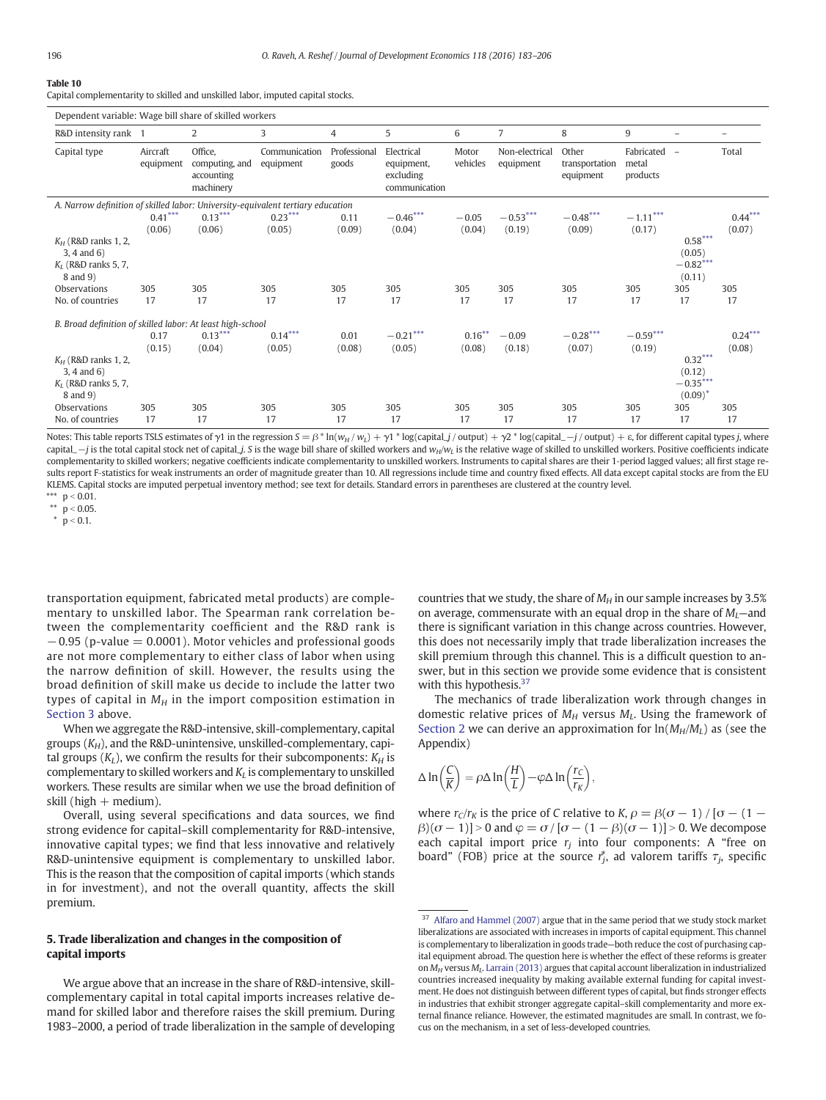<span id="page-13-0"></span>Capital complementarity to skilled and unskilled labor, imputed capital stocks.

| Dependent variable: Wage bill share of skilled workers                          |                                                                                 |                                                      |                            |                       |                                                        |                   |                             |                                      |                                 |                                                 |           |
|---------------------------------------------------------------------------------|---------------------------------------------------------------------------------|------------------------------------------------------|----------------------------|-----------------------|--------------------------------------------------------|-------------------|-----------------------------|--------------------------------------|---------------------------------|-------------------------------------------------|-----------|
| R&D intensity rank 1                                                            |                                                                                 | 2                                                    | 3                          | 4                     | 5                                                      | 6                 | 7                           | 8                                    | 9                               |                                                 |           |
| Capital type                                                                    | Aircraft<br>equipment                                                           | Office,<br>computing, and<br>accounting<br>machinery | Communication<br>equipment | Professional<br>goods | Electrical<br>equipment,<br>excluding<br>communication | Motor<br>vehicles | Non-electrical<br>equipment | Other<br>transportation<br>equipment | Fabricated<br>metal<br>products | $\overline{\phantom{a}}$                        | Total     |
|                                                                                 | A. Narrow definition of skilled labor: University-equivalent tertiary education |                                                      |                            |                       |                                                        |                   |                             |                                      |                                 |                                                 |           |
|                                                                                 | $0.41***$                                                                       | $0.13***$                                            | $0.23***$                  | 0.11                  | $-0.46***$                                             | $-0.05$           | $-0.53***$                  | $-0.48***$                           | $-1.11***$                      |                                                 | $0.44***$ |
|                                                                                 | (0.06)                                                                          | (0.06)                                               | (0.05)                     | (0.09)                | (0.04)                                                 | (0.04)            | (0.19)                      | (0.09)                               | (0.17)                          |                                                 | (0.07)    |
| $K_H$ (R&D ranks 1, 2,<br>$3, 4$ and $6)$<br>$K_l$ (R&D ranks 5, 7,<br>8 and 9) |                                                                                 |                                                      |                            |                       |                                                        |                   |                             |                                      |                                 | $0.58***$<br>(0.05)<br>$-0.82***$<br>(0.11)     |           |
| Observations                                                                    | 305                                                                             | 305                                                  | 305                        | 305                   | 305                                                    | 305               | 305                         | 305                                  | 305                             | 305                                             | 305       |
| No. of countries                                                                | 17                                                                              | 17                                                   | 17                         | 17                    | 17                                                     | 17                | 17                          | 17                                   | 17                              | 17                                              | 17        |
| B. Broad definition of skilled labor: At least high-school                      |                                                                                 |                                                      |                            |                       |                                                        |                   |                             |                                      |                                 |                                                 |           |
|                                                                                 | 0.17                                                                            | $0.13***$                                            | $0.14***$                  | 0.01                  | $-0.21***$                                             | $0.16***$         | $-0.09$                     | $-0.28***$                           | $-0.59***$                      |                                                 | $0.24***$ |
|                                                                                 | (0.15)                                                                          | (0.04)                                               | (0.05)                     | (0.08)                | (0.05)                                                 | (0.08)            | (0.18)                      | (0.07)                               | (0.19)                          |                                                 | (0.08)    |
| $K_H$ (R&D ranks 1, 2,<br>$3, 4$ and $6)$<br>$K_I$ (R&D ranks 5, 7,<br>8 and 9) |                                                                                 |                                                      |                            |                       |                                                        |                   |                             |                                      |                                 | $0.32***$<br>(0.12)<br>$-0.35***$<br>$(0.09)^*$ |           |
| Observations                                                                    | 305                                                                             | 305                                                  | 305                        | 305                   | 305                                                    | 305               | 305                         | 305                                  | 305                             | 305                                             | 305       |
| No. of countries                                                                | 17                                                                              | 17                                                   | 17                         | 17                    | 17                                                     | 17                | 17                          | 17                                   | 17                              | 17                                              | 17        |

Notes: This table reports TSLS estimates of  $\gamma$ 1 in the regression  $S = \beta^* \ln(w_H/w_L) + \gamma 1^* \log(capital_j / output) + \gamma 2^* \log(capital_j / output) + \epsilon$ , for different capital types j, where capital\_-j is the total capital stock net of capital\_j. S is the wage bill share of skilled workers and w<sub>H</sub>/w<sub>L</sub> is the relative wage of skilled to unskilled workers. Positive coefficients indicate complementarity to skilled workers; negative coefficients indicate complementarity to unskilled workers. Instruments to capital shares are their 1-period lagged values; all first stage results report F-statistics for weak instruments an order of magnitude greater than 10. All regressions include time and country fixed effects. All data except capital stocks are from the EU KLEMS. Capital stocks are imputed perpetual inventory method; see text for details. Standard errors in parentheses are clustered at the country level.

\*\*\*  $p < 0.01$ .

\*\*  $p < 0.05$ .

 $\text{*} \ \ p < 0.1.$ 

transportation equipment, fabricated metal products) are complementary to unskilled labor. The Spearman rank correlation between the complementarity coefficient and the R&D rank is  $-0.95$  (p-value  $= 0.0001$ ). Motor vehicles and professional goods are not more complementary to either class of labor when using the narrow definition of skill. However, the results using the broad definition of skill make us decide to include the latter two types of capital in  $M_H$  in the import composition estimation in [Section 3](#page-3-0) above.

When we aggregate the R&D-intensive, skill-complementary, capital groups  $(K_H)$ , and the R&D-unintensive, unskilled-complementary, capital groups  $(K_L)$ , we confirm the results for their subcomponents:  $K_H$  is complementary to skilled workers and  $K_L$  is complementary to unskilled workers. These results are similar when we use the broad definition of skill (high  $+$  medium).

Overall, using several specifications and data sources, we find strong evidence for capital–skill complementarity for R&D-intensive, innovative capital types; we find that less innovative and relatively R&D-unintensive equipment is complementary to unskilled labor. This is the reason that the composition of capital imports (which stands in for investment), and not the overall quantity, affects the skill premium.

# 5. Trade liberalization and changes in the composition of capital imports

We argue above that an increase in the share of R&D-intensive, skillcomplementary capital in total capital imports increases relative demand for skilled labor and therefore raises the skill premium. During 1983–2000, a period of trade liberalization in the sample of developing countries that we study, the share of  $M_H$  in our sample increases by 3.5% on average, commensurate with an equal drop in the share of  $M<sub>l</sub>$ —and there is significant variation in this change across countries. However, this does not necessarily imply that trade liberalization increases the skill premium through this channel. This is a difficult question to answer, but in this section we provide some evidence that is consistent with this hypothesis.<sup>37</sup>

The mechanics of trade liberalization work through changes in domestic relative prices of  $M_H$  versus  $M_L$ . Using the framework of [Section 2](#page-2-0) we can derive an approximation for  $ln(M_H/M_L)$  as (see the Appendix)

$$
\Delta \ln \left( \frac{C}{K} \right) = \rho \Delta \ln \left( \frac{H}{L} \right) - \varphi \Delta \ln \left( \frac{r_C}{r_K} \right),
$$

where  $r_C/r_K$  is the price of C relative to K,  $\rho = \beta(\sigma - 1) / [\sigma - (1 \beta$ )( $\sigma$  – 1)] > 0 and  $\varphi$  =  $\sigma$  / [ $\sigma$  – (1 –  $\beta$ )( $\sigma$  – 1)] > 0. We decompose each capital import price  $r_i$  into four components: A "free on board" (FOB) price at the source  $r_j^*$ , ad valorem tariffs  $\tau_j$ , specific

 $37$  [Alfaro and Hammel \(2007\)](#page-23-0) argue that in the same period that we study stock market liberalizations are associated with increases in imports of capital equipment. This channel is complementary to liberalization in goods trade—both reduce the cost of purchasing capital equipment abroad. The question here is whether the effect of these reforms is greater on  $M_H$  versus  $M_L$ . [Larrain \(2013\)](#page-23-0) argues that capital account liberalization in industrialized countries increased inequality by making available external funding for capital investment. He does not distinguish between different types of capital, but finds stronger effects in industries that exhibit stronger aggregate capital–skill complementarity and more external finance reliance. However, the estimated magnitudes are small. In contrast, we focus on the mechanism, in a set of less-developed countries.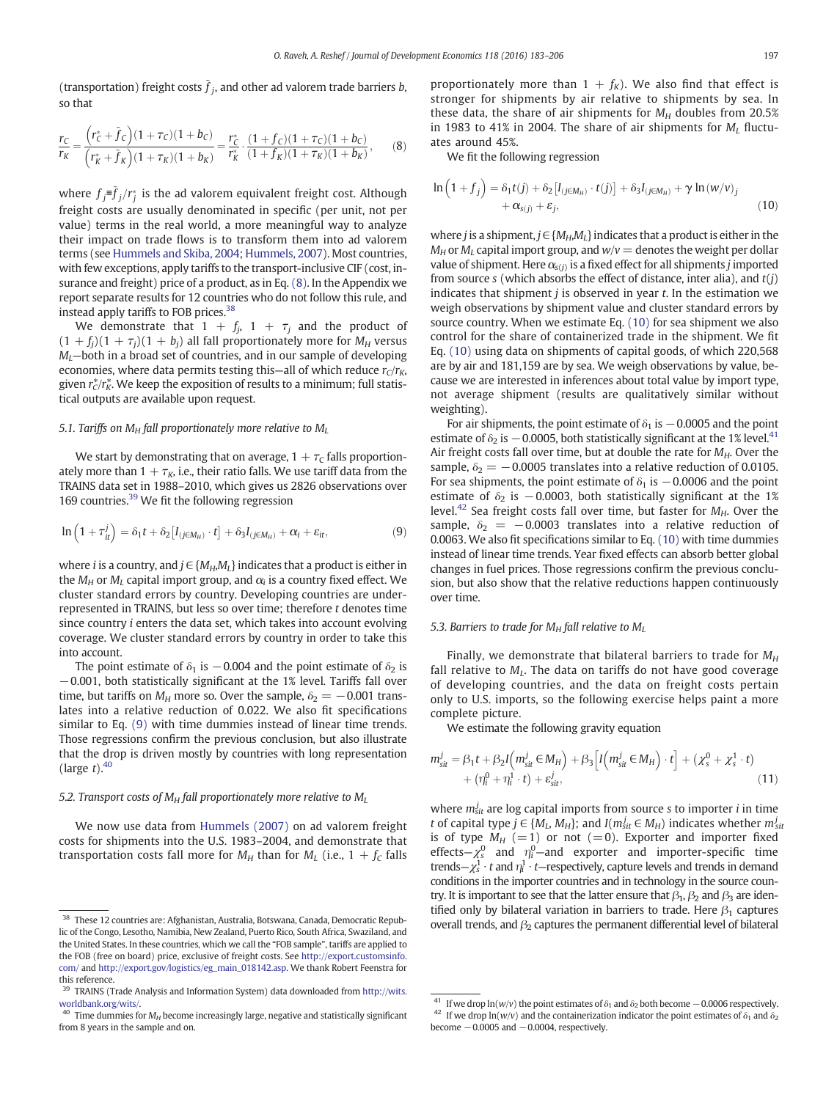<span id="page-14-0"></span>(transportation) freight costs  $\hat{f}_i$ , and other ad valorem trade barriers b, so that

$$
\frac{r_C}{r_K} = \frac{\left(r_C^* + \tilde{f}_C\right)(1 + \tau_C)(1 + b_C)}{\left(r_K^* + \tilde{f}_K\right)(1 + \tau_K)(1 + b_K)} = \frac{r_C^*}{r_K^*} \cdot \frac{(1 + f_C)(1 + \tau_C)(1 + b_C)}{(1 + f_K)(1 + \tau_K)(1 + b_K)},\tag{8}
$$

where  $f_j$ = $\widetilde{{f}}_j/r_j^*$  is the ad valorem equivalent freight cost. Although freight costs are usually denominated in specific (per unit, not per value) terms in the real world, a more meaningful way to analyze their impact on trade flows is to transform them into ad valorem terms (see [Hummels and Skiba, 2004;](#page-23-0) [Hummels, 2007\)](#page-23-0). Most countries, with few exceptions, apply tariffs to the transport-inclusive CIF (cost, insurance and freight) price of a product, as in Eq. (8). In the Appendix we report separate results for 12 countries who do not follow this rule, and instead apply tariffs to FOB prices.38

We demonstrate that  $1 + f_j$ ,  $1 + \tau_j$  and the product of  $(1 + f_j)(1 + \tau_j)(1 + b_j)$  all fall proportionately more for  $M_H$  versus  $M_l$ —both in a broad set of countries, and in our sample of developing economies, where data permits testing this—all of which reduce  $r_c/r_K$ , given  $r_c^*/r_K^*$ . We keep the exposition of results to a minimum; full statistical outputs are available upon request.

#### 5.1. Tariffs on  $M_H$  fall proportionately more relative to  $M_L$

We start by demonstrating that on average,  $1 + \tau_c$  falls proportionately more than  $1 + \tau_K$ , i.e., their ratio falls. We use tariff data from the TRAINS data set in 1988–2010, which gives us 2826 observations over 169 countries.<sup>39</sup> We fit the following regression

$$
\ln\left(1+\tau_{it}^{j}\right)=\delta_{1}t+\delta_{2}\left[I_{(j\in M_{H})}\cdot t\right]+\delta_{3}I_{(j\in M_{H})}+\alpha_{i}+\varepsilon_{it},
$$
\n(9)

where *i* is a country, and  $j \in \{M_H, M_L\}$  indicates that a product is either in the  $M_H$  or  $M_I$  capital import group, and  $\alpha_i$  is a country fixed effect. We cluster standard errors by country. Developing countries are underrepresented in TRAINS, but less so over time; therefore t denotes time since country i enters the data set, which takes into account evolving coverage. We cluster standard errors by country in order to take this into account.

The point estimate of  $\delta_1$  is  $-0.004$  and the point estimate of  $\delta_2$  is −0.001, both statistically significant at the 1% level. Tariffs fall over time, but tariffs on  $M_H$  more so. Over the sample,  $\delta_2 = -0.001$  translates into a relative reduction of 0.022. We also fit specifications similar to Eq. (9) with time dummies instead of linear time trends. Those regressions confirm the previous conclusion, but also illustrate that the drop is driven mostly by countries with long representation (large  $t$ ). $40$ 

#### 5.2. Transport costs of  $M_H$  fall proportionately more relative to  $M_L$

We now use data from [Hummels \(2007\)](#page-23-0) on ad valorem freight costs for shipments into the U.S. 1983–2004, and demonstrate that transportation costs fall more for  $M_H$  than for  $M_L$  (i.e.,  $1 + f_C$  falls proportionately more than  $1 + f_K$ ). We also find that effect is stronger for shipments by air relative to shipments by sea. In these data, the share of air shipments for  $M_H$  doubles from 20.5% in 1983 to 41% in 2004. The share of air shipments for  $M_I$  fluctuates around 45%.

We fit the following regression

$$
\ln\left(1+f_j\right) = \delta_1 t(j) + \delta_2 \left[l_{(j\in M_H)} \cdot t(j)\right] + \delta_3 I_{(j\in M_H)} + \gamma \ln(w/v)_j + \alpha_{s(j)} + \varepsilon_j,
$$
\n(10)

where *j* is a shipment,  $j \in \{M_H, M_I\}$  indicates that a product is either in the  $M_H$  or  $M_U$  capital import group, and  $w/v =$  denotes the weight per dollar value of shipment. Here  $\alpha_{s(j)}$  is a fixed effect for all shipments j imported from source  $s$  (which absorbs the effect of distance, inter alia), and  $t(j)$ indicates that shipment  $j$  is observed in year  $t$ . In the estimation we weigh observations by shipment value and cluster standard errors by source country. When we estimate Eq. (10) for sea shipment we also control for the share of containerized trade in the shipment. We fit Eq. (10) using data on shipments of capital goods, of which 220,568 are by air and 181,159 are by sea. We weigh observations by value, because we are interested in inferences about total value by import type, not average shipment (results are qualitatively similar without weighting).

For air shipments, the point estimate of  $\delta_1$  is  $-0.0005$  and the point estimate of  $\delta_2$  is  $-0.0005$ , both statistically significant at the 1% level.<sup>41</sup> Air freight costs fall over time, but at double the rate for  $M_H$ . Over the sample,  $\delta_2 = -0.0005$  translates into a relative reduction of 0.0105. For sea shipments, the point estimate of  $\delta_1$  is  $-0.0006$  and the point estimate of  $\delta_2$  is −0.0003, both statistically significant at the 1% level.<sup>42</sup> Sea freight costs fall over time, but faster for  $M_H$ . Over the sample,  $\delta_2 = -0.0003$  translates into a relative reduction of 0.0063. We also fit specifications similar to Eq. (10) with time dummies instead of linear time trends. Year fixed effects can absorb better global changes in fuel prices. Those regressions confirm the previous conclusion, but also show that the relative reductions happen continuously over time.

# 5.3. Barriers to trade for  $M_H$  fall relative to  $M_U$

Finally, we demonstrate that bilateral barriers to trade for  $M_H$ fall relative to  $M_L$ . The data on tariffs do not have good coverage of developing countries, and the data on freight costs pertain only to U.S. imports, so the following exercise helps paint a more complete picture.

We estimate the following gravity equation

$$
m_{sit}^j = \beta_1 t + \beta_2 I \left( m_{sit}^j \in M_H \right) + \beta_3 \left[ I \left( m_{sit}^j \in M_H \right) \cdot t \right] + \left( \chi_s^0 + \chi_s^1 \cdot t \right) + \left( \eta_i^0 + \eta_i^1 \cdot t \right) + \epsilon_{sit}^j, \tag{11}
$$

where  $m_{\text{sit}}^j$  are log capital imports from source s to importer *i* in time t of capital type  $j \in \{M_L, M_H\}$ ; and  $I(m_{sit}^j \in M_H)$  indicates whether  $m_{sit}^j$ is of type  $M_H$  (=1) or not (=0). Exporter and importer fixed effects– $\chi_s^0$  and  $\eta_i^0$ –and exporter and importer-specific time trends— $\chi_s^1 \cdot t$  and  $\eta_i^1 \cdot t$ —respectively, capture levels and trends in demand conditions in the importer countries and in technology in the source country. It is important to see that the latter ensure that  $\beta_1$ ,  $\beta_2$  and  $\beta_3$  are identified only by bilateral variation in barriers to trade. Here  $\beta_1$  captures overall trends, and β<sub>2</sub> captures the permanent differential level of bilateral strengthends, and β<sub>2</sub> captures the permanent differential level of bilateral 38 These 12 countries are: Afghanistan, Australia, Botswana, Ca

lic of the Congo, Lesotho, Namibia, New Zealand, Puerto Rico, South Africa, Swaziland, and the United States. In these countries, which we call the "FOB sample", tariffs are applied to the FOB (free on board) price, exclusive of freight costs. See [http://export.customsinfo.](http://export.customsinfo.com/) [com/](http://export.customsinfo.com/) and [http://export.gov/logistics/eg\\_main\\_018142.asp.](http://export.gov/logistics/eg_main_018142.asp) We thank Robert Feenstra for this reference.

<sup>39</sup> TRAINS (Trade Analysis and Information System) data downloaded from [http://wits.](http://wits.worldbank.org/wits/) [worldbank.org/wits/](http://wits.worldbank.org/wits/).

 $40$  Time dummies for  $M_H$  become increasingly large, negative and statistically significant from 8 years in the sample and on.

<sup>&</sup>lt;sup>41</sup> If we drop ln(w/v) the point estimates of  $\delta_1$  and  $\delta_2$  both become −0.0006 respectively. <sup>42</sup> If we drop ln(w/v) and the containerization indicator the point estimates of  $\delta_1$  and  $\delta_2$ become  $-0.0005$  and  $-0.0004$ , respectively.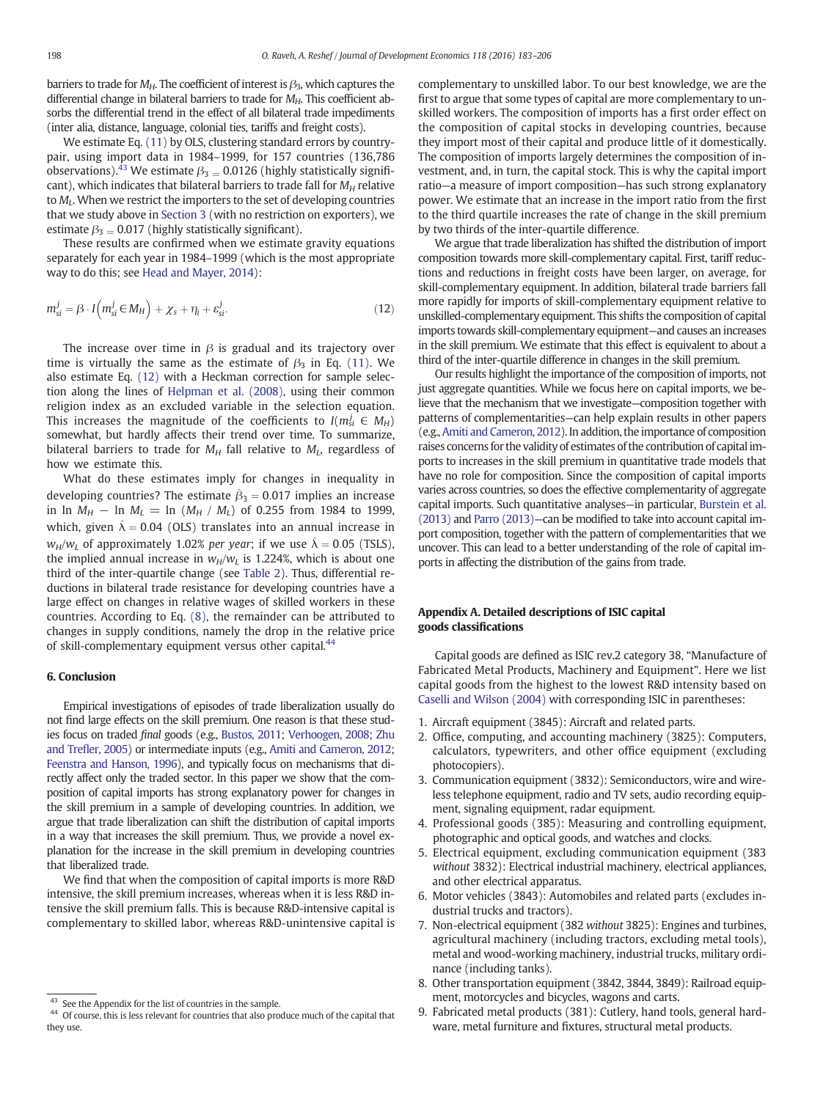<span id="page-15-0"></span>barriers to trade for  $M_H$ . The coefficient of interest is  $\beta_3$ , which captures the differential change in bilateral barriers to trade for  $M_{H}$ . This coefficient absorbs the differential trend in the effect of all bilateral trade impediments (inter alia, distance, language, colonial ties, tariffs and freight costs).

We estimate Eq. [\(11\)](#page-14-0) by OLS, clustering standard errors by countrypair, using import data in 1984–1999, for 157 countries (136,786 observations).<sup>43</sup> We estimate  $\beta_3 = 0.0126$  (highly statistically significant), which indicates that bilateral barriers to trade fall for  $M_H$  relative to  $M_L$ . When we restrict the importers to the set of developing countries that we study above in [Section 3](#page-3-0) (with no restriction on exporters), we estimate  $\beta_3 = 0.017$  (highly statistically significant).

These results are confirmed when we estimate gravity equations separately for each year in 1984–1999 (which is the most appropriate way to do this; see [Head and Mayer, 2014\)](#page-23-0):

$$
m_{si}^{j} = \beta \cdot I \left( m_{si}^{j} \in M_{H} \right) + \chi_{s} + \eta_{i} + \varepsilon_{si}^{j}.
$$
 (12)

The increase over time in  $\beta$  is gradual and its trajectory over time is virtually the same as the estimate of  $\beta_3$  in Eq. [\(11\).](#page-14-0) We also estimate Eq. (12) with a Heckman correction for sample selection along the lines of [Helpman et al. \(2008\)](#page-23-0), using their common religion index as an excluded variable in the selection equation. This increases the magnitude of the coefficients to  $I(m_{si}^j \in M_H)$ somewhat, but hardly affects their trend over time. To summarize, bilateral barriers to trade for  $M_H$  fall relative to  $M_L$ , regardless of how we estimate this.

What do these estimates imply for changes in inequality in developing countries? The estimate  $\hat{\beta}_3 = 0.017$  implies an increase in ln  $M_H$  – ln  $M_L$  = ln ( $M_H$  /  $M_L$ ) of 0.255 from 1984 to 1999, which, given  $\hat{\lambda} = 0.04$  (OLS) translates into an annual increase in  $w_H/w_L$  of approximately 1.02% per year; if we use  $\hat{\lambda} = 0.05$  (TSLS), the implied annual increase in  $w_H/w_L$  is 1.224%, which is about one third of the inter-quartile change (see [Table 2](#page-4-0)). Thus, differential reductions in bilateral trade resistance for developing countries have a large effect on changes in relative wages of skilled workers in these countries. According to Eq. [\(8\),](#page-14-0) the remainder can be attributed to changes in supply conditions, namely the drop in the relative price of skill-complementary equipment versus other capital.<sup>44</sup>

# 6. Conclusion

Empirical investigations of episodes of trade liberalization usually do not find large effects on the skill premium. One reason is that these studies focus on traded final goods (e.g., [Bustos, 2011;](#page-23-0) [Verhoogen, 2008](#page-23-0); [Zhu](#page-23-0) and Trefl[er, 2005](#page-23-0)) or intermediate inputs (e.g., [Amiti and Cameron, 2012](#page-23-0); [Feenstra and Hanson, 1996\)](#page-23-0), and typically focus on mechanisms that directly affect only the traded sector. In this paper we show that the composition of capital imports has strong explanatory power for changes in the skill premium in a sample of developing countries. In addition, we argue that trade liberalization can shift the distribution of capital imports in a way that increases the skill premium. Thus, we provide a novel explanation for the increase in the skill premium in developing countries that liberalized trade.

We find that when the composition of capital imports is more R&D intensive, the skill premium increases, whereas when it is less R&D intensive the skill premium falls. This is because R&D-intensive capital is complementary to skilled labor, whereas R&D-unintensive capital is complementary to unskilled labor. To our best knowledge, we are the first to argue that some types of capital are more complementary to unskilled workers. The composition of imports has a first order effect on the composition of capital stocks in developing countries, because they import most of their capital and produce little of it domestically. The composition of imports largely determines the composition of investment, and, in turn, the capital stock. This is why the capital import ratio—a measure of import composition—has such strong explanatory power. We estimate that an increase in the import ratio from the first to the third quartile increases the rate of change in the skill premium by two thirds of the inter-quartile difference.

We argue that trade liberalization has shifted the distribution of import composition towards more skill-complementary capital. First, tariff reductions and reductions in freight costs have been larger, on average, for skill-complementary equipment. In addition, bilateral trade barriers fall more rapidly for imports of skill-complementary equipment relative to unskilled-complementary equipment. This shifts the composition of capital imports towards skill-complementary equipment—and causes an increases in the skill premium. We estimate that this effect is equivalent to about a third of the inter-quartile difference in changes in the skill premium.

Our results highlight the importance of the composition of imports, not just aggregate quantities. While we focus here on capital imports, we believe that the mechanism that we investigate—composition together with patterns of complementarities—can help explain results in other papers (e.g.,[Amiti and Cameron, 2012](#page-23-0)). In addition, the importance of composition raises concerns for the validity of estimates of the contribution of capital imports to increases in the skill premium in quantitative trade models that have no role for composition. Since the composition of capital imports varies across countries, so does the effective complementarity of aggregate capital imports. Such quantitative analyses—in particular, [Burstein et al.](#page-23-0) [\(2013\)](#page-23-0) and [Parro \(2013\)](#page-23-0)—can be modified to take into account capital import composition, together with the pattern of complementarities that we uncover. This can lead to a better understanding of the role of capital imports in affecting the distribution of the gains from trade.

# Appendix A. Detailed descriptions of ISIC capital goods classifications

Capital goods are defined as ISIC rev.2 category 38, "Manufacture of Fabricated Metal Products, Machinery and Equipment". Here we list capital goods from the highest to the lowest R&D intensity based on [Caselli and Wilson \(2004\)](#page-23-0) with corresponding ISIC in parentheses:

- 1. Aircraft equipment (3845): Aircraft and related parts.
- 2. Office, computing, and accounting machinery (3825): Computers, calculators, typewriters, and other office equipment (excluding photocopiers).
- 3. Communication equipment (3832): Semiconductors, wire and wireless telephone equipment, radio and TV sets, audio recording equipment, signaling equipment, radar equipment.
- 4. Professional goods (385): Measuring and controlling equipment, photographic and optical goods, and watches and clocks.
- 5. Electrical equipment, excluding communication equipment (383 without 3832): Electrical industrial machinery, electrical appliances, and other electrical apparatus.
- 6. Motor vehicles (3843): Automobiles and related parts (excludes industrial trucks and tractors).
- 7. Non-electrical equipment (382 without 3825): Engines and turbines, agricultural machinery (including tractors, excluding metal tools), metal and wood-working machinery, industrial trucks, military ordinance (including tanks).
- 8. Other transportation equipment (3842, 3844, 3849): Railroad equipment, motorcycles and bicycles, wagons and carts.
- 9. Fabricated metal products (381): Cutlery, hand tools, general hardware, metal furniture and fixtures, structural metal products.

<sup>&</sup>lt;sup>43</sup> See the Appendix for the list of countries in the sample.

<sup>&</sup>lt;sup>44</sup> Of course, this is less relevant for countries that also produce much of the capital that they use.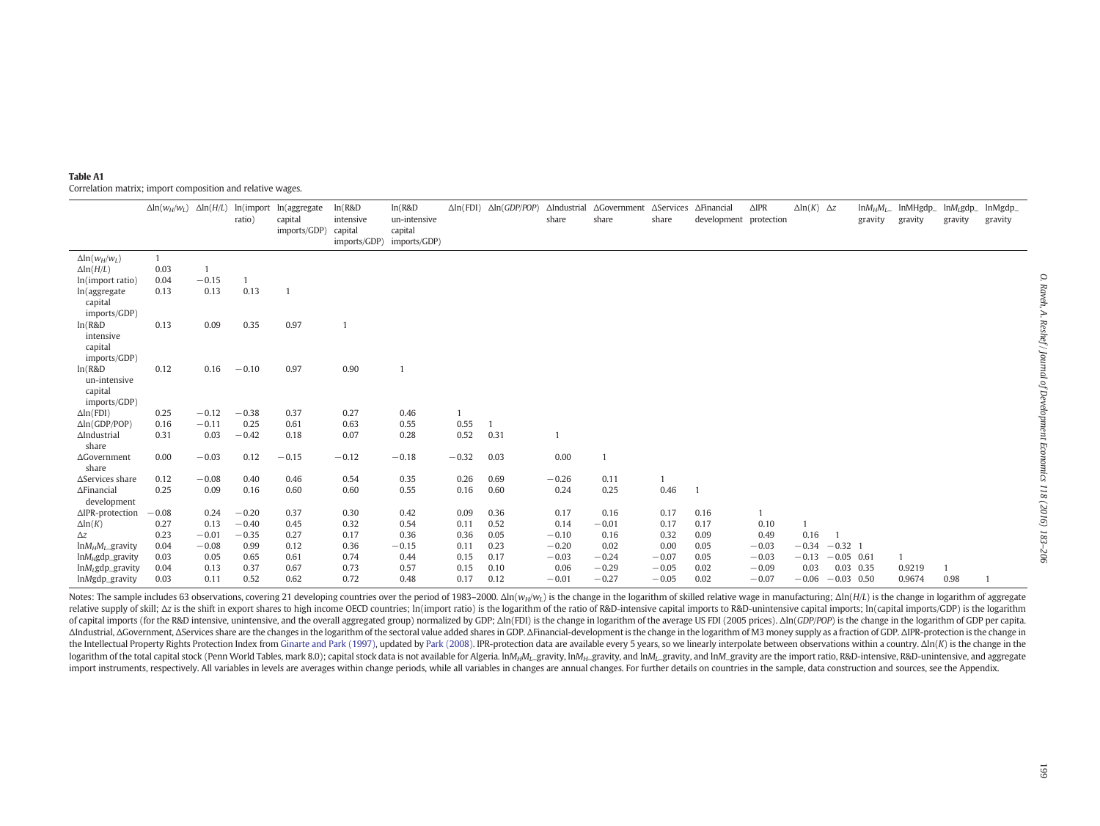<span id="page-16-0"></span>

| Table A1                                                   |  |
|------------------------------------------------------------|--|
| Correlation matrix; import composition and relative wages. |  |

|                            | $\Delta \ln(w_H/w_L)$ $\Delta \ln(H/L)$ |         | ratio)  | ln(import ln(aggregate<br>capital<br>imports/GDP) | ln(R&D)<br>intensive<br>capital<br>imports/GDP) | ln(R&D)<br>un-intensive<br>capital<br>imports/GDP) |         | $\Delta \ln(FDI)$ $\Delta \ln(GDP/POP)$ | share        | $\Delta$ Industrial $\Delta$ Government<br>share | share   | ∆Services ∆Financial<br>development protection | $\triangle IPR$ | $\Delta \ln(K)$ $\Delta z$ |              | $ln M_H M_L$<br>gravity | lnMHgdp_<br>gravity | $lnM_L$ gdp_<br>gravity | lnMgdp_<br>gravity |
|----------------------------|-----------------------------------------|---------|---------|---------------------------------------------------|-------------------------------------------------|----------------------------------------------------|---------|-----------------------------------------|--------------|--------------------------------------------------|---------|------------------------------------------------|-----------------|----------------------------|--------------|-------------------------|---------------------|-------------------------|--------------------|
| $\Delta \ln(w_H/w_L)$      | $\mathbf{1}$                            |         |         |                                                   |                                                 |                                                    |         |                                         |              |                                                  |         |                                                |                 |                            |              |                         |                     |                         |                    |
| $\Delta$ ln( $H/L$ )       | 0.03                                    |         |         |                                                   |                                                 |                                                    |         |                                         |              |                                                  |         |                                                |                 |                            |              |                         |                     |                         |                    |
| ln(import ratio)           | 0.04                                    | $-0.15$ |         |                                                   |                                                 |                                                    |         |                                         |              |                                                  |         |                                                |                 |                            |              |                         |                     |                         |                    |
| ln(aggregate               | 0.13                                    | 0.13    | 0.13    |                                                   |                                                 |                                                    |         |                                         |              |                                                  |         |                                                |                 |                            |              |                         |                     |                         |                    |
| capital                    |                                         |         |         |                                                   |                                                 |                                                    |         |                                         |              |                                                  |         |                                                |                 |                            |              |                         |                     |                         |                    |
| imports/GDP)               |                                         |         |         |                                                   |                                                 |                                                    |         |                                         |              |                                                  |         |                                                |                 |                            |              |                         |                     |                         |                    |
| ln(R&D)                    | 0.13                                    | 0.09    | 0.35    | 0.97                                              | $\overline{1}$                                  |                                                    |         |                                         |              |                                                  |         |                                                |                 |                            |              |                         |                     |                         |                    |
| intensive                  |                                         |         |         |                                                   |                                                 |                                                    |         |                                         |              |                                                  |         |                                                |                 |                            |              |                         |                     |                         |                    |
| capital                    |                                         |         |         |                                                   |                                                 |                                                    |         |                                         |              |                                                  |         |                                                |                 |                            |              |                         |                     |                         |                    |
| imports/GDP)               |                                         |         |         |                                                   |                                                 |                                                    |         |                                         |              |                                                  |         |                                                |                 |                            |              |                         |                     |                         |                    |
| ln(R&D)                    | 0.12                                    | 0.16    | $-0.10$ | 0.97                                              | 0.90                                            |                                                    |         |                                         |              |                                                  |         |                                                |                 |                            |              |                         |                     |                         |                    |
| un-intensive               |                                         |         |         |                                                   |                                                 |                                                    |         |                                         |              |                                                  |         |                                                |                 |                            |              |                         |                     |                         |                    |
| capital                    |                                         |         |         |                                                   |                                                 |                                                    |         |                                         |              |                                                  |         |                                                |                 |                            |              |                         |                     |                         |                    |
| imports/GDP)               |                                         |         |         |                                                   |                                                 |                                                    |         |                                         |              |                                                  |         |                                                |                 |                            |              |                         |                     |                         |                    |
| $\Delta$ ln(FDI)           | 0.25                                    | $-0.12$ | $-0.38$ | 0.37                                              | 0.27                                            | 0.46                                               |         |                                         |              |                                                  |         |                                                |                 |                            |              |                         |                     |                         |                    |
| $\Delta$ ln(GDP/POP)       | 0.16                                    | $-0.11$ | 0.25    | 0.61                                              | 0.63                                            | 0.55                                               | 0.55    |                                         |              |                                                  |         |                                                |                 |                            |              |                         |                     |                         |                    |
| $\Delta$ Industrial        | 0.31                                    | 0.03    | $-0.42$ | 0.18                                              | 0.07                                            | 0.28                                               | 0.52    | 0.31                                    | $\mathbf{1}$ |                                                  |         |                                                |                 |                            |              |                         |                     |                         |                    |
| share                      |                                         |         |         |                                                   |                                                 |                                                    |         |                                         |              |                                                  |         |                                                |                 |                            |              |                         |                     |                         |                    |
| $\Delta$ Government        | 0.00                                    | $-0.03$ | 0.12    | $-0.15$                                           | $-0.12$                                         | $-0.18$                                            | $-0.32$ | 0.03                                    | 0.00         |                                                  |         |                                                |                 |                            |              |                         |                     |                         |                    |
| share                      |                                         |         |         |                                                   |                                                 |                                                    |         |                                         |              |                                                  |         |                                                |                 |                            |              |                         |                     |                         |                    |
| $\Delta$ Services share    | 0.12                                    | $-0.08$ | 0.40    | 0.46                                              | 0.54                                            | 0.35                                               | 0.26    | 0.69                                    | $-0.26$      | 0.11                                             |         |                                                |                 |                            |              |                         |                     |                         |                    |
| $\Delta$ Financial         | 0.25                                    | 0.09    | 0.16    | 0.60                                              | 0.60                                            | 0.55                                               | 0.16    | 0.60                                    | 0.24         | 0.25                                             | 0.46    | 1                                              |                 |                            |              |                         |                     |                         |                    |
| development                |                                         |         |         |                                                   |                                                 |                                                    |         |                                         |              |                                                  |         |                                                |                 |                            |              |                         |                     |                         |                    |
| $\triangle$ IPR-protection | $-0.08$                                 | 0.24    | $-0.20$ | 0.37                                              | 0.30                                            | 0.42                                               | 0.09    | 0.36                                    | 0.17         | 0.16                                             | 0.17    | 0.16                                           | $\mathbf{1}$    |                            |              |                         |                     |                         |                    |
| $\Delta$ ln $(K)$          | 0.27                                    | 0.13    | $-0.40$ | 0.45                                              | 0.32                                            | 0.54                                               | 0.11    | 0.52                                    | 0.14         | $-0.01$                                          | 0.17    | 0.17                                           | 0.10            |                            |              |                         |                     |                         |                    |
| $\Delta z$                 | 0.23                                    | $-0.01$ | $-0.35$ | 0.27                                              | 0.17                                            | 0.36                                               | 0.36    | 0.05                                    | $-0.10$      | 0.16                                             | 0.32    | 0.09                                           | 0.49            | 0.16                       |              |                         |                     |                         |                    |
| $ln M_H M_L$ gravity       | 0.04                                    | $-0.08$ | 0.99    | 0.12                                              | 0.36                                            | $-0.15$                                            | 0.11    | 0.23                                    | $-0.20$      | 0.02                                             | 0.00    | 0.05                                           | $-0.03$         | $-0.34$                    | $-0.32$ 1    |                         |                     |                         |                    |
| $ln M_H$ gdp_gravity       | 0.03                                    | 0.05    | 0.65    | 0.61                                              | 0.74                                            | 0.44                                               | 0.15    | 0.17                                    | $-0.03$      | $-0.24$                                          | $-0.07$ | 0.05                                           | $-0.03$         | $-0.13$                    | $-0.05$ 0.61 |                         |                     |                         |                    |
| $lnM_L$ gdp_gravity        | 0.04                                    | 0.13    | 0.37    | 0.67                                              | 0.73                                            | 0.57                                               | 0.15    | 0.10                                    | 0.06         | $-0.29$                                          | $-0.05$ | 0.02                                           | $-0.09$         | 0.03                       | $0.03$ 0.35  |                         | 0.9219              |                         |                    |
| lnMgdp_gravity             | 0.03                                    | 0.11    | 0.52    | 0.62                                              | 0.72                                            | 0.48                                               | 0.17    | 0.12                                    | $-0.01$      | $-0.27$                                          | $-0.05$ | 0.02                                           | $-0.07$         | $-0.06$                    | $-0.03$ 0.50 |                         | 0.9674              | 0.98                    |                    |

Notes: The sample includes 63 observations, covering 21 developing countries over the period of 1983-2000.  $\Delta \ln(w_H/w_I)$  is the change in the logarithm of skilled relative wage in manufacturing;  $\Delta \ln(H/L)$  is the change in l relative supply of skill; Az is the shift in export shares to high income OECD countries; In(import ratio) is the logarithm of the ratio of R&D-intensive capital imports to R&D-unintensive capital imports; In(capital impor of capital imports (for the R&D intensive, unintensive, and the overall aggregated group) normalized by GDP;  $\Delta$ In(FDI) is the change in logarithm of the average US FDI (2005 prices).  $\Delta$ In(*GDP/POP*) is the change in th AIndustrial, AGovernment, AServices share are the changes in the logarithm of the sectoral value added shares in GDP. AFinancial-development is the change in the logarithm of M3 money supply as a fraction of GDP. AIPR-prot the Intellectual Property Rights Protection Index from Ginarte and Park [\(1997\)](#page-23-0), updated by Park [\(2008\)](#page-23-0). IPR-protection data are available every 5 years, so we linearly interpolate between observations within a country.  $\Delta$ logarithm of the total capital stock (Penn World Tables, mark 8.0); capital stock data is not available for Algeria.  $ln M_H M_L$ gravity,  $ln M_H$ <sub>L</sub>gravity, and  $ln M_L$ gravity, and  $ln M_L$ gravity are the import ratio, R&D-intensive, import instruments, respectively. All variables in levels are averages within change periods, while all variables in changes are annual changes. For further details on countries in the sample, data construction and sources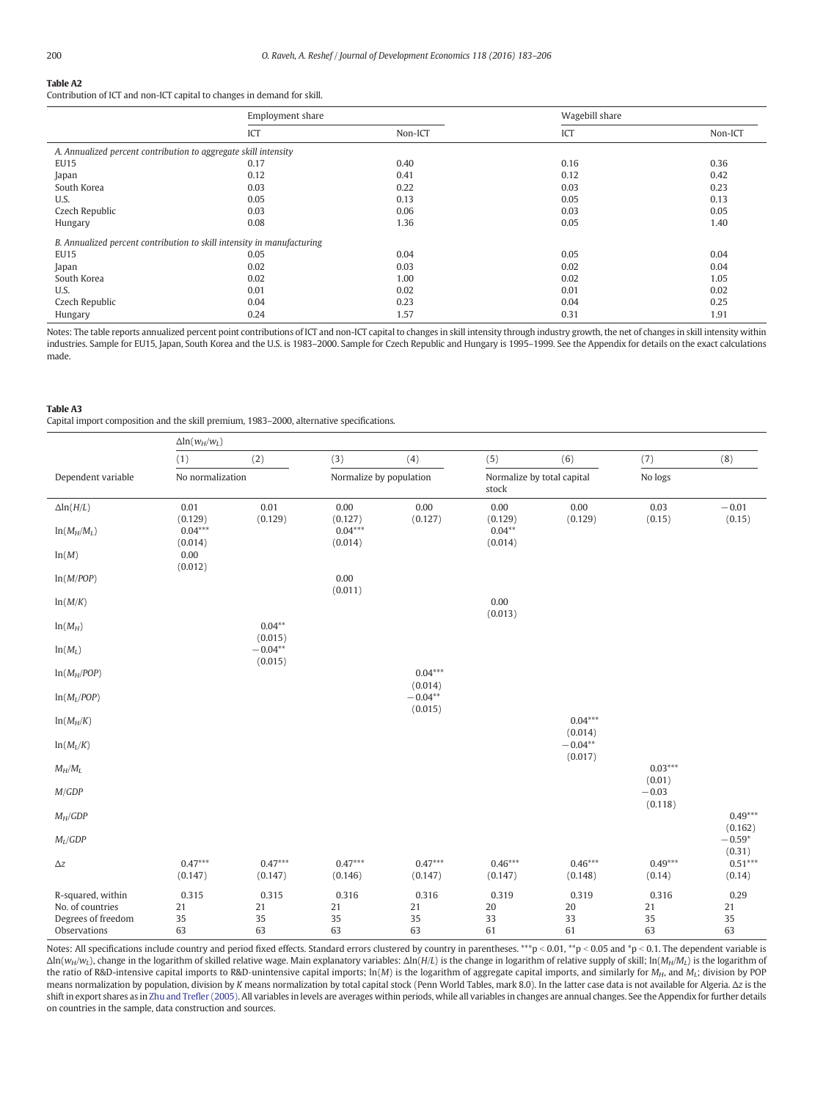# <span id="page-17-0"></span>Table A2

Contribution of ICT and non-ICT capital to changes in demand for skill.

|                                                                        | Employment share |         | Wagebill share |         |
|------------------------------------------------------------------------|------------------|---------|----------------|---------|
|                                                                        | ICT              | Non-ICT | ICT            | Non-ICT |
| A. Annualized percent contribution to aggregate skill intensity        |                  |         |                |         |
| <b>EU15</b>                                                            | 0.17             | 0.40    | 0.16           | 0.36    |
| Japan                                                                  | 0.12             | 0.41    | 0.12           | 0.42    |
| South Korea                                                            | 0.03             | 0.22    | 0.03           | 0.23    |
| U.S.                                                                   | 0.05             | 0.13    | 0.05           | 0.13    |
| Czech Republic                                                         | 0.03             | 0.06    | 0.03           | 0.05    |
| Hungary                                                                | 0.08             | 1.36    | 0.05           | 1.40    |
| B. Annualized percent contribution to skill intensity in manufacturing |                  |         |                |         |
| <b>EU15</b>                                                            | 0.05             | 0.04    | 0.05           | 0.04    |
| Japan                                                                  | 0.02             | 0.03    | 0.02           | 0.04    |
| South Korea                                                            | 0.02             | 1.00    | 0.02           | 1.05    |
| U.S.                                                                   | 0.01             | 0.02    | 0.01           | 0.02    |
| Czech Republic                                                         | 0.04             | 0.23    | 0.04           | 0.25    |
| Hungary                                                                | 0.24             | 1.57    | 0.31           | 1.91    |

Notes: The table reports annualized percent point contributions of ICT and non-ICT capital to changes in skill intensity through industry growth, the net of changes in skill intensity within industries. Sample for EU15, Japan, South Korea and the U.S. is 1983–2000. Sample for Czech Republic and Hungary is 1995–1999. See the Appendix for details on the exact calculations made.

#### Table A3

Capital import composition and the skill premium, 1983–2000, alternative specifications.

|                                                             | $\Delta$ ln $(w_H/w_L)$ |                      |                      |                         |                      |                            |                              |                      |
|-------------------------------------------------------------|-------------------------|----------------------|----------------------|-------------------------|----------------------|----------------------------|------------------------------|----------------------|
|                                                             | (1)                     | (2)                  | (3)                  | (4)                     | (5)                  | (6)                        | (7)                          | (8)                  |
| Dependent variable                                          | No normalization        |                      |                      | Normalize by population |                      | Normalize by total capital | No logs                      |                      |
| $\Delta$ ln( $H/L$ )                                        | 0.01<br>(0.129)         | 0.01<br>(0.129)      | 0.00<br>(0.127)      | 0.00<br>(0.127)         | 0.00<br>(0.129)      | 0.00<br>(0.129)            | 0.03<br>(0.15)               | $-0.01$<br>(0.15)    |
| $ln(M_H/M_L)$                                               | $0.04***$<br>(0.014)    |                      | $0.04***$<br>(0.014) |                         | $0.04**$<br>(0.014)  |                            |                              |                      |
| ln(M)                                                       | 0.00<br>(0.012)         |                      |                      |                         |                      |                            |                              |                      |
| ln(M/POP)                                                   |                         |                      | 0.00<br>(0.011)      |                         |                      |                            |                              |                      |
| ln(M/K)                                                     |                         |                      |                      |                         | 0.00<br>(0.013)      |                            |                              |                      |
| $ln(M_H)$                                                   |                         | $0.04**$<br>(0.015)  |                      |                         |                      |                            |                              |                      |
| $ln(M_L)$                                                   |                         | $-0.04**$<br>(0.015) |                      | $0.04***$               |                      |                            |                              |                      |
| $ln(M_H/POP)$<br>$ln(M_L/POP)$                              |                         |                      |                      | (0.014)<br>$-0.04**$    |                      |                            |                              |                      |
| $ln(M_H/K)$                                                 |                         |                      |                      | (0.015)                 |                      | $0.04***$                  |                              |                      |
| $ln(M_L/K)$                                                 |                         |                      |                      |                         |                      | (0.014)<br>$-0.04**$       |                              |                      |
| $M_H/M_L$                                                   |                         |                      |                      |                         |                      | (0.017)                    | $0.03***$                    |                      |
| M/GDP                                                       |                         |                      |                      |                         |                      |                            | (0.01)<br>$-0.03$<br>(0.118) |                      |
| $M_H/GDP$                                                   |                         |                      |                      |                         |                      |                            |                              | $0.49***$<br>(0.162) |
| $M_L/GDP$                                                   |                         |                      |                      |                         |                      |                            |                              | $-0.59*$<br>(0.31)   |
| $\Delta z$                                                  | $0.47***$<br>(0.147)    | $0.47***$<br>(0.147) | $0.47***$<br>(0.146) | $0.47***$<br>(0.147)    | $0.46***$<br>(0.147) | $0.46***$<br>(0.148)       | $0.49***$<br>(0.14)          | $0.51***$<br>(0.14)  |
| R-squared, within<br>No. of countries<br>Degrees of freedom | 0.315<br>21<br>35       | 0.315<br>21<br>35    | 0.316<br>21<br>35    | 0.316<br>21<br>35       | 0.319<br>20<br>33    | 0.319<br>20<br>33          | 0.316<br>21<br>35            | 0.29<br>21<br>35     |
| Observations                                                | 63                      | 63                   | 63                   | 63                      | 61                   | 61                         | 63                           | 63                   |

Notes: All specifications include country and period fixed effects. Standard errors clustered by country in parentheses. \*\*\* p < 0.01, \*\* p < 0.05 and \*p < 0.1. The dependent variable is Δln(wH/wL), change in the logarithm of skilled relative wage. Main explanatory variables: Δln(H/L) is the change in logarithm of relative supply of skill; ln(MH/ML) is the logarithm of the ratio of R&D-intensive capital imports to R&D-unintensive capital imports;  $ln(M)$  is the logarithm of aggregate capital imports, and similarly for  $M_H$ , and  $M_L$ ; division by POP means normalization by population, division by K means normalization by total capital stock (Penn World Tables, mark 8.0). In the latter case data is not available for Algeria. Δz is the shift in export shares as in [Zhu and Tre](#page-23-0)fler (2005). All variables in levels are averages within periods, while all variables in changes are annual changes. See the Appendix for further details on countries in the sample, data construction and sources.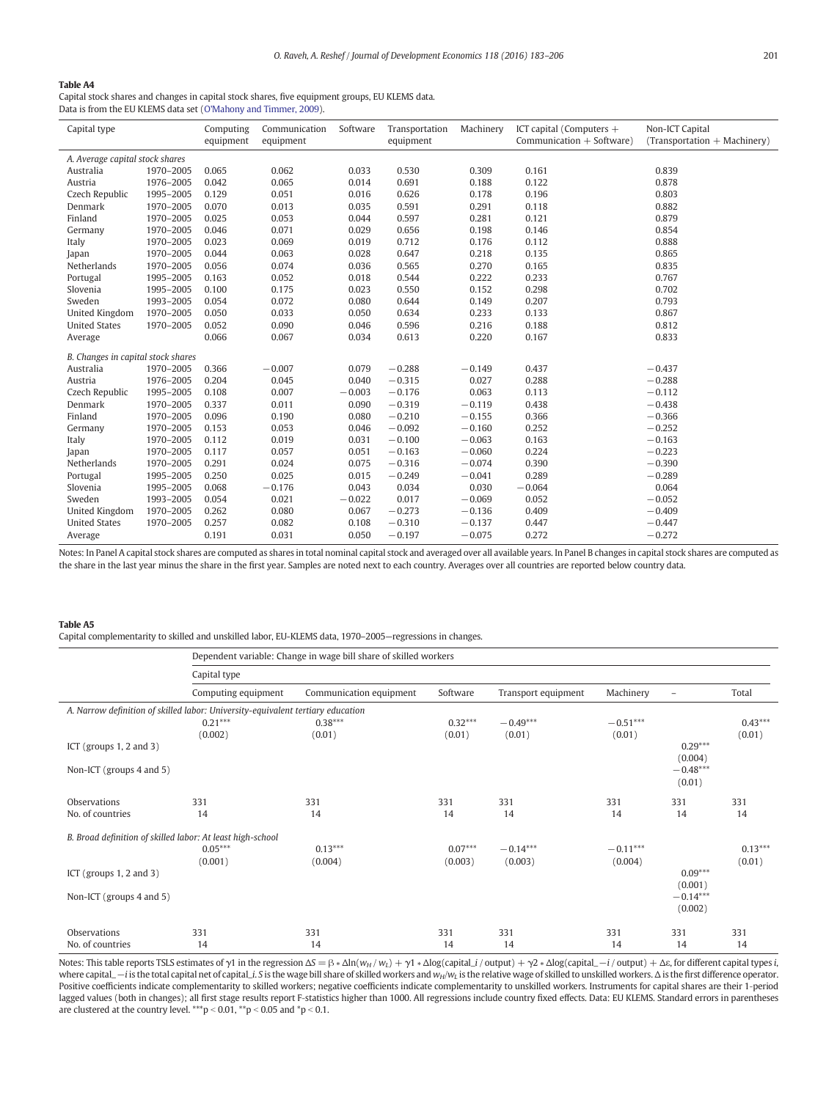# Table A4

Capital stock shares and changes in capital stock shares, five equipment groups, EU KLEMS data. Data is from the EU KLEMS data set [\(O'Mahony and Timmer, 2009](#page-23-0)).

| Capital type                       |           | Computing<br>equipment | Communication<br>equipment | Software | Transportation<br>equipment | Machinery | ICT capital (Computers +<br>Communication $+$ Software) | Non-ICT Capital<br>$(Transportation + Machinery)$ |
|------------------------------------|-----------|------------------------|----------------------------|----------|-----------------------------|-----------|---------------------------------------------------------|---------------------------------------------------|
|                                    |           |                        |                            |          |                             |           |                                                         |                                                   |
| A. Average capital stock shares    |           |                        |                            |          |                             |           |                                                         |                                                   |
| Australia                          | 1970-2005 | 0.065                  | 0.062                      | 0.033    | 0.530                       | 0.309     | 0.161                                                   | 0.839                                             |
| Austria                            | 1976-2005 | 0.042                  | 0.065                      | 0.014    | 0.691                       | 0.188     | 0.122                                                   | 0.878                                             |
| Czech Republic                     | 1995-2005 | 0.129                  | 0.051                      | 0.016    | 0.626                       | 0.178     | 0.196                                                   | 0.803                                             |
| Denmark                            | 1970-2005 | 0.070                  | 0.013                      | 0.035    | 0.591                       | 0.291     | 0.118                                                   | 0.882                                             |
| Finland                            | 1970-2005 | 0.025                  | 0.053                      | 0.044    | 0.597                       | 0.281     | 0.121                                                   | 0.879                                             |
| Germany                            | 1970-2005 | 0.046                  | 0.071                      | 0.029    | 0.656                       | 0.198     | 0.146                                                   | 0.854                                             |
| Italy                              | 1970-2005 | 0.023                  | 0.069                      | 0.019    | 0.712                       | 0.176     | 0.112                                                   | 0.888                                             |
| Japan                              | 1970-2005 | 0.044                  | 0.063                      | 0.028    | 0.647                       | 0.218     | 0.135                                                   | 0.865                                             |
| Netherlands                        | 1970-2005 | 0.056                  | 0.074                      | 0.036    | 0.565                       | 0.270     | 0.165                                                   | 0.835                                             |
| Portugal                           | 1995-2005 | 0.163                  | 0.052                      | 0.018    | 0.544                       | 0.222     | 0.233                                                   | 0.767                                             |
| Slovenia                           | 1995-2005 | 0.100                  | 0.175                      | 0.023    | 0.550                       | 0.152     | 0.298                                                   | 0.702                                             |
| Sweden                             | 1993-2005 | 0.054                  | 0.072                      | 0.080    | 0.644                       | 0.149     | 0.207                                                   | 0.793                                             |
| United Kingdom                     | 1970-2005 | 0.050                  | 0.033                      | 0.050    | 0.634                       | 0.233     | 0.133                                                   | 0.867                                             |
| <b>United States</b>               | 1970-2005 | 0.052                  | 0.090                      | 0.046    | 0.596                       | 0.216     | 0.188                                                   | 0.812                                             |
| Average                            |           | 0.066                  | 0.067                      | 0.034    | 0.613                       | 0.220     | 0.167                                                   | 0.833                                             |
| B. Changes in capital stock shares |           |                        |                            |          |                             |           |                                                         |                                                   |
| Australia                          | 1970-2005 | 0.366                  | $-0.007$                   | 0.079    | $-0.288$                    | $-0.149$  | 0.437                                                   | $-0.437$                                          |
| Austria                            | 1976-2005 | 0.204                  | 0.045                      | 0.040    | $-0.315$                    | 0.027     | 0.288                                                   | $-0.288$                                          |
| Czech Republic                     | 1995-2005 | 0.108                  | 0.007                      | $-0.003$ | $-0.176$                    | 0.063     | 0.113                                                   | $-0.112$                                          |
| Denmark                            | 1970-2005 | 0.337                  | 0.011                      | 0.090    | $-0.319$                    | $-0.119$  | 0.438                                                   | $-0.438$                                          |
| Finland                            | 1970-2005 | 0.096                  | 0.190                      | 0.080    | $-0.210$                    | $-0.155$  | 0.366                                                   | $-0.366$                                          |
| Germany                            | 1970-2005 | 0.153                  | 0.053                      | 0.046    | $-0.092$                    | $-0.160$  | 0.252                                                   | $-0.252$                                          |
| Italy                              | 1970-2005 | 0.112                  | 0.019                      | 0.031    | $-0.100$                    | $-0.063$  | 0.163                                                   | $-0.163$                                          |
| Japan                              | 1970-2005 | 0.117                  | 0.057                      | 0.051    | $-0.163$                    | $-0.060$  | 0.224                                                   | $-0.223$                                          |
| Netherlands                        | 1970-2005 | 0.291                  | 0.024                      | 0.075    | $-0.316$                    | $-0.074$  | 0.390                                                   | $-0.390$                                          |
| Portugal                           | 1995-2005 | 0.250                  | 0.025                      | 0.015    | $-0.249$                    | $-0.041$  | 0.289                                                   | $-0.289$                                          |
| Slovenia                           | 1995-2005 | 0.068                  | $-0.176$                   | 0.043    | 0.034                       | 0.030     | $-0.064$                                                | 0.064                                             |
| Sweden                             | 1993-2005 | 0.054                  | 0.021                      | $-0.022$ | 0.017                       | $-0.069$  | 0.052                                                   | $-0.052$                                          |
| United Kingdom                     | 1970-2005 | 0.262                  | 0.080                      | 0.067    | $-0.273$                    | $-0.136$  | 0.409                                                   | $-0.409$                                          |
| <b>United States</b>               | 1970-2005 | 0.257                  | 0.082                      | 0.108    | $-0.310$                    | $-0.137$  | 0.447                                                   | $-0.447$                                          |
| Average                            |           | 0.191                  | 0.031                      | 0.050    | $-0.197$                    | $-0.075$  | 0.272                                                   | $-0.272$                                          |
|                                    |           |                        |                            |          |                             |           |                                                         |                                                   |

Notes: In Panel A capital stock shares are computed as shares in total nominal capital stock and averaged over all available years. In Panel B changes in capital stock shares are computed as the share in the last year minus the share in the first year. Samples are noted next to each country. Averages over all countries are reported below country data.

#### Table A5

Capital complementarity to skilled and unskilled labor, EU-KLEMS data, 1970–2005—regressions in changes.

|                                                                                 | Dependent variable: Change in wage bill share of skilled workers |                         |           |                     |            |                          |           |  |  |  |  |
|---------------------------------------------------------------------------------|------------------------------------------------------------------|-------------------------|-----------|---------------------|------------|--------------------------|-----------|--|--|--|--|
|                                                                                 | Capital type                                                     |                         |           |                     |            |                          |           |  |  |  |  |
|                                                                                 | Computing equipment                                              | Communication equipment | Software  | Transport equipment | Machinery  | $\overline{\phantom{a}}$ | Total     |  |  |  |  |
| A. Narrow definition of skilled labor: University-equivalent tertiary education |                                                                  |                         |           |                     |            |                          |           |  |  |  |  |
|                                                                                 | $0.21***$                                                        | $0.38***$               | $0.32***$ | $-0.49***$          | $-0.51***$ |                          | $0.43***$ |  |  |  |  |
|                                                                                 | (0.002)                                                          | (0.01)                  | (0.01)    | (0.01)              | (0.01)     |                          | (0.01)    |  |  |  |  |
| ICT (groups $1, 2$ and $3$ )                                                    |                                                                  |                         |           |                     |            | $0.29***$                |           |  |  |  |  |
|                                                                                 |                                                                  |                         |           |                     |            | (0.004)                  |           |  |  |  |  |
| Non-ICT (groups 4 and 5)                                                        |                                                                  |                         |           |                     |            | $-0.48***$               |           |  |  |  |  |
|                                                                                 |                                                                  |                         |           |                     |            | (0.01)                   |           |  |  |  |  |
| Observations                                                                    | 331                                                              | 331                     | 331       | 331                 | 331        | 331                      | 331       |  |  |  |  |
| No. of countries                                                                | 14                                                               | 14                      | 14<br>14  |                     | 14         | 14                       | 14        |  |  |  |  |
| B. Broad definition of skilled labor: At least high-school                      |                                                                  |                         |           |                     |            |                          |           |  |  |  |  |
|                                                                                 | $0.05***$                                                        | $0.13***$               | $0.07***$ | $-0.14***$          | $-0.11***$ |                          | $0.13***$ |  |  |  |  |
|                                                                                 | (0.001)                                                          | (0.004)                 | (0.003)   | (0.003)             | (0.004)    |                          | (0.01)    |  |  |  |  |
| ICT (groups $1, 2$ and $3$ )                                                    |                                                                  |                         |           |                     |            | $0.09***$                |           |  |  |  |  |
|                                                                                 |                                                                  |                         |           |                     |            | (0.001)                  |           |  |  |  |  |
| Non-ICT (groups 4 and 5)                                                        |                                                                  |                         |           |                     |            | $-0.14***$               |           |  |  |  |  |
|                                                                                 |                                                                  |                         |           |                     |            | (0.002)                  |           |  |  |  |  |
| Observations                                                                    | 331                                                              | 331                     | 331       | 331                 | 331        | 331                      | 331       |  |  |  |  |
| No. of countries                                                                | 14                                                               | 14                      | 14        | 14                  | 14         | 14                       | 14        |  |  |  |  |

Notes: This table reports TSLS estimates of  $\gamma$ 1 in the regression  $\Delta S = \beta * \Delta \ln(w_H / w_L) + \gamma 1 * \Delta \log(\text{capital} / \text{output}) + \gamma 2 * \Delta \log(\text{capital} - i / \text{output}) + \Delta \varepsilon$ , for different capital types i, where capital\_−i is the total capital net of capital\_i. S is the wage bill share of skilled workers and w<sub>H</sub>/w<sub>L</sub> is the relative wage of skilled to unskilled workers. Δ is the first difference operator. Positive coefficients indicate complementarity to skilled workers; negative coefficients indicate complementarity to unskilled workers. Instruments for capital shares are their 1‐period lagged values (both in changes); all first stage results report F‐statistics higher than 1000. All regressions include country fixed effects. Data: EU KLEMS. Standard errors in parentheses are clustered at the country level.  $^{***}$ p < 0.01,  $^{**}$ p < 0.05 and  $^{*}$ p < 0.1.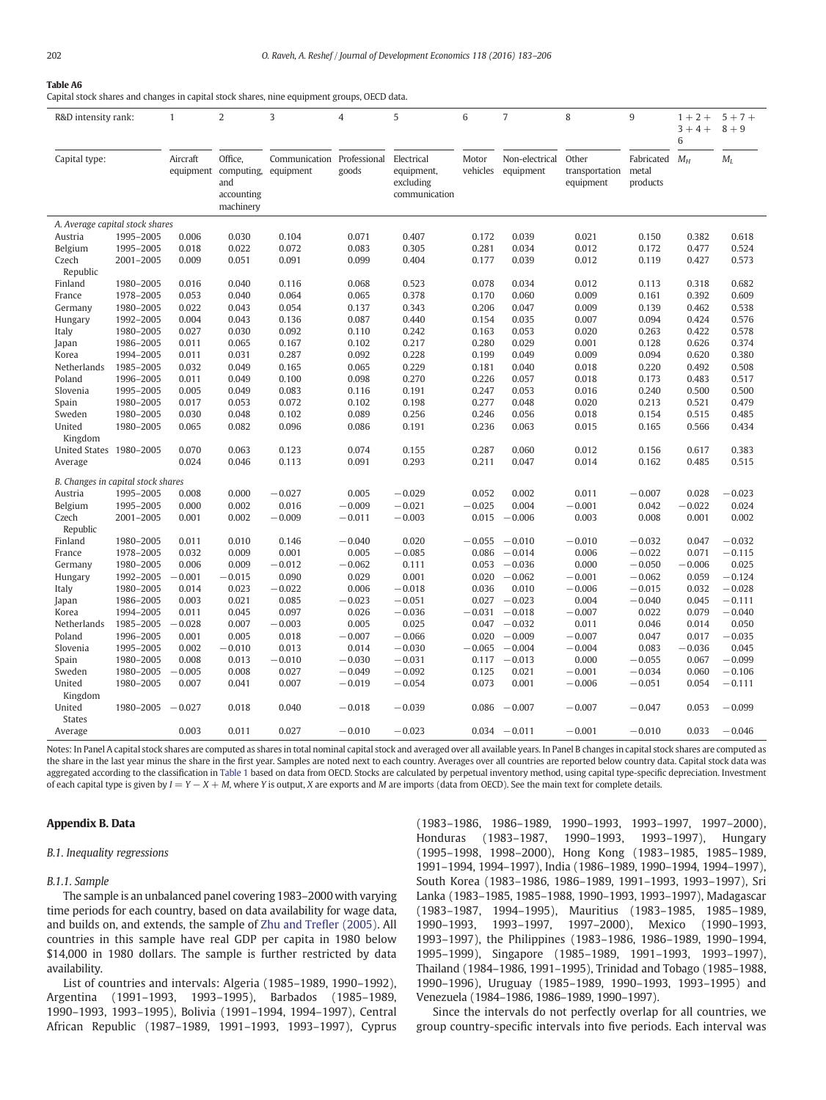#### Table A6

Capital stock shares and changes in capital stock shares, nine equipment groups, OECD data.

| R&D intensity rank:                |                        | $\mathbf{1}$          | $\overline{2}$                                                    | 3              | 4                     | 5                                                      | 6                 | $\overline{7}$              | 8                                    | 9                                     | $1 + 2 +$<br>$3 + 4 +$<br>6 | $5 + 7 +$<br>$8+9$ |
|------------------------------------|------------------------|-----------------------|-------------------------------------------------------------------|----------------|-----------------------|--------------------------------------------------------|-------------------|-----------------------------|--------------------------------------|---------------------------------------|-----------------------------|--------------------|
| Capital type:                      |                        | Aircraft<br>equipment | Office,<br>computing, equipment<br>and<br>accounting<br>machinery | Communication  | Professional<br>goods | Electrical<br>equipment,<br>excluding<br>communication | Motor<br>vehicles | Non-electrical<br>equipment | Other<br>transportation<br>equipment | Fabricated $M_H$<br>metal<br>products |                             | $M_L$              |
| A. Average capital stock shares    |                        |                       |                                                                   |                |                       |                                                        |                   |                             |                                      |                                       |                             |                    |
| Austria                            | 1995-2005              | 0.006                 | 0.030                                                             | 0.104          | 0.071                 | 0.407                                                  | 0.172             | 0.039                       | 0.021                                | 0.150                                 | 0.382                       | 0.618              |
| Belgium                            | 1995-2005              | 0.018                 | 0.022                                                             | 0.072          | 0.083                 | 0.305                                                  | 0.281             | 0.034                       | 0.012                                | 0.172                                 | 0.477                       | 0.524              |
| Czech                              | 2001-2005              | 0.009                 | 0.051                                                             | 0.091          | 0.099                 | 0.404                                                  | 0.177             | 0.039                       | 0.012                                | 0.119                                 | 0.427                       | 0.573              |
| Republic                           |                        |                       |                                                                   |                |                       |                                                        |                   |                             |                                      |                                       |                             |                    |
| Finland                            | 1980-2005              | 0.016                 | 0.040                                                             | 0.116          | 0.068                 | 0.523                                                  | 0.078             | 0.034                       | 0.012                                | 0.113                                 | 0.318                       | 0.682              |
| France                             | 1978-2005              | 0.053                 | 0.040                                                             | 0.064          | 0.065                 | 0.378                                                  | 0.170             | 0.060                       | 0.009                                | 0.161                                 | 0.392                       | 0.609              |
| Germany                            | 1980-2005              | 0.022                 | 0.043                                                             | 0.054          | 0.137                 | 0.343                                                  | 0.206             | 0.047                       | 0.009                                | 0.139                                 | 0.462                       | 0.538              |
| Hungary                            | 1992-2005              | 0.004                 | 0.043                                                             | 0.136          | 0.087                 | 0.440                                                  | 0.154             | 0.035                       | 0.007                                | 0.094                                 | 0.424                       | 0.576              |
| Italy                              | 1980-2005              | 0.027                 | 0.030                                                             | 0.092          | 0.110                 | 0.242                                                  | 0.163             | 0.053                       | 0.020                                | 0.263                                 | 0.422                       | 0.578              |
| Japan                              | 1986-2005              | 0.011<br>0.011        | 0.065                                                             | 0.167          | 0.102                 | 0.217                                                  | 0.280             | 0.029                       | 0.001                                | 0.128                                 | 0.626<br>0.620              | 0.374              |
| Korea<br>Netherlands               | 1994-2005<br>1985-2005 | 0.032                 | 0.031<br>0.049                                                    | 0.287<br>0.165 | 0.092<br>0.065        | 0.228<br>0.229                                         | 0.199<br>0.181    | 0.049<br>0.040              | 0.009<br>0.018                       | 0.094<br>0.220                        | 0.492                       | 0.380<br>0.508     |
| Poland                             | 1996-2005              | 0.011                 | 0.049                                                             | 0.100          | 0.098                 | 0.270                                                  | 0.226             | 0.057                       | 0.018                                | 0.173                                 | 0.483                       | 0.517              |
| Slovenia                           | 1995-2005              | 0.005                 | 0.049                                                             | 0.083          | 0.116                 | 0.191                                                  | 0.247             | 0.053                       | 0.016                                | 0.240                                 | 0.500                       | 0.500              |
| Spain                              | 1980-2005              | 0.017                 | 0.053                                                             | 0.072          | 0.102                 | 0.198                                                  | 0.277             | 0.048                       | 0.020                                | 0.213                                 | 0.521                       | 0.479              |
| Sweden                             | 1980-2005              | 0.030                 | 0.048                                                             | 0.102          | 0.089                 | 0.256                                                  | 0.246             | 0.056                       | 0.018                                | 0.154                                 | 0.515                       | 0.485              |
| United                             | 1980-2005              | 0.065                 | 0.082                                                             | 0.096          | 0.086                 | 0.191                                                  | 0.236             | 0.063                       | 0.015                                | 0.165                                 | 0.566                       | 0.434              |
| Kingdom                            |                        |                       |                                                                   |                |                       |                                                        |                   |                             |                                      |                                       |                             |                    |
| United States 1980-2005            |                        | 0.070                 | 0.063                                                             | 0.123          | 0.074                 | 0.155                                                  | 0.287             | 0.060                       | 0.012                                | 0.156                                 | 0.617                       | 0.383              |
| Average                            |                        | 0.024                 | 0.046                                                             | 0.113          | 0.091                 | 0.293                                                  | 0.211             | 0.047                       | 0.014                                | 0.162                                 | 0.485                       | 0.515              |
|                                    |                        |                       |                                                                   |                |                       |                                                        |                   |                             |                                      |                                       |                             |                    |
| B. Changes in capital stock shares |                        |                       |                                                                   |                |                       |                                                        |                   |                             |                                      |                                       |                             |                    |
| Austria                            | 1995-2005              | 0.008                 | 0.000                                                             | $-0.027$       | 0.005                 | $-0.029$                                               | 0.052             | 0.002                       | 0.011                                | $-0.007$                              | 0.028                       | $-0.023$           |
| Belgium                            | 1995-2005              | 0.000                 | 0.002                                                             | 0.016          | $-0.009$              | $-0.021$                                               | $-0.025$          | 0.004                       | $-0.001$                             | 0.042                                 | $-0.022$                    | 0.024              |
| Czech<br>Republic                  | 2001-2005              | 0.001                 | 0.002                                                             | $-0.009$       | $-0.011$              | $-0.003$                                               | 0.015             | $-0.006$                    | 0.003                                | 0.008                                 | 0.001                       | 0.002              |
| Finland                            | 1980-2005              | 0.011                 | 0.010                                                             | 0.146          | $-0.040$              | 0.020                                                  |                   | $-0.055 - 0.010$            | $-0.010$                             | $-0.032$                              | 0.047                       | $-0.032$           |
| France                             | 1978-2005              | 0.032                 | 0.009                                                             | 0.001          | 0.005                 | $-0.085$                                               | 0.086             | $-0.014$                    | 0.006                                | $-0.022$                              | 0.071                       | $-0.115$           |
| Germany                            | 1980-2005              | 0.006                 | 0.009                                                             | $-0.012$       | $-0.062$              | 0.111                                                  | 0.053             | $-0.036$                    | 0.000                                | $-0.050$                              | $-0.006$                    | 0.025              |
| Hungary                            | 1992-2005              | $-0.001$              | $-0.015$                                                          | 0.090          | 0.029                 | 0.001                                                  | 0.020             | $-0.062$                    | $-0.001$                             | $-0.062$                              | 0.059                       | $-0.124$           |
| Italy                              | 1980-2005              | 0.014                 | 0.023                                                             | $-0.022$       | 0.006                 | $-0.018$                                               | 0.036             | 0.010                       | $-0.006$                             | $-0.015$                              | 0.032                       | $-0.028$           |
| Japan                              | 1986-2005              | 0.003                 | 0.021                                                             | 0.085          | $-0.023$              | $-0.051$                                               |                   | $0.027 - 0.023$             | 0.004                                | $-0.040$                              | 0.045                       | $-0.111$           |
| Korea                              | 1994-2005              | 0.011                 | 0.045                                                             | 0.097          | 0.026                 | $-0.036$                                               | $-0.031$          | $-0.018$                    | $-0.007$                             | 0.022                                 | 0.079                       | $-0.040$           |
| Netherlands                        | 1985-2005              | $-0.028$              | 0.007                                                             | $-0.003$       | 0.005                 | 0.025                                                  |                   | $0.047 - 0.032$             | 0.011                                | 0.046                                 | 0.014                       | 0.050              |
| Poland                             | 1996-2005              | 0.001                 | 0.005                                                             | 0.018          | $-0.007$              | $-0.066$                                               | 0.020             | $-0.009$                    | $-0.007$                             | 0.047                                 | 0.017                       | $-0.035$           |
| Slovenia                           | 1995-2005              | 0.002                 | $-0.010$                                                          | 0.013          | 0.014                 | $-0.030$                                               | $-0.065$          | $-0.004$                    | $-0.004$                             | 0.083                                 | $-0.036$                    | 0.045              |
| Spain                              | 1980-2005              | 0.008                 | 0.013                                                             | $-0.010$       | $-0.030$              | $-0.031$                                               |                   | $0.117 - 0.013$             | 0.000                                | $-0.055$                              | 0.067                       | $-0.099$           |
| Sweden                             | 1980-2005              | $-0.005$              | 0.008                                                             | 0.027          | $-0.049$              | $-0.092$                                               | 0.125             | 0.021                       | $-0.001$                             | $-0.034$                              | 0.060                       | $-0.106$           |
| United                             | 1980-2005              | 0.007                 | 0.041                                                             | 0.007          | $-0.019$              | $-0.054$                                               | 0.073             | 0.001                       | $-0.006$                             | $-0.051$                              | 0.054                       | $-0.111$           |
| Kingdom                            |                        |                       |                                                                   |                |                       |                                                        |                   |                             |                                      |                                       |                             |                    |
| United                             | 1980-2005              | $-0.027$              | 0.018                                                             | 0.040          | $-0.018$              | $-0.039$                                               | 0.086             | $-0.007$                    | $-0.007$                             | $-0.047$                              | 0.053                       | $-0.099$           |
| <b>States</b>                      |                        |                       |                                                                   |                |                       |                                                        |                   |                             |                                      |                                       |                             |                    |
| Average                            |                        | 0.003                 | 0.011                                                             | 0.027          | $-0.010$              | $-0.023$                                               |                   | $0.034 - 0.011$             | $-0.001$                             | $-0.010$                              | 0.033                       | $-0.046$           |

Notes: In Panel A capital stock shares are computed as shares in total nominal capital stock and averaged over all available years. In Panel B changes in capital stock shares are computed as the share in the last year minus the share in the first year. Samples are noted next to each country. Averages over all countries are reported below country data. Capital stock data was aggregated according to the classification in [Table 1](#page-3-0) based on data from OECD. Stocks are calculated by perpetual inventory method, using capital type-specific depreciation. Investment of each capital type is given by  $I = Y - X + M$ , where Y is output, X are exports and M are imports (data from OECD). See the main text for complete details.

# Appendix B. Data

# B.1. Inequality regressions

B.1.1. Sample

The sample is an unbalanced panel covering 1983–2000 with varying time periods for each country, based on data availability for wage data, and builds on, and extends, the sample of [Zhu and Tre](#page-23-0)fler (2005). All countries in this sample have real GDP per capita in 1980 below \$14,000 in 1980 dollars. The sample is further restricted by data availability.

List of countries and intervals: Algeria (1985–1989, 1990–1992), Argentina (1991–1993, 1993–1995), Barbados (1985–1989, 1990–1993, 1993–1995), Bolivia (1991–1994, 1994–1997), Central African Republic (1987–1989, 1991–1993, 1993–1997), Cyprus

(1983–1986, 1986–1989, 1990–1993, 1993–1997, 1997–2000), Honduras (1983–1987, 1990–1993, 1993–1997), Hungary (1995–1998, 1998–2000), Hong Kong (1983–1985, 1985–1989, 1991–1994, 1994–1997), India (1986–1989, 1990–1994, 1994–1997), South Korea (1983–1986, 1986–1989, 1991–1993, 1993–1997), Sri Lanka (1983–1985, 1985–1988, 1990–1993, 1993–1997), Madagascar (1983–1987, 1994–1995), Mauritius (1983–1985, 1985–1989, 1990–1993, 1993–1997, 1997–2000), Mexico (1990–1993, 1993–1997), the Philippines (1983–1986, 1986–1989, 1990–1994, 1995–1999), Singapore (1985–1989, 1991–1993, 1993–1997), Thailand (1984–1986, 1991–1995), Trinidad and Tobago (1985–1988, 1990–1996), Uruguay (1985–1989, 1990–1993, 1993–1995) and Venezuela (1984–1986, 1986–1989, 1990–1997).

Since the intervals do not perfectly overlap for all countries, we group country-specific intervals into five periods. Each interval was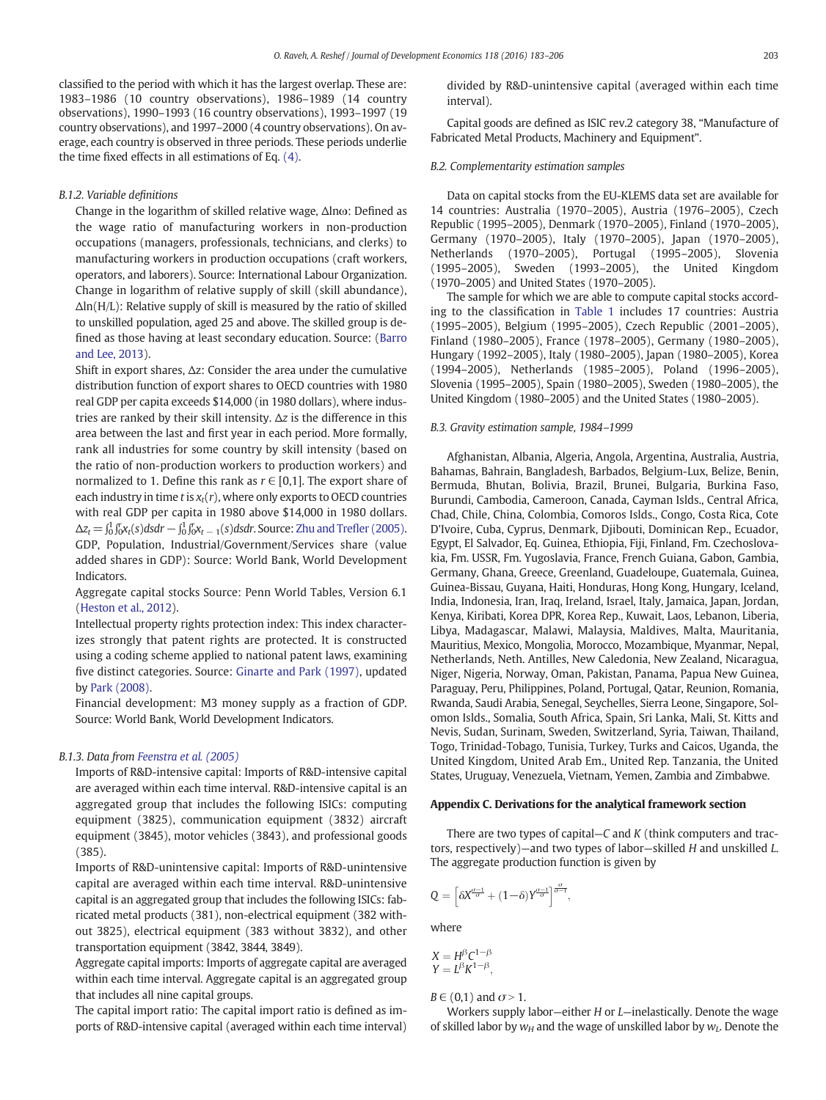classified to the period with which it has the largest overlap. These are: 1983–1986 (10 country observations), 1986–1989 (14 country observations), 1990–1993 (16 country observations), 1993–1997 (19 country observations), and 1997–2000 (4 country observations). On average, each country is observed in three periods. These periods underlie the time fixed effects in all estimations of Eq. [\(4\)](#page-7-0).

# B.1.2. Variable definitions

Change in the logarithm of skilled relative wage, Δlnω: Defined as the wage ratio of manufacturing workers in non-production occupations (managers, professionals, technicians, and clerks) to manufacturing workers in production occupations (craft workers, operators, and laborers). Source: International Labour Organization. Change in logarithm of relative supply of skill (skill abundance), Δln(H/L): Relative supply of skill is measured by the ratio of skilled to unskilled population, aged 25 and above. The skilled group is defined as those having at least secondary education. Source: ([Barro](#page-23-0) [and Lee, 2013](#page-23-0)).

Shift in export shares, Δz: Consider the area under the cumulative distribution function of export shares to OECD countries with 1980 real GDP per capita exceeds \$14,000 (in 1980 dollars), where industries are ranked by their skill intensity. Δz is the difference in this area between the last and first year in each period. More formally, rank all industries for some country by skill intensity (based on the ratio of non-production workers to production workers) and normalized to 1. Define this rank as  $r \in [0,1]$ . The export share of each industry in time  $t$  is  $x_t(r)$ , where only exports to OECD countries with real GDP per capita in 1980 above \$14,000 in 1980 dollars.  $\Delta z_t = \int_0^1 \int_0^r x_t(s) ds dr - \int_0^1 \int_0^r x_{t-1}(s) ds dr$ . Source: [Zhu and Tre](#page-23-0)fler (2005). GDP, Population, Industrial/Government/Services share (value added shares in GDP): Source: World Bank, World Development Indicators.

Aggregate capital stocks Source: Penn World Tables, Version 6.1 [\(Heston et al., 2012\)](#page-23-0).

Intellectual property rights protection index: This index characterizes strongly that patent rights are protected. It is constructed using a coding scheme applied to national patent laws, examining five distinct categories. Source: [Ginarte and Park \(1997\)](#page-23-0), updated by [Park \(2008\).](#page-23-0)

Financial development: M3 money supply as a fraction of GDP. Source: World Bank, World Development Indicators.

#### B.1.3. Data from [Feenstra et al. \(2005\)](#page-23-0)

Imports of R&D-intensive capital: Imports of R&D-intensive capital are averaged within each time interval. R&D-intensive capital is an aggregated group that includes the following ISICs: computing equipment (3825), communication equipment (3832) aircraft equipment (3845), motor vehicles (3843), and professional goods (385).

Imports of R&D-unintensive capital: Imports of R&D-unintensive capital are averaged within each time interval. R&D-unintensive capital is an aggregated group that includes the following ISICs: fabricated metal products (381), non-electrical equipment (382 without 3825), electrical equipment (383 without 3832), and other transportation equipment (3842, 3844, 3849).

Aggregate capital imports: Imports of aggregate capital are averaged within each time interval. Aggregate capital is an aggregated group that includes all nine capital groups.

The capital import ratio: The capital import ratio is defined as imports of R&D-intensive capital (averaged within each time interval) divided by R&D-unintensive capital (averaged within each time interval).

Capital goods are defined as ISIC rev.2 category 38, "Manufacture of Fabricated Metal Products, Machinery and Equipment".

#### B.2. Complementarity estimation samples

Data on capital stocks from the EU-KLEMS data set are available for 14 countries: Australia (1970–2005), Austria (1976–2005), Czech Republic (1995–2005), Denmark (1970–2005), Finland (1970–2005), Germany (1970–2005), Italy (1970–2005), Japan (1970–2005), Netherlands (1970–2005), Portugal (1995–2005), Slovenia (1995–2005), Sweden (1993–2005), the United Kingdom (1970–2005) and United States (1970–2005).

The sample for which we are able to compute capital stocks according to the classification in [Table 1](#page-3-0) includes 17 countries: Austria (1995–2005), Belgium (1995–2005), Czech Republic (2001–2005), Finland (1980–2005), France (1978–2005), Germany (1980–2005), Hungary (1992–2005), Italy (1980–2005), Japan (1980–2005), Korea (1994–2005), Netherlands (1985–2005), Poland (1996–2005), Slovenia (1995–2005), Spain (1980–2005), Sweden (1980–2005), the United Kingdom (1980–2005) and the United States (1980–2005).

#### B.3. Gravity estimation sample, 1984–1999

Afghanistan, Albania, Algeria, Angola, Argentina, Australia, Austria, Bahamas, Bahrain, Bangladesh, Barbados, Belgium-Lux, Belize, Benin, Bermuda, Bhutan, Bolivia, Brazil, Brunei, Bulgaria, Burkina Faso, Burundi, Cambodia, Cameroon, Canada, Cayman Islds., Central Africa, Chad, Chile, China, Colombia, Comoros Islds., Congo, Costa Rica, Cote D'Ivoire, Cuba, Cyprus, Denmark, Djibouti, Dominican Rep., Ecuador, Egypt, El Salvador, Eq. Guinea, Ethiopia, Fiji, Finland, Fm. Czechoslovakia, Fm. USSR, Fm. Yugoslavia, France, French Guiana, Gabon, Gambia, Germany, Ghana, Greece, Greenland, Guadeloupe, Guatemala, Guinea, Guinea-Bissau, Guyana, Haiti, Honduras, Hong Kong, Hungary, Iceland, India, Indonesia, Iran, Iraq, Ireland, Israel, Italy, Jamaica, Japan, Jordan, Kenya, Kiribati, Korea DPR, Korea Rep., Kuwait, Laos, Lebanon, Liberia, Libya, Madagascar, Malawi, Malaysia, Maldives, Malta, Mauritania, Mauritius, Mexico, Mongolia, Morocco, Mozambique, Myanmar, Nepal, Netherlands, Neth. Antilles, New Caledonia, New Zealand, Nicaragua, Niger, Nigeria, Norway, Oman, Pakistan, Panama, Papua New Guinea, Paraguay, Peru, Philippines, Poland, Portugal, Qatar, Reunion, Romania, Rwanda, Saudi Arabia, Senegal, Seychelles, Sierra Leone, Singapore, Solomon Islds., Somalia, South Africa, Spain, Sri Lanka, Mali, St. Kitts and Nevis, Sudan, Surinam, Sweden, Switzerland, Syria, Taiwan, Thailand, Togo, Trinidad-Tobago, Tunisia, Turkey, Turks and Caicos, Uganda, the United Kingdom, United Arab Em., United Rep. Tanzania, the United States, Uruguay, Venezuela, Vietnam, Yemen, Zambia and Zimbabwe.

#### Appendix C. Derivations for the analytical framework section

There are two types of capital $-C$  and K (think computers and tractors, respectively)—and two types of labor—skilled H and unskilled L. The aggregate production function is given by

$$
Q = \left[ \delta X^{\frac{\sigma-1}{\sigma}} + (1-\delta) Y^{\frac{\sigma-1}{\sigma}} \right]^{\frac{\sigma}{\sigma-1}},
$$

where

$$
X = H^{\beta}C^{1-\beta}
$$
  
 
$$
Y = L^{\beta}K^{1-\beta},
$$

 $B \in (0,1)$  and  $\sigma > 1$ .

Workers supply labor-either  $H$  or  $L$ -inelastically. Denote the wage of skilled labor by  $w_H$  and the wage of unskilled labor by  $w_I$ . Denote the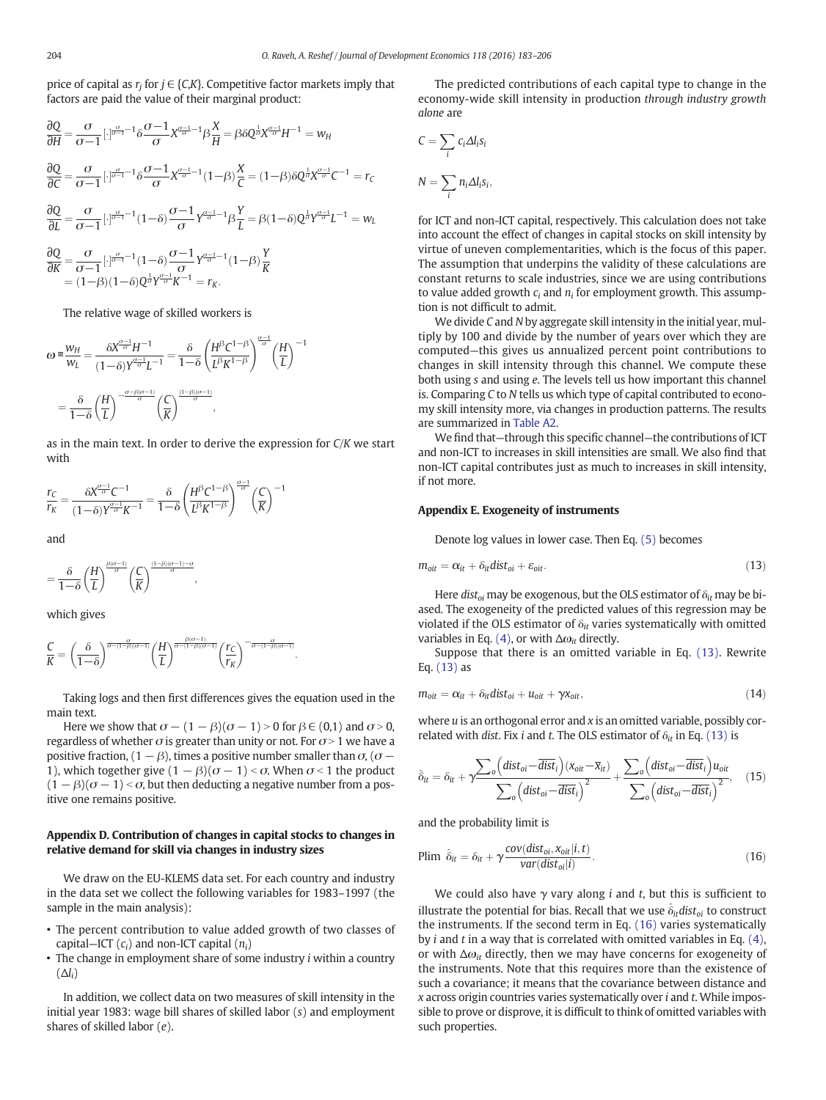price of capital as  $r_i$  for  $j \in \{C,K\}$ . Competitive factor markets imply that factors are paid the value of their marginal product:

$$
\frac{\partial Q}{\partial H} = \frac{\sigma}{\sigma - 1} \left[ \cdot \right]_{\sigma - 1}^{\sigma - 1} \delta \frac{\sigma - 1}{\sigma} X_{\sigma}^{\sigma - 1} \beta \frac{X}{H} = \beta \delta Q^{\frac{1}{\sigma}} X_{\sigma}^{\frac{\sigma - 1}{\sigma}} H^{-1} = w_H
$$
\n
$$
\frac{\partial Q}{\partial C} = \frac{\sigma}{\sigma - 1} \left[ \cdot \right]_{\sigma - 1}^{\sigma - 1} \delta \frac{\sigma - 1}{\sigma} X_{\sigma}^{\frac{\sigma - 1}{\sigma} - 1} (1 - \beta) \frac{X}{C} = (1 - \beta) \delta Q^{\frac{1}{\sigma}} X_{\sigma}^{\frac{\sigma - 1}{\sigma}} C^{-1} = r_C
$$
\n
$$
\frac{\partial Q}{\partial L} = \frac{\sigma}{\sigma - 1} \left[ \cdot \right]_{\sigma - 1}^{\sigma - 1} (1 - \delta) \frac{\sigma - 1}{\sigma} Y_{\sigma}^{\frac{\sigma - 1}{\sigma} - 1} \beta \frac{Y}{L} = \beta (1 - \delta) Q^{\frac{1}{\sigma}} Y_{\sigma}^{\frac{\sigma - 1}{\sigma}} L^{-1} = w_L
$$
\n
$$
\frac{\partial Q}{\partial K} = \frac{\sigma}{\sigma - 1} \left[ \cdot \right]_{\sigma - 1}^{\frac{\sigma - 1}{\sigma}} (1 - \delta) \frac{\sigma - 1}{\sigma} Y_{\sigma}^{\frac{\sigma - 1}{\sigma} - 1} (1 - \beta) \frac{Y}{K}
$$

The relative wage of skilled workers is

 $= (1-\beta)(1-\delta)Q^{\frac{1}{\sigma}}Y^{\frac{\sigma-1}{\sigma}}K^{-1} = r_K.$ 

$$
\omega = \frac{w_H}{w_L} = \frac{\delta X^{\frac{\alpha - 1}{\sigma}} H^{-1}}{(1 - \delta)Y^{\frac{\alpha - 1}{\sigma}}L^{-1}} = \frac{\delta}{1 - \delta} \left(\frac{H^{\beta}C^{1 - \beta}}{L^{\beta}K^{1 - \beta}}\right)^{\frac{\alpha - 1}{\sigma}} \left(\frac{H}{L}\right)^{-1}
$$

$$
= \frac{\delta}{1 - \delta} \left(\frac{H}{L}\right)^{-\frac{\alpha - \beta(\alpha - 1)}{\sigma}} \left(\frac{C}{K}\right)^{\frac{(1 - \beta)(\sigma - 1)}{\sigma}},
$$

as in the main text. In order to derive the expression for C/K we start with

$$
\frac{r_C}{r_K} = \frac{\delta X^{\frac{\sigma-1}{\sigma}} C^{-1}}{(1-\delta)Y^{\frac{\sigma-1}{\sigma}} K^{-1}} = \frac{\delta}{1-\delta} \left(\frac{H^{\beta} C^{1-\beta}}{L^{\beta} K^{1-\beta}}\right)^{\frac{\sigma-1}{\sigma}} \left(\frac{C}{K}\right)^{-1}
$$

and

$$
=\frac{\delta}{1\!-\!\delta}\!\left(\!\frac{H}{L}\!\right)^{\frac{\beta(\sigma-1)}{\sigma}}\!\!\left(\!\frac{C}{K}\!\right)^{\frac{(1-\beta)(\sigma-1)-\sigma}{\sigma}},
$$

which gives

$$
\frac{C}{K}=\left(\frac{\delta}{1-\delta}\right)^{\frac{\alpha}{\sigma-(1-\beta)(\sigma-1)}}\left(\frac{H}{L}\right)^{\frac{\beta(\sigma-1)}{\sigma-(1-\beta)(\sigma-1)}}\left(\frac{r_{C}}{r_{K}}\right)^{-\frac{\alpha}{\sigma-(1-\beta)(\sigma-1)}}.
$$

Taking logs and then first differences gives the equation used in the main text.

Here we show that  $\sigma - (1 - \beta)(\sigma - 1) > 0$  for  $\beta \in (0,1)$  and  $\sigma > 0$ , regardless of whether  $\sigma$  is greater than unity or not. For  $\sigma$  > 1 we have a positive fraction,  $(1 - \beta)$ , times a positive number smaller than  $\sigma$ ,  $(\sigma -$ 1), which together give  $(1 - \beta)(\sigma - 1) < \sigma$ . When  $\sigma < 1$  the product  $(1 - \beta)(\sigma - 1) < \sigma$ , but then deducting a negative number from a positive one remains positive.

# Appendix D. Contribution of changes in capital stocks to changes in relative demand for skill via changes in industry sizes

We draw on the EU-KLEMS data set. For each country and industry in the data set we collect the following variables for 1983–1997 (the sample in the main analysis):

- The percent contribution to value added growth of two classes of capital–ICT  $(c_i)$  and non-ICT capital  $(n_i)$
- The change in employment share of some industry i within a country  $(\Delta l_i)$

In addition, we collect data on two measures of skill intensity in the initial year 1983: wage bill shares of skilled labor (s) and employment shares of skilled labor (e).

The predicted contributions of each capital type to change in the economy-wide skill intensity in production through industry growth alone are

$$
C = \sum_{i} c_i \Delta l_i s_i
$$

$$
N = \sum_{i} n_i \Delta l_i s_i,
$$

for ICT and non-ICT capital, respectively. This calculation does not take into account the effect of changes in capital stocks on skill intensity by virtue of uneven complementarities, which is the focus of this paper. The assumption that underpins the validity of these calculations are constant returns to scale industries, since we are using contributions to value added growth  $c_i$  and  $n_i$  for employment growth. This assumption is not difficult to admit.

We divide C and N by aggregate skill intensity in the initial year, multiply by 100 and divide by the number of years over which they are computed—this gives us annualized percent point contributions to changes in skill intensity through this channel. We compute these both using s and using e. The levels tell us how important this channel is. Comparing C to N tells us which type of capital contributed to economy skill intensity more, via changes in production patterns. The results are summarized in [Table A2.](#page-17-0)

We find that—through this specific channel—the contributions of ICT and non-ICT to increases in skill intensities are small. We also find that non-ICT capital contributes just as much to increases in skill intensity, if not more.

#### Appendix E. Exogeneity of instruments

Denote log values in lower case. Then Eq. [\(5\)](#page-8-0) becomes

$$
m_{\text{oit}} = \alpha_{\text{it}} + \delta_{\text{it}} \text{dist}_{\text{oi}} + \varepsilon_{\text{oit}}.
$$
\n
$$
(13)
$$

Here dist<sub>oi</sub> may be exogenous, but the OLS estimator of  $\delta_{it}$  may be biased. The exogeneity of the predicted values of this regression may be violated if the OLS estimator of  $\delta_{it}$  varies systematically with omitted variables in Eq. [\(4\),](#page-7-0) or with  $\Delta\omega_{it}$  directly.

Suppose that there is an omitted variable in Eq. (13). Rewrite Eq. (13) as

$$
m_{\text{oit}} = \alpha_{it} + \delta_{it} \text{dist}_{\text{oi}} + u_{\text{oit}} + \gamma x_{\text{oit}}, \qquad (14)
$$

where  $u$  is an orthogonal error and  $x$  is an omitted variable, possibly correlated with dist. Fix i and t. The OLS estimator of  $\delta_{it}$  in Eq. (13) is

$$
\hat{\delta}_{it} = \delta_{it} + \gamma \frac{\sum_{o} \left( dist_{oi} - \overline{dist}_{i} \right) (x_{oit} - \overline{x}_{it})}{\sum_{o} \left( dist_{oi} - \overline{dist}_{i} \right)^{2}} + \frac{\sum_{o} \left( dist_{oi} - \overline{dist}_{i} \right) u_{oit}}{\sum_{o} \left( dist_{oi} - \overline{dist}_{i} \right)^{2}}, \quad (15)
$$

and the probability limit is

$$
\text{Plim } \hat{\delta}_{it} = \delta_{it} + \gamma \frac{\text{cov}(dist_{oi}, x_{oit}|i, t)}{\text{var}(dist_{oi}|i)}.
$$
\n
$$
(16)
$$

We could also have  $\gamma$  vary along *i* and *t*, but this is sufficient to illustrate the potential for bias. Recall that we use  $\hat{\delta}_{it}$  dist<sub>oi</sub> to construct the instruments. If the second term in Eq. (16) varies systematically by  $i$  and  $t$  in a way that is correlated with omitted variables in Eq.  $(4)$ , or with  $\Delta\omega_{it}$  directly, then we may have concerns for exogeneity of the instruments. Note that this requires more than the existence of such a covariance; it means that the covariance between distance and  $x$  across origin countries varies systematically over  $i$  and  $t$ . While impossible to prove or disprove, it is difficult to think of omitted variables with such properties.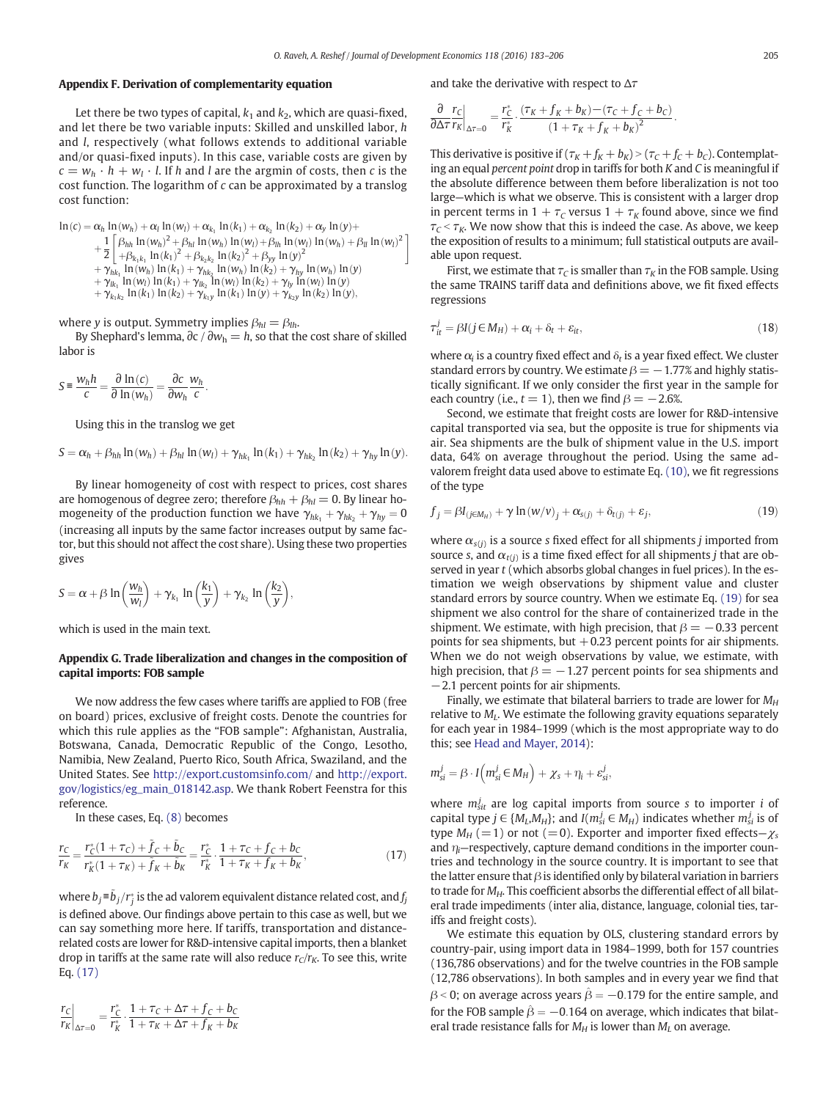# Appendix F. Derivation of complementarity equation

Let there be two types of capital,  $k_1$  and  $k_2$ , which are quasi-fixed, and let there be two variable inputs: Skilled and unskilled labor, h and l, respectively (what follows extends to additional variable and/or quasi-fixed inputs). In this case, variable costs are given by  $c = w_h \cdot h + w_l \cdot l$ . If h and l are the argmin of costs, then c is the cost function. The logarithm of  $c$  can be approximated by a translog cost function:

 $\ln(c) = \alpha_h \ln(w_h) + \alpha_l \ln(w_l) + \alpha_{k_1} \ln(k_1) + \alpha_{k_2} \ln(k_2) + \alpha_y \ln(y) +$  $+\frac{1}{2}$  $\frac{1}{2}\begin{bmatrix} \beta_{hh} \ln(w_h)^2 + \beta_{hl} \ln(w_h) \ln(w_l) + \beta_{lh} \ln(w_l) \ln(w_h) + \beta_{ll} \ln(w_l)^2 \\ + \beta_{k,k} \ln(k_1)^2 + \beta_{k,k} \ln(k_2)^2 + \beta_{vv} \ln(y)^2 \end{bmatrix}$  $+\beta_{k_1k_1} \ln(k_1)^2 + \beta_{k_2k_2} \ln(k_2)^2 + \beta_{yy} \ln(y)^2$  $+\gamma_{hk_1} \ln(w_h) \ln(k_1) + \gamma_{hk_2} \ln(w_h) \ln(k_2) + \gamma_{hy} \ln(w_h) \ln(y)$  $+\gamma_{k_1} \ln(w_l) \ln(k_1) + \gamma_{k_2} \ln(w_l) \ln(k_2) + \gamma_{l_2} \ln(w_l) \ln(y)$  $+\gamma_{k_1k_2} \ln(k_1) \ln(k_2) + \gamma_{k_1y} \ln(k_1) \ln(y) + \gamma_{k_2y} \ln(k_2) \ln(y),$ 

where y is output. Symmetry implies  $\beta_{hl} = \beta_{lh}$ .

By Shephard's lemma,  $\partial c / \partial w_h = h$ , so that the cost share of skilled labor is

$$
S \equiv \frac{w_h h}{c} = \frac{\partial \ln(c)}{\partial \ln(w_h)} = \frac{\partial c}{\partial w_h} \frac{w_h}{c}.
$$

Using this in the translog we get

$$
S = \alpha_h + \beta_{hh} \ln(w_h) + \beta_{hl} \ln(w_l) + \gamma_{hk_1} \ln(k_1) + \gamma_{hk_2} \ln(k_2) + \gamma_{hy} \ln(y).
$$

By linear homogeneity of cost with respect to prices, cost shares are homogenous of degree zero; therefore  $\beta_{hh} + \beta_{hl} = 0$ . By linear homogeneity of the production function we have  $\gamma_{hk_1} + \gamma_{hk_2} + \gamma_{hy} = 0$ (increasing all inputs by the same factor increases output by same factor, but this should not affect the cost share). Using these two properties gives

$$
S = \alpha + \beta \ln \left( \frac{w_h}{w_l} \right) + \gamma_{k_1} \ln \left( \frac{k_1}{y} \right) + \gamma_{k_2} \ln \left( \frac{k_2}{y} \right),
$$

which is used in the main text.

### Appendix G. Trade liberalization and changes in the composition of capital imports: FOB sample

We now address the few cases where tariffs are applied to FOB (free on board) prices, exclusive of freight costs. Denote the countries for which this rule applies as the "FOB sample": Afghanistan, Australia, Botswana, Canada, Democratic Republic of the Congo, Lesotho, Namibia, New Zealand, Puerto Rico, South Africa, Swaziland, and the United States. See <http://export.customsinfo.com/> and [http://export.](http://export.gov/logistics/eg_main_018142.asp) [gov/logistics/eg\\_main\\_018142.asp.](http://export.gov/logistics/eg_main_018142.asp) We thank Robert Feenstra for this reference.

In these cases, Eq. [\(8\)](#page-14-0) becomes

$$
\frac{r_C}{r_K} = \frac{r_C^*(1 + \tau_C) + \tilde{f}_C + \tilde{b}_C}{r_K^*(1 + \tau_K) + \tilde{f}_K + \tilde{b}_K} = \frac{r_C^*}{r_K^*} \cdot \frac{1 + \tau_C + f_C + b_C}{1 + \tau_K + f_K + b_K},\tag{17}
$$

where  $b_j$ ≡ $\tilde{b}_j/r_j^*$  is the ad valorem equivalent distance related cost, and  $f_j$ is defined above. Our findings above pertain to this case as well, but we can say something more here. If tariffs, transportation and distancerelated costs are lower for R&D-intensive capital imports, then a blanket drop in tariffs at the same rate will also reduce  $r_C/r_K$ . To see this, write Eq. (17)

$$
\left. \frac{r_C}{r_K} \right|_{\Delta \tau = 0} = \frac{r_{\mathcal{C}}^*}{r_K^*} \cdot \frac{1 + \tau_C + \Delta \tau + f_C + b_C}{1 + \tau_K + \Delta \tau + f_K + b_K}
$$

and take the derivative with respect to  $\Delta \tau$ 

$$
\frac{\partial r_C}{\partial \Delta \tau r_K}\bigg|_{\Delta \tau = 0} = \frac{r_K^*}{r_K^*} \cdot \frac{(\tau_K + f_K + b_K) - (\tau_C + f_C + b_C)}{(1 + \tau_K + f_K + b_K)^2}.
$$

This derivative is positive if  $(\tau_K + f_K + b_K) > (\tau_C + f_C + b_C)$ . Contemplating an equal percent point drop in tariffs for both K and C is meaningful if the absolute difference between them before liberalization is not too large—which is what we observe. This is consistent with a larger drop in percent terms in  $1 + \tau_c$  versus  $1 + \tau_K$  found above, since we find  $\tau_c < \tau_K$ . We now show that this is indeed the case. As above, we keep the exposition of results to a minimum; full statistical outputs are available upon request.

First, we estimate that  $\tau_C$  is smaller than  $\tau_K$  in the FOB sample. Using the same TRAINS tariff data and definitions above, we fit fixed effects regressions

$$
\tau_{it}^j = \beta I (j \in M_H) + \alpha_i + \delta_t + \varepsilon_{it},\tag{18}
$$

where  $\alpha_i$  is a country fixed effect and  $\delta_t$  is a year fixed effect. We cluster standard errors by country. We estimate  $\beta = -1.77\%$  and highly statistically significant. If we only consider the first year in the sample for each country (i.e.,  $t = 1$ ), then we find  $\beta = -2.6\%$ .

Second, we estimate that freight costs are lower for R&D-intensive capital transported via sea, but the opposite is true for shipments via air. Sea shipments are the bulk of shipment value in the U.S. import data, 64% on average throughout the period. Using the same advalorem freight data used above to estimate Eq. [\(10\),](#page-14-0) we fit regressions of the type

$$
f_j = \beta I_{(j \in M_H)} + \gamma \ln(w/v)_j + \alpha_{s(j)} + \delta_{t(j)} + \varepsilon_j,
$$
\n(19)

where  $\alpha_{s(j)}$  is a source s fixed effect for all shipments *j* imported from source s, and  $\alpha_{t(i)}$  is a time fixed effect for all shipments j that are observed in year t (which absorbs global changes in fuel prices). In the estimation we weigh observations by shipment value and cluster standard errors by source country. When we estimate Eq. (19) for sea shipment we also control for the share of containerized trade in the shipment. We estimate, with high precision, that  $\beta = -0.33$  percent points for sea shipments, but  $+0.23$  percent points for air shipments. When we do not weigh observations by value, we estimate, with high precision, that  $\beta = -1.27$  percent points for sea shipments and −2.1 percent points for air shipments.

Finally, we estimate that bilateral barriers to trade are lower for  $M_H$ relative to  $M_l$ . We estimate the following gravity equations separately for each year in 1984–1999 (which is the most appropriate way to do this; see [Head and Mayer, 2014](#page-23-0)):

$$
m_{si}^j = \beta \cdot I(m_{si}^j \in M_H) + \chi_s + \eta_i + \varepsilon_{si}^j,
$$

where  $m_{\text{sit}}^j$  are log capital imports from source s to importer *i* of capital type  $j \in \{M_L, M_H\}$ ; and  $I(m_{si}^j \in M_H)$  indicates whether  $m_{si}^j$  is of type  $M_H$  (=1) or not (=0). Exporter and importer fixed effects– $\chi_s$ and  $\eta_i$ —respectively, capture demand conditions in the importer countries and technology in the source country. It is important to see that the latter ensure that  $\beta$  is identified only by bilateral variation in barriers to trade for  $M_H$ . This coefficient absorbs the differential effect of all bilateral trade impediments (inter alia, distance, language, colonial ties, tariffs and freight costs).

We estimate this equation by OLS, clustering standard errors by country-pair, using import data in 1984–1999, both for 157 countries (136,786 observations) and for the twelve countries in the FOB sample (12,786 observations). In both samples and in every year we find that  $\beta$  < 0; on average across years  $\hat{\beta} = -0.179$  for the entire sample, and for the FOB sample  $\hat{\beta} = -0.164$  on average, which indicates that bilateral trade resistance falls for  $M_H$  is lower than  $M_L$  on average.